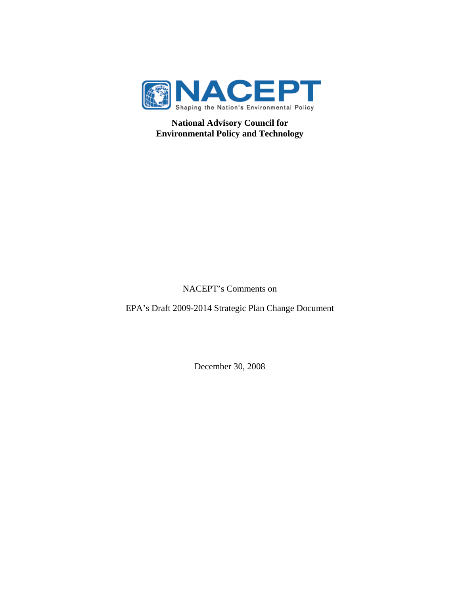

**National Advisory Council for Environmental Policy and Technology**

## NACEPT's Comments on

EPA's Draft 2009-2014 Strategic Plan Change Document

December 30, 2008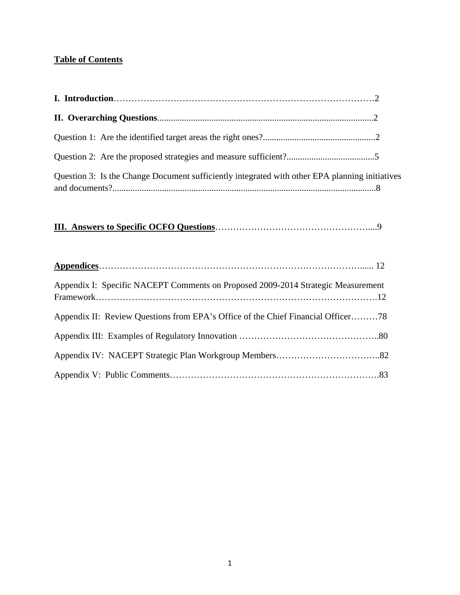## **Table of Contents**

| Question 3: Is the Change Document sufficiently integrated with other EPA planning initiatives |  |
|------------------------------------------------------------------------------------------------|--|

# **III. Answers to Specific OCFO Questions**……………………………………………....9

| Appendix I: Specific NACEPT Comments on Proposed 2009-2014 Strategic Measurement |  |
|----------------------------------------------------------------------------------|--|
| Appendix II: Review Questions from EPA's Office of the Chief Financial Officer78 |  |
|                                                                                  |  |
|                                                                                  |  |
|                                                                                  |  |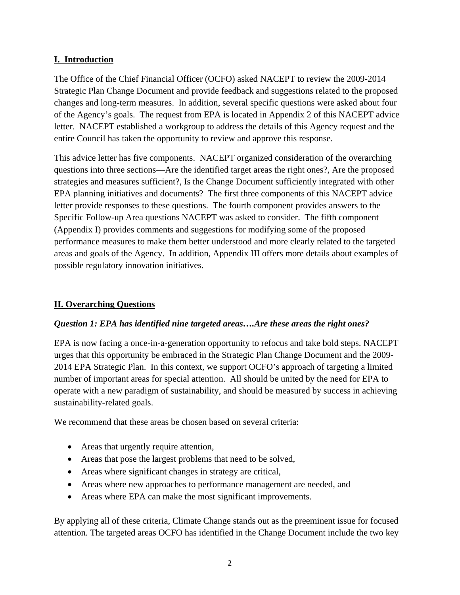## **I. Introduction**

The Office of the Chief Financial Officer (OCFO) asked NACEPT to review the 2009-2014 Strategic Plan Change Document and provide feedback and suggestions related to the proposed changes and long-term measures. In addition, several specific questions were asked about four of the Agency's goals. The request from EPA is located in Appendix 2 of this NACEPT advice letter. NACEPT established a workgroup to address the details of this Agency request and the entire Council has taken the opportunity to review and approve this response.

This advice letter has five components. NACEPT organized consideration of the overarching questions into three sections—Are the identified target areas the right ones?, Are the proposed strategies and measures sufficient?, Is the Change Document sufficiently integrated with other EPA planning initiatives and documents? The first three components of this NACEPT advice letter provide responses to these questions. The fourth component provides answers to the Specific Follow-up Area questions NACEPT was asked to consider. The fifth component (Appendix I) provides comments and suggestions for modifying some of the proposed performance measures to make them better understood and more clearly related to the targeted areas and goals of the Agency. In addition, Appendix III offers more details about examples of possible regulatory innovation initiatives.

## **II. Overarching Questions**

#### *Question 1: EPA has identified nine targeted areas….Are these areas the right ones?*

EPA is now facing a once-in-a-generation opportunity to refocus and take bold steps. NACEPT urges that this opportunity be embraced in the Strategic Plan Change Document and the 2009- 2014 EPA Strategic Plan. In this context, we support OCFO's approach of targeting a limited number of important areas for special attention. All should be united by the need for EPA to operate with a new paradigm of sustainability, and should be measured by success in achieving sustainability-related goals.

We recommend that these areas be chosen based on several criteria:

- Areas that urgently require attention,
- Areas that pose the largest problems that need to be solved,
- Areas where significant changes in strategy are critical,
- Areas where new approaches to performance management are needed, and
- Areas where EPA can make the most significant improvements.

By applying all of these criteria, Climate Change stands out as the preeminent issue for focused attention. The targeted areas OCFO has identified in the Change Document include the two key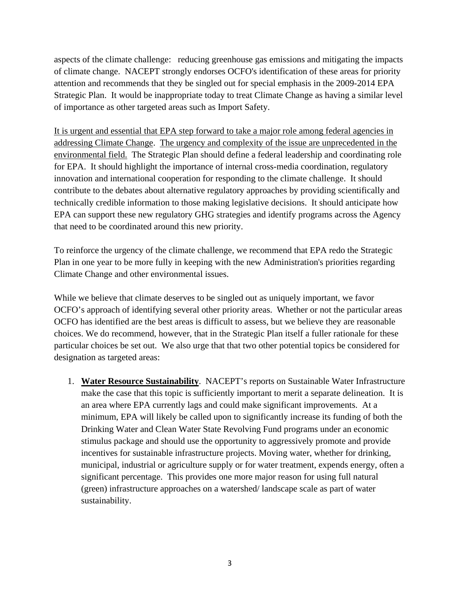aspects of the climate challenge: reducing greenhouse gas emissions and mitigating the impacts of climate change. NACEPT strongly endorses OCFO's identification of these areas for priority attention and recommends that they be singled out for special emphasis in the 2009-2014 EPA Strategic Plan. It would be inappropriate today to treat Climate Change as having a similar level of importance as other targeted areas such as Import Safety.

It is urgent and essential that EPA step forward to take a major role among federal agencies in addressing Climate Change. The urgency and complexity of the issue are unprecedented in the environmental field. The Strategic Plan should define a federal leadership and coordinating role for EPA. It should highlight the importance of internal cross-media coordination, regulatory innovation and international cooperation for responding to the climate challenge. It should contribute to the debates about alternative regulatory approaches by providing scientifically and technically credible information to those making legislative decisions. It should anticipate how EPA can support these new regulatory GHG strategies and identify programs across the Agency that need to be coordinated around this new priority.

To reinforce the urgency of the climate challenge, we recommend that EPA redo the Strategic Plan in one year to be more fully in keeping with the new Administration's priorities regarding Climate Change and other environmental issues.

While we believe that climate deserves to be singled out as uniquely important, we favor OCFO's approach of identifying several other priority areas. Whether or not the particular areas OCFO has identified are the best areas is difficult to assess, but we believe they are reasonable choices. We do recommend, however, that in the Strategic Plan itself a fuller rationale for these particular choices be set out. We also urge that that two other potential topics be considered for designation as targeted areas:

1. **Water Resource Sustainability**. NACEPT's reports on Sustainable Water Infrastructure make the case that this topic is sufficiently important to merit a separate delineation. It is an area where EPA currently lags and could make significant improvements. At a minimum, EPA will likely be called upon to significantly increase its funding of both the Drinking Water and Clean Water State Revolving Fund programs under an economic stimulus package and should use the opportunity to aggressively promote and provide incentives for sustainable infrastructure projects. Moving water, whether for drinking, municipal, industrial or agriculture supply or for water treatment, expends energy, often a significant percentage. This provides one more major reason for using full natural (green) infrastructure approaches on a watershed/ landscape scale as part of water sustainability.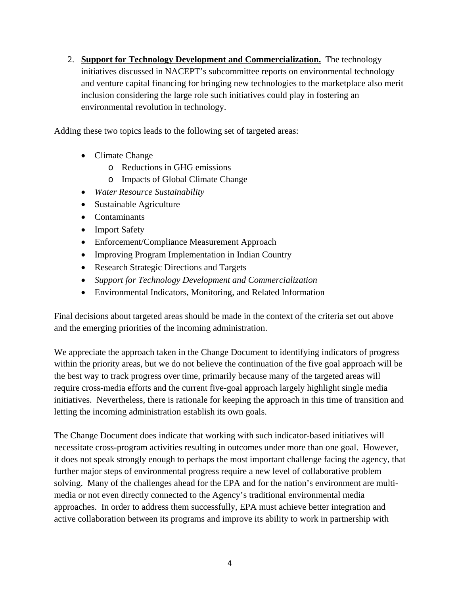2. **Support for Technology Development and Commercialization.** The technology initiatives discussed in NACEPT's subcommittee reports on environmental technology and venture capital financing for bringing new technologies to the marketplace also merit inclusion considering the large role such initiatives could play in fostering an environmental revolution in technology.

Adding these two topics leads to the following set of targeted areas:

- Climate Change
	- o Reductions in GHG emissions
	- o Impacts of Global Climate Change
- *Water Resource Sustainability*
- Sustainable Agriculture
- Contaminants
- Import Safety
- Enforcement/Compliance Measurement Approach
- Improving Program Implementation in Indian Country
- Research Strategic Directions and Targets
- *Support for Technology Development and Commercialization*
- Environmental Indicators, Monitoring, and Related Information

Final decisions about targeted areas should be made in the context of the criteria set out above and the emerging priorities of the incoming administration.

We appreciate the approach taken in the Change Document to identifying indicators of progress within the priority areas, but we do not believe the continuation of the five goal approach will be the best way to track progress over time, primarily because many of the targeted areas will require cross-media efforts and the current five-goal approach largely highlight single media initiatives. Nevertheless, there is rationale for keeping the approach in this time of transition and letting the incoming administration establish its own goals.

The Change Document does indicate that working with such indicator-based initiatives will necessitate cross-program activities resulting in outcomes under more than one goal. However, it does not speak strongly enough to perhaps the most important challenge facing the agency, that further major steps of environmental progress require a new level of collaborative problem solving. Many of the challenges ahead for the EPA and for the nation's environment are multimedia or not even directly connected to the Agency's traditional environmental media approaches. In order to address them successfully, EPA must achieve better integration and active collaboration between its programs and improve its ability to work in partnership with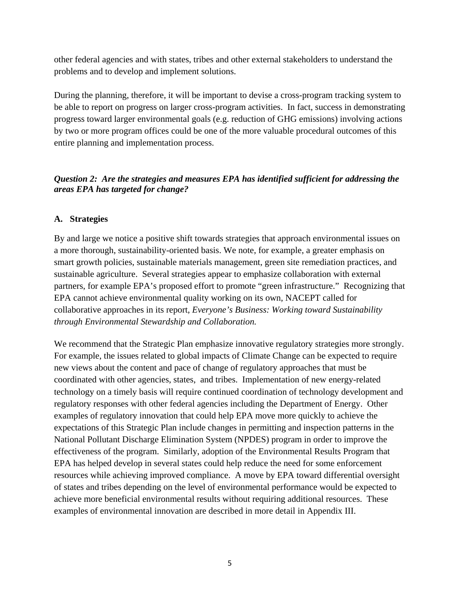other federal agencies and with states, tribes and other external stakeholders to understand the problems and to develop and implement solutions.

During the planning, therefore, it will be important to devise a cross-program tracking system to be able to report on progress on larger cross-program activities. In fact, success in demonstrating progress toward larger environmental goals (e.g. reduction of GHG emissions) involving actions by two or more program offices could be one of the more valuable procedural outcomes of this entire planning and implementation process.

## *Question 2: Are the strategies and measures EPA has identified sufficient for addressing the areas EPA has targeted for change?*

#### **A. Strategies**

By and large we notice a positive shift towards strategies that approach environmental issues on a more thorough, sustainability-oriented basis. We note, for example, a greater emphasis on smart growth policies, sustainable materials management, green site remediation practices, and sustainable agriculture. Several strategies appear to emphasize collaboration with external partners, for example EPA's proposed effort to promote "green infrastructure." Recognizing that EPA cannot achieve environmental quality working on its own, NACEPT called for collaborative approaches in its report, *Everyone's Business: Working toward Sustainability through Environmental Stewardship and Collaboration.*

We recommend that the Strategic Plan emphasize innovative regulatory strategies more strongly. For example, the issues related to global impacts of Climate Change can be expected to require new views about the content and pace of change of regulatory approaches that must be coordinated with other agencies, states, and tribes. Implementation of new energy-related technology on a timely basis will require continued coordination of technology development and regulatory responses with other federal agencies including the Department of Energy. Other examples of regulatory innovation that could help EPA move more quickly to achieve the expectations of this Strategic Plan include changes in permitting and inspection patterns in the National Pollutant Discharge Elimination System (NPDES) program in order to improve the effectiveness of the program. Similarly, adoption of the Environmental Results Program that EPA has helped develop in several states could help reduce the need for some enforcement resources while achieving improved compliance. A move by EPA toward differential oversight of states and tribes depending on the level of environmental performance would be expected to achieve more beneficial environmental results without requiring additional resources. These examples of environmental innovation are described in more detail in Appendix III.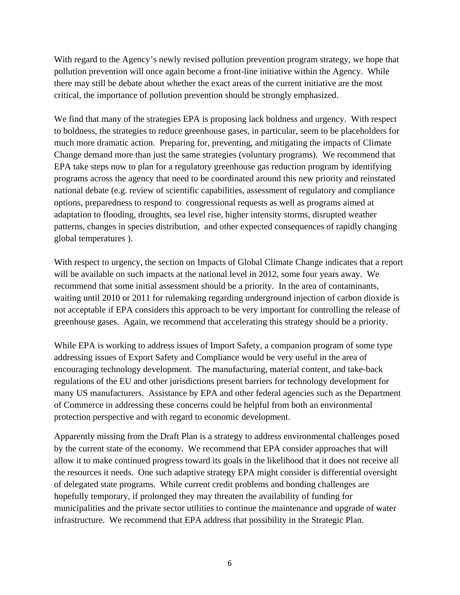With regard to the Agency's newly revised pollution prevention program strategy, we hope that pollution prevention will once again become a front-line initiative within the Agency. While there may still be debate about whether the exact areas of the current initiative are the most critical, the importance of pollution prevention should be strongly emphasized.

We find that many of the strategies EPA is proposing lack boldness and urgency. With respect to boldness, the strategies to reduce greenhouse gases, in particular, seem to be placeholders for much more dramatic action. Preparing for, preventing, and mitigating the impacts of Climate Change demand more than just the same strategies (voluntary programs). We recommend that EPA take steps now to plan for a regulatory greenhouse gas reduction program by identifying programs across the agency that need to be coordinated around this new priority and reinstated national debate (e.g. review of scientific capabilities, assessment of regulatory and compliance options, preparedness to respond to congressional requests as well as programs aimed at adaptation to flooding, droughts, sea level rise, higher intensity storms, disrupted weather patterns, changes in species distribution, and other expected consequences of rapidly changing global temperatures ).

With respect to urgency, the section on Impacts of Global Climate Change indicates that a report will be available on such impacts at the national level in 2012, some four years away. We recommend that some initial assessment should be a priority. In the area of contaminants, waiting until 2010 or 2011 for rulemaking regarding underground injection of carbon dioxide is not acceptable if EPA considers this approach to be very important for controlling the release of greenhouse gases. Again, we recommend that accelerating this strategy should be a priority.

While EPA is working to address issues of Import Safety, a companion program of some type addressing issues of Export Safety and Compliance would be very useful in the area of encouraging technology development. The manufacturing, material content, and take-back regulations of the EU and other jurisdictions present barriers for technology development for many US manufacturers. Assistance by EPA and other federal agencies such as the Department of Commerce in addressing these concerns could be helpful from both an environmental protection perspective and with regard to economic development.

Apparently missing from the Draft Plan is a strategy to address environmental challenges posed by the current state of the economy. We recommend that EPA consider approaches that will allow it to make continued progress toward its goals in the likelihood that it does not receive all the resources it needs. One such adaptive strategy EPA might consider is differential oversight of delegated state programs. While current credit problems and bonding challenges are hopefully temporary, if prolonged they may threaten the availability of funding for municipalities and the private sector utilities to continue the maintenance and upgrade of water infrastructure. We recommend that EPA address that possibility in the Strategic Plan.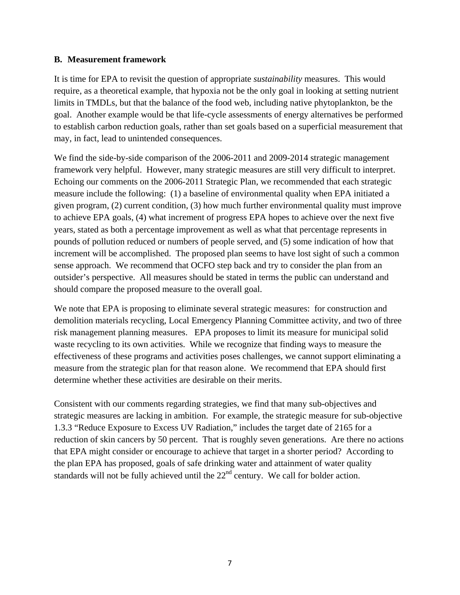#### **B. Measurement framework**

It is time for EPA to revisit the question of appropriate *sustainability* measures. This would require, as a theoretical example, that hypoxia not be the only goal in looking at setting nutrient limits in TMDLs, but that the balance of the food web, including native phytoplankton, be the goal. Another example would be that life-cycle assessments of energy alternatives be performed to establish carbon reduction goals, rather than set goals based on a superficial measurement that may, in fact, lead to unintended consequences.

We find the side-by-side comparison of the 2006-2011 and 2009-2014 strategic management framework very helpful. However, many strategic measures are still very difficult to interpret. Echoing our comments on the 2006-2011 Strategic Plan, we recommended that each strategic measure include the following: (1) a baseline of environmental quality when EPA initiated a given program, (2) current condition, (3) how much further environmental quality must improve to achieve EPA goals, (4) what increment of progress EPA hopes to achieve over the next five years, stated as both a percentage improvement as well as what that percentage represents in pounds of pollution reduced or numbers of people served, and (5) some indication of how that increment will be accomplished. The proposed plan seems to have lost sight of such a common sense approach. We recommend that OCFO step back and try to consider the plan from an outsider's perspective. All measures should be stated in terms the public can understand and should compare the proposed measure to the overall goal.

We note that EPA is proposing to eliminate several strategic measures: for construction and demolition materials recycling, Local Emergency Planning Committee activity, and two of three risk management planning measures. EPA proposes to limit its measure for municipal solid waste recycling to its own activities. While we recognize that finding ways to measure the effectiveness of these programs and activities poses challenges, we cannot support eliminating a measure from the strategic plan for that reason alone. We recommend that EPA should first determine whether these activities are desirable on their merits.

Consistent with our comments regarding strategies, we find that many sub-objectives and strategic measures are lacking in ambition. For example, the strategic measure for sub-objective 1.3.3 "Reduce Exposure to Excess UV Radiation," includes the target date of 2165 for a reduction of skin cancers by 50 percent. That is roughly seven generations. Are there no actions that EPA might consider or encourage to achieve that target in a shorter period? According to the plan EPA has proposed, goals of safe drinking water and attainment of water quality standards will not be fully achieved until the  $22<sup>nd</sup>$  century. We call for bolder action.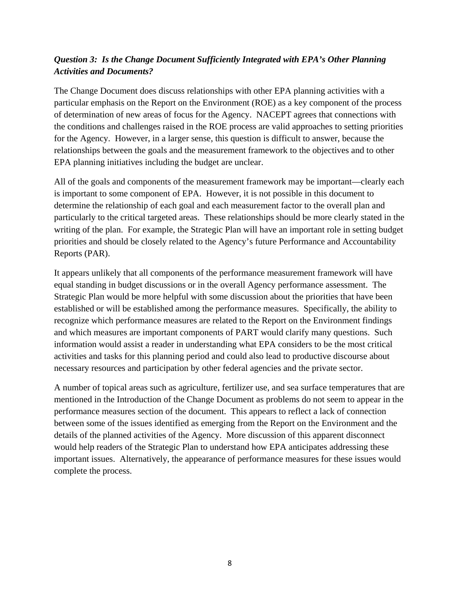## *Question 3: Is the Change Document Sufficiently Integrated with EPA's Other Planning Activities and Documents?*

The Change Document does discuss relationships with other EPA planning activities with a particular emphasis on the Report on the Environment (ROE) as a key component of the process of determination of new areas of focus for the Agency. NACEPT agrees that connections with the conditions and challenges raised in the ROE process are valid approaches to setting priorities for the Agency. However, in a larger sense, this question is difficult to answer, because the relationships between the goals and the measurement framework to the objectives and to other EPA planning initiatives including the budget are unclear.

All of the goals and components of the measurement framework may be important—clearly each is important to some component of EPA. However, it is not possible in this document to determine the relationship of each goal and each measurement factor to the overall plan and particularly to the critical targeted areas. These relationships should be more clearly stated in the writing of the plan. For example, the Strategic Plan will have an important role in setting budget priorities and should be closely related to the Agency's future Performance and Accountability Reports (PAR).

It appears unlikely that all components of the performance measurement framework will have equal standing in budget discussions or in the overall Agency performance assessment. The Strategic Plan would be more helpful with some discussion about the priorities that have been established or will be established among the performance measures. Specifically, the ability to recognize which performance measures are related to the Report on the Environment findings and which measures are important components of PART would clarify many questions. Such information would assist a reader in understanding what EPA considers to be the most critical activities and tasks for this planning period and could also lead to productive discourse about necessary resources and participation by other federal agencies and the private sector.

A number of topical areas such as agriculture, fertilizer use, and sea surface temperatures that are mentioned in the Introduction of the Change Document as problems do not seem to appear in the performance measures section of the document. This appears to reflect a lack of connection between some of the issues identified as emerging from the Report on the Environment and the details of the planned activities of the Agency. More discussion of this apparent disconnect would help readers of the Strategic Plan to understand how EPA anticipates addressing these important issues. Alternatively, the appearance of performance measures for these issues would complete the process.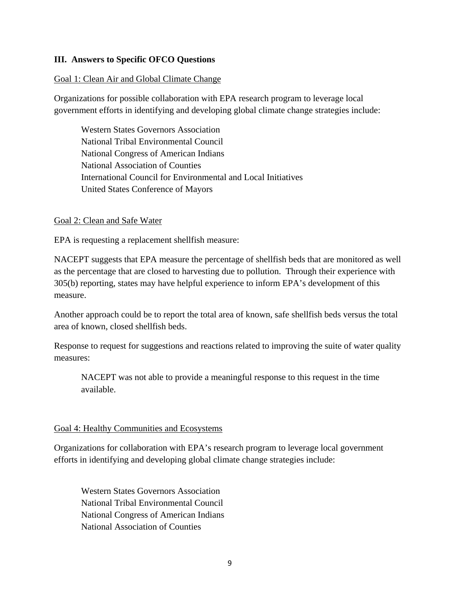#### **III. Answers to Specific OFCO Questions**

#### Goal 1: Clean Air and Global Climate Change

Organizations for possible collaboration with EPA research program to leverage local government efforts in identifying and developing global climate change strategies include:

Western States Governors Association National Tribal Environmental Council National Congress of American Indians National Association of Counties International Council for Environmental and Local Initiatives United States Conference of Mayors

#### Goal 2: Clean and Safe Water

EPA is requesting a replacement shellfish measure:

NACEPT suggests that EPA measure the percentage of shellfish beds that are monitored as well as the percentage that are closed to harvesting due to pollution. Through their experience with 305(b) reporting, states may have helpful experience to inform EPA's development of this measure.

Another approach could be to report the total area of known, safe shellfish beds versus the total area of known, closed shellfish beds.

Response to request for suggestions and reactions related to improving the suite of water quality measures:

NACEPT was not able to provide a meaningful response to this request in the time available.

#### Goal 4: Healthy Communities and Ecosystems

Organizations for collaboration with EPA's research program to leverage local government efforts in identifying and developing global climate change strategies include:

Western States Governors Association National Tribal Environmental Council National Congress of American Indians National Association of Counties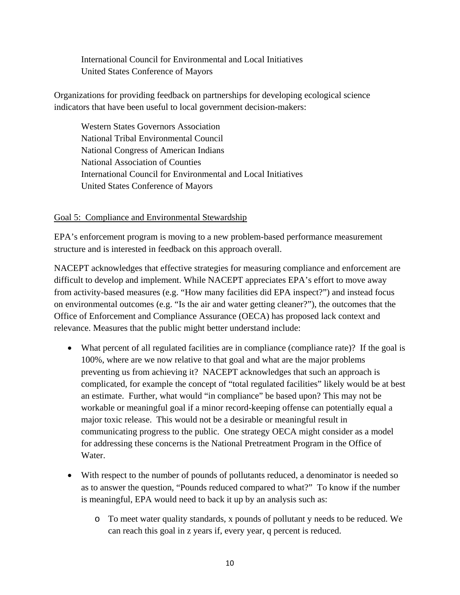International Council for Environmental and Local Initiatives United States Conference of Mayors

Organizations for providing feedback on partnerships for developing ecological science indicators that have been useful to local government decision-makers:

Western States Governors Association National Tribal Environmental Council National Congress of American Indians National Association of Counties International Council for Environmental and Local Initiatives United States Conference of Mayors

#### Goal 5: Compliance and Environmental Stewardship

EPA's enforcement program is moving to a new problem-based performance measurement structure and is interested in feedback on this approach overall.

NACEPT acknowledges that effective strategies for measuring compliance and enforcement are difficult to develop and implement. While NACEPT appreciates EPA's effort to move away from activity-based measures (e.g. "How many facilities did EPA inspect?") and instead focus on environmental outcomes (e.g. "Is the air and water getting cleaner?"), the outcomes that the Office of Enforcement and Compliance Assurance (OECA) has proposed lack context and relevance. Measures that the public might better understand include:

- What percent of all regulated facilities are in compliance (compliance rate)? If the goal is 100%, where are we now relative to that goal and what are the major problems preventing us from achieving it? NACEPT acknowledges that such an approach is complicated, for example the concept of "total regulated facilities" likely would be at best an estimate. Further, what would "in compliance" be based upon? This may not be workable or meaningful goal if a minor record-keeping offense can potentially equal a major toxic release. This would not be a desirable or meaningful result in communicating progress to the public. One strategy OECA might consider as a model for addressing these concerns is the National Pretreatment Program in the Office of Water.
- With respect to the number of pounds of pollutants reduced, a denominator is needed so as to answer the question, "Pounds reduced compared to what?" To know if the number is meaningful, EPA would need to back it up by an analysis such as:
	- o To meet water quality standards, x pounds of pollutant y needs to be reduced. We can reach this goal in z years if, every year, q percent is reduced.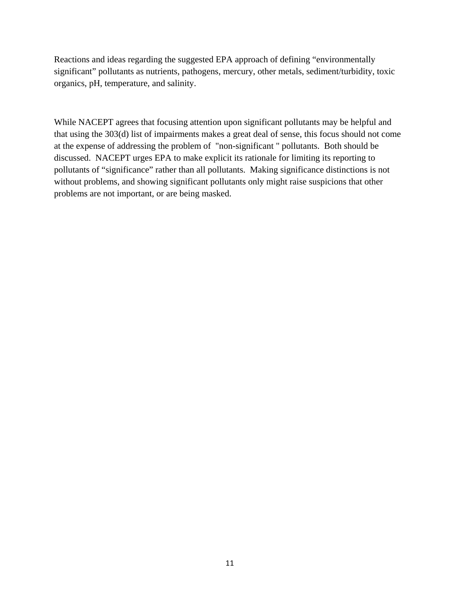Reactions and ideas regarding the suggested EPA approach of defining "environmentally significant" pollutants as nutrients, pathogens, mercury, other metals, sediment/turbidity, toxic organics, pH, temperature, and salinity.

While NACEPT agrees that focusing attention upon significant pollutants may be helpful and that using the 303(d) list of impairments makes a great deal of sense, this focus should not come at the expense of addressing the problem of "non-significant " pollutants. Both should be discussed. NACEPT urges EPA to make explicit its rationale for limiting its reporting to pollutants of "significance" rather than all pollutants. Making significance distinctions is not without problems, and showing significant pollutants only might raise suspicions that other problems are not important, or are being masked.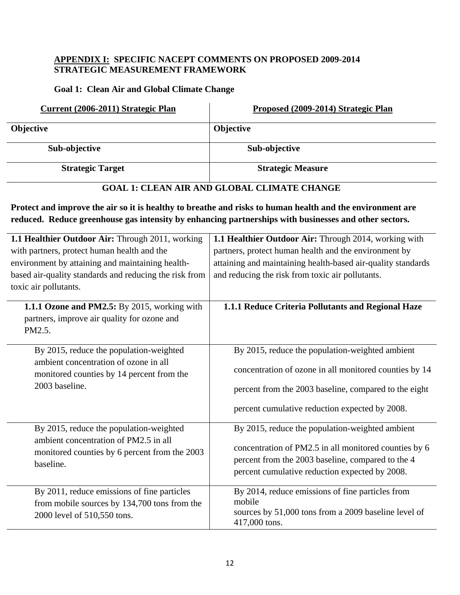#### **APPENDIX I: SPECIFIC NACEPT COMMENTS ON PROPOSED 2009-2014 STRATEGIC MEASUREMENT FRAMEWORK**

#### **Goal 1: Clean Air and Global Climate Change**

L.

| Current (2006-2011) Strategic Plan | Proposed (2009-2014) Strategic Plan |
|------------------------------------|-------------------------------------|
| <b>Objective</b>                   | <b>Objective</b>                    |
| Sub-objective                      | Sub-objective                       |
| <b>Strategic Target</b>            | <b>Strategic Measure</b>            |
|                                    |                                     |

## **GOAL 1: CLEAN AIR AND GLOBAL CLIMATE CHANGE**

Protect and improve the air so it is healthy to breathe and risks to human health and the environment are reduced. Reduce greenhouse gas intensity by enhancing partnerships with businesses and other sectors.

| 1.1 Healthier Outdoor Air: Through 2011, working       | 1.1 Healthier Outdoor Air: Through 2014, working with        |
|--------------------------------------------------------|--------------------------------------------------------------|
| with partners, protect human health and the            | partners, protect human health and the environment by        |
| environment by attaining and maintaining health-       | attaining and maintaining health-based air-quality standards |
| based air-quality standards and reducing the risk from | and reducing the risk from toxic air pollutants.             |
| toxic air pollutants.                                  |                                                              |
| 1.1.1 Ozone and PM2.5: By 2015, working with           | 1.1.1 Reduce Criteria Pollutants and Regional Haze           |
| partners, improve air quality for ozone and            |                                                              |
| PM2.5.                                                 |                                                              |
|                                                        |                                                              |
| By 2015, reduce the population-weighted                | By 2015, reduce the population-weighted ambient              |
| ambient concentration of ozone in all                  |                                                              |
| monitored counties by 14 percent from the              | concentration of ozone in all monitored counties by 14       |
| 2003 baseline.                                         | percent from the 2003 baseline, compared to the eight        |
|                                                        | percent cumulative reduction expected by 2008.               |
| By 2015, reduce the population-weighted                | By 2015, reduce the population-weighted ambient              |
| ambient concentration of PM2.5 in all                  |                                                              |
| monitored counties by 6 percent from the 2003          | concentration of PM2.5 in all monitored counties by 6        |
| baseline.                                              | percent from the 2003 baseline, compared to the 4            |
|                                                        | percent cumulative reduction expected by 2008.               |
| By 2011, reduce emissions of fine particles            | By 2014, reduce emissions of fine particles from             |
| from mobile sources by 134,700 tons from the           | mobile                                                       |
| 2000 level of 510,550 tons.                            | sources by 51,000 tons from a 2009 baseline level of         |
|                                                        | 417,000 tons.                                                |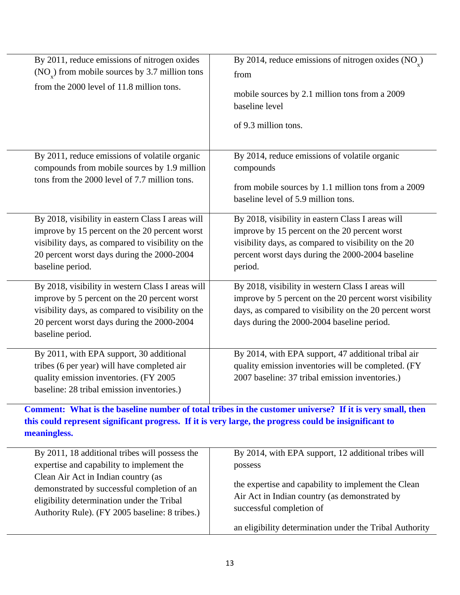| By 2011, reduce emissions of nitrogen oxides<br>$(NOx)$ from mobile sources by 3.7 million tons<br>from the 2000 level of 11.8 million tons.                                                                              | By 2014, reduce emissions of nitrogen oxides (NO <sub>v</sub> )<br>from<br>mobile sources by 2.1 million tons from a 2009<br>baseline level<br>of 9.3 million tons.                                                       |
|---------------------------------------------------------------------------------------------------------------------------------------------------------------------------------------------------------------------------|---------------------------------------------------------------------------------------------------------------------------------------------------------------------------------------------------------------------------|
| By 2011, reduce emissions of volatile organic<br>compounds from mobile sources by 1.9 million<br>tons from the 2000 level of 7.7 million tons.                                                                            | By 2014, reduce emissions of volatile organic<br>compounds<br>from mobile sources by 1.1 million tons from a 2009<br>baseline level of 5.9 million tons.                                                                  |
| By 2018, visibility in eastern Class I areas will<br>improve by 15 percent on the 20 percent worst<br>visibility days, as compared to visibility on the<br>20 percent worst days during the 2000-2004<br>baseline period. | By 2018, visibility in eastern Class I areas will<br>improve by 15 percent on the 20 percent worst<br>visibility days, as compared to visibility on the 20<br>percent worst days during the 2000-2004 baseline<br>period. |
| By 2018, visibility in western Class I areas will<br>improve by 5 percent on the 20 percent worst<br>visibility days, as compared to visibility on the<br>20 percent worst days during the 2000-2004<br>baseline period.  | By 2018, visibility in western Class I areas will<br>improve by 5 percent on the 20 percent worst visibility<br>days, as compared to visibility on the 20 percent worst<br>days during the 2000-2004 baseline period.     |
| By 2011, with EPA support, 30 additional<br>tribes (6 per year) will have completed air<br>quality emission inventories. (FY 2005<br>baseline: 28 tribal emission inventories.)                                           | By 2014, with EPA support, 47 additional tribal air<br>quality emission inventories will be completed. (FY<br>2007 baseline: 37 tribal emission inventories.)                                                             |

**Comment: What is the baseline number of total tribes in the customer universe? If it is very small, then this could represent significant progress. If it is very large, the progress could be insignificant to meaningless.**

| By 2011, 18 additional tribes will possess the                                                                                                                                     | By 2014, with EPA support, 12 additional tribes will                                                                             |
|------------------------------------------------------------------------------------------------------------------------------------------------------------------------------------|----------------------------------------------------------------------------------------------------------------------------------|
| expertise and capability to implement the                                                                                                                                          | possess                                                                                                                          |
| Clean Air Act in Indian country (as<br>demonstrated by successful completion of an<br>eligibility determination under the Tribal<br>Authority Rule). (FY 2005 baseline: 8 tribes.) | the expertise and capability to implement the Clean<br>Air Act in Indian country (as demonstrated by<br>successful completion of |
|                                                                                                                                                                                    | an eligibility determination under the Tribal Authority                                                                          |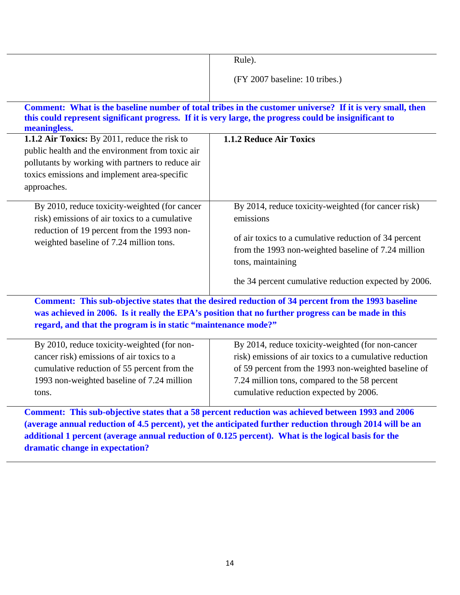|                                                                                                                        | Rule).                                                                                                   |
|------------------------------------------------------------------------------------------------------------------------|----------------------------------------------------------------------------------------------------------|
|                                                                                                                        | (FY 2007 baseline: 10 tribes.)                                                                           |
|                                                                                                                        |                                                                                                          |
|                                                                                                                        | Comment: What is the baseline number of total tribes in the customer universe? If it is very small, then |
| this could represent significant progress. If it is very large, the progress could be insignificant to<br>meaningless. |                                                                                                          |
| 1.1.2 Air Toxics: By 2011, reduce the risk to                                                                          | 1.1.2 Reduce Air Toxics                                                                                  |
| public health and the environment from toxic air                                                                       |                                                                                                          |
| pollutants by working with partners to reduce air                                                                      |                                                                                                          |
| toxics emissions and implement area-specific                                                                           |                                                                                                          |
| approaches.                                                                                                            |                                                                                                          |
| By 2010, reduce toxicity-weighted (for cancer                                                                          | By 2014, reduce toxicity-weighted (for cancer risk)                                                      |
| risk) emissions of air toxics to a cumulative                                                                          | emissions                                                                                                |
| reduction of 19 percent from the 1993 non-                                                                             |                                                                                                          |
| weighted baseline of 7.24 million tons.                                                                                | of air toxics to a cumulative reduction of 34 percent                                                    |
|                                                                                                                        | from the 1993 non-weighted baseline of 7.24 million                                                      |
|                                                                                                                        | tons, maintaining                                                                                        |
|                                                                                                                        | the 34 percent cumulative reduction expected by 2006.                                                    |
|                                                                                                                        | Comment: This sub-objective states that the desired reduction of 34 percent from the 1993 baseline       |
|                                                                                                                        | was achieved in 2006. Is it really the EPA's position that no further progress can be made in this       |

**regard, and that the program is in static "maintenance mode?"**

| By 2010, reduce toxicity-weighted (for non- | By 2014, reduce toxicity-weighted (for non-cancer       |
|---------------------------------------------|---------------------------------------------------------|
| cancer risk) emissions of air toxics to a   | risk) emissions of air toxics to a cumulative reduction |
| cumulative reduction of 55 percent from the | of 59 percent from the 1993 non-weighted baseline of    |
| 1993 non-weighted baseline of 7.24 million  | 7.24 million tons, compared to the 58 percent           |
| tons.                                       | cumulative reduction expected by 2006.                  |
|                                             |                                                         |

**Comment: This sub-objective states that a 58 percent reduction was achieved between 1993 and 2006 (average annual reduction of 4.5 percent), yet the anticipated further reduction through 2014 will be an additional 1 percent (average annual reduction of 0.125 percent). What is the logical basis for the dramatic change in expectation?**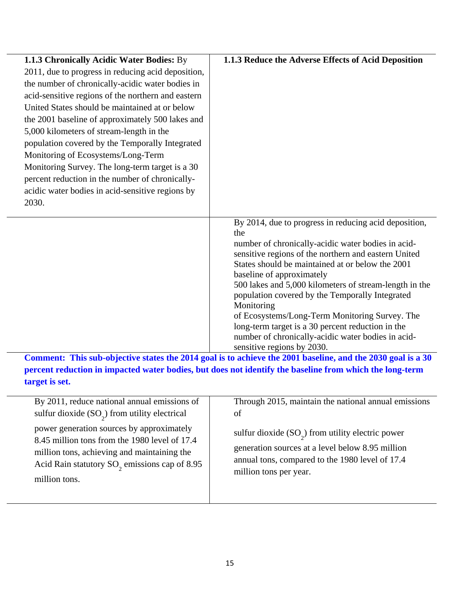| 1.1.3 Chronically Acidic Water Bodies: By          | 1.1.3 Reduce the Adverse Effects of Acid Deposition                                                      |
|----------------------------------------------------|----------------------------------------------------------------------------------------------------------|
| 2011, due to progress in reducing acid deposition, |                                                                                                          |
| the number of chronically-acidic water bodies in   |                                                                                                          |
| acid-sensitive regions of the northern and eastern |                                                                                                          |
| United States should be maintained at or below     |                                                                                                          |
| the 2001 baseline of approximately 500 lakes and   |                                                                                                          |
| 5,000 kilometers of stream-length in the           |                                                                                                          |
| population covered by the Temporally Integrated    |                                                                                                          |
| Monitoring of Ecosystems/Long-Term                 |                                                                                                          |
| Monitoring Survey. The long-term target is a 30    |                                                                                                          |
| percent reduction in the number of chronically-    |                                                                                                          |
| acidic water bodies in acid-sensitive regions by   |                                                                                                          |
| 2030.                                              |                                                                                                          |
|                                                    | By 2014, due to progress in reducing acid deposition,                                                    |
|                                                    | the                                                                                                      |
|                                                    | number of chronically-acidic water bodies in acid-                                                       |
|                                                    | sensitive regions of the northern and eastern United<br>States should be maintained at or below the 2001 |
|                                                    | baseline of approximately                                                                                |
|                                                    | 500 lakes and 5,000 kilometers of stream-length in the                                                   |
|                                                    | population covered by the Temporally Integrated                                                          |
|                                                    | Monitoring                                                                                               |
|                                                    | of Ecosystems/Long-Term Monitoring Survey. The                                                           |
|                                                    | long-term target is a 30 percent reduction in the                                                        |
|                                                    | number of chronically-acidic water bodies in acid-<br>sensitive regions by 2030.                         |
|                                                    |                                                                                                          |

**Comment: This sub-objective states the 2014 goal is to achieve the 2001 baseline, and the 2030 goal is a 30 percent reduction in impacted water bodies, but does not identify the baseline from which the long-term target is set.** 

| By 2011, reduce national annual emissions of<br>sulfur dioxide $(SO_2)$ from utility electrical                                                                                                                         | Through 2015, maintain the national annual emissions<br>of                                                                                                                           |
|-------------------------------------------------------------------------------------------------------------------------------------------------------------------------------------------------------------------------|--------------------------------------------------------------------------------------------------------------------------------------------------------------------------------------|
| power generation sources by approximately<br>8.45 million tons from the 1980 level of 17.4<br>million tons, achieving and maintaining the<br>Acid Rain statutory SO <sub>2</sub> emissions cap of 8.95<br>million tons. | sulfur dioxide $(SO_2)$ from utility electric power<br>generation sources at a level below 8.95 million<br>annual tons, compared to the 1980 level of 17.4<br>million tons per year. |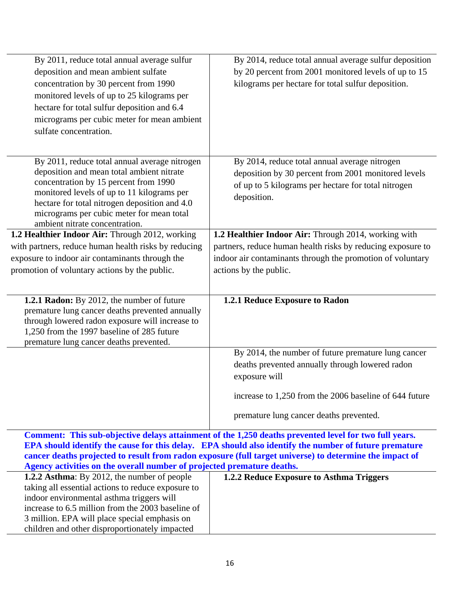| By 2011, reduce total annual average sulfur<br>deposition and mean ambient sulfate<br>concentration by 30 percent from 1990<br>monitored levels of up to 25 kilograms per<br>hectare for total sulfur deposition and 6.4<br>micrograms per cubic meter for mean ambient<br>sulfate concentration.                 | By 2014, reduce total annual average sulfur deposition<br>by 20 percent from 2001 monitored levels of up to 15<br>kilograms per hectare for total sulfur deposition.       |
|-------------------------------------------------------------------------------------------------------------------------------------------------------------------------------------------------------------------------------------------------------------------------------------------------------------------|----------------------------------------------------------------------------------------------------------------------------------------------------------------------------|
| By 2011, reduce total annual average nitrogen<br>deposition and mean total ambient nitrate<br>concentration by 15 percent from 1990<br>monitored levels of up to 11 kilograms per<br>hectare for total nitrogen deposition and 4.0<br>micrograms per cubic meter for mean total<br>ambient nitrate concentration. | By 2014, reduce total annual average nitrogen<br>deposition by 30 percent from 2001 monitored levels<br>of up to 5 kilograms per hectare for total nitrogen<br>deposition. |
| 1.2 Healthier Indoor Air: Through 2012, working                                                                                                                                                                                                                                                                   | 1.2 Healthier Indoor Air: Through 2014, working with                                                                                                                       |
| with partners, reduce human health risks by reducing                                                                                                                                                                                                                                                              | partners, reduce human health risks by reducing exposure to                                                                                                                |
| exposure to indoor air contaminants through the                                                                                                                                                                                                                                                                   | indoor air contaminants through the promotion of voluntary                                                                                                                 |
| promotion of voluntary actions by the public.                                                                                                                                                                                                                                                                     | actions by the public.                                                                                                                                                     |
|                                                                                                                                                                                                                                                                                                                   |                                                                                                                                                                            |
| 1.2.1 Radon: By 2012, the number of future<br>premature lung cancer deaths prevented annually<br>through lowered radon exposure will increase to<br>1,250 from the 1997 baseline of 285 future<br>premature lung cancer deaths prevented.                                                                         | 1.2.1 Reduce Exposure to Radon                                                                                                                                             |
|                                                                                                                                                                                                                                                                                                                   | By 2014, the number of future premature lung cancer                                                                                                                        |
|                                                                                                                                                                                                                                                                                                                   | deaths prevented annually through lowered radon                                                                                                                            |
|                                                                                                                                                                                                                                                                                                                   | exposure will                                                                                                                                                              |
|                                                                                                                                                                                                                                                                                                                   | increase to 1,250 from the 2006 baseline of 644 future                                                                                                                     |
|                                                                                                                                                                                                                                                                                                                   | premature lung cancer deaths prevented.                                                                                                                                    |
|                                                                                                                                                                                                                                                                                                                   |                                                                                                                                                                            |

**Comment: This sub-objective delays attainment of the 1,250 deaths prevented level for two full years. EPA should identify the cause for this delay. EPA should also identify the number of future premature cancer deaths projected to result from radon exposure (full target universe) to determine the impact of Agency activities on the overall number of projected premature deaths.**

| 1.2.2 Reduce Exposure to Asthma Triggers |
|------------------------------------------|
|                                          |
|                                          |
|                                          |
|                                          |
|                                          |
|                                          |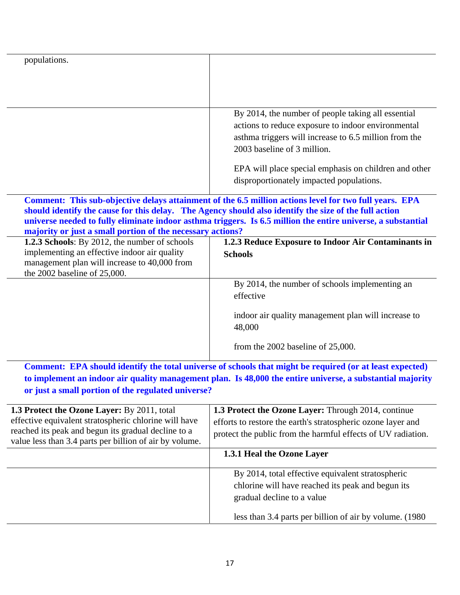| populations.                                                                                                                    |                                                                                                                                                                                                                                                                                                                                 |
|---------------------------------------------------------------------------------------------------------------------------------|---------------------------------------------------------------------------------------------------------------------------------------------------------------------------------------------------------------------------------------------------------------------------------------------------------------------------------|
|                                                                                                                                 |                                                                                                                                                                                                                                                                                                                                 |
|                                                                                                                                 |                                                                                                                                                                                                                                                                                                                                 |
|                                                                                                                                 | By 2014, the number of people taking all essential<br>actions to reduce exposure to indoor environmental<br>asthma triggers will increase to 6.5 million from the<br>2003 baseline of 3 million.<br>EPA will place special emphasis on children and other<br>disproportionately impacted populations.                           |
| majority or just a small portion of the necessary actions?                                                                      | Comment: This sub-objective delays attainment of the 6.5 million actions level for two full years. EPA<br>should identify the cause for this delay. The Agency should also identify the size of the full action<br>universe needed to fully eliminate indoor asthma triggers. Is 6.5 million the entire universe, a substantial |
| 1.2.3 Schools: By 2012, the number of schools                                                                                   | 1.2.3 Reduce Exposure to Indoor Air Contaminants in                                                                                                                                                                                                                                                                             |
| implementing an effective indoor air quality<br>management plan will increase to 40,000 from<br>the 2002 baseline of $25,000$ . | <b>Schools</b>                                                                                                                                                                                                                                                                                                                  |
|                                                                                                                                 | By 2014, the number of schools implementing an<br>effective                                                                                                                                                                                                                                                                     |
|                                                                                                                                 | indoor air quality management plan will increase to<br>48,000                                                                                                                                                                                                                                                                   |
|                                                                                                                                 | from the 2002 baseline of $25,000$ .                                                                                                                                                                                                                                                                                            |
|                                                                                                                                 | Comment: EPA should identify the total universe of schools that might be required (or at least expected)                                                                                                                                                                                                                        |
|                                                                                                                                 | to implement an indoor air quality management plan. Is 48,000 the entire universe, a substantial majority                                                                                                                                                                                                                       |
|                                                                                                                                 |                                                                                                                                                                                                                                                                                                                                 |

| <b>1.3 Protect the Ozone Layer:</b> By 2011, total<br>effective equivalent stratospheric chlorine will have<br>reached its peak and begun its gradual decline to a<br>value less than 3.4 parts per billion of air by volume. | <b>1.3 Protect the Ozone Layer:</b> Through 2014, continue<br>efforts to restore the earth's stratospheric ozone layer and<br>protect the public from the harmful effects of UV radiation.       |
|-------------------------------------------------------------------------------------------------------------------------------------------------------------------------------------------------------------------------------|--------------------------------------------------------------------------------------------------------------------------------------------------------------------------------------------------|
|                                                                                                                                                                                                                               | 1.3.1 Heal the Ozone Layer                                                                                                                                                                       |
|                                                                                                                                                                                                                               | By 2014, total effective equivalent stratospheric<br>chlorine will have reached its peak and begun its<br>gradual decline to a value<br>less than 3.4 parts per billion of air by volume. (1980) |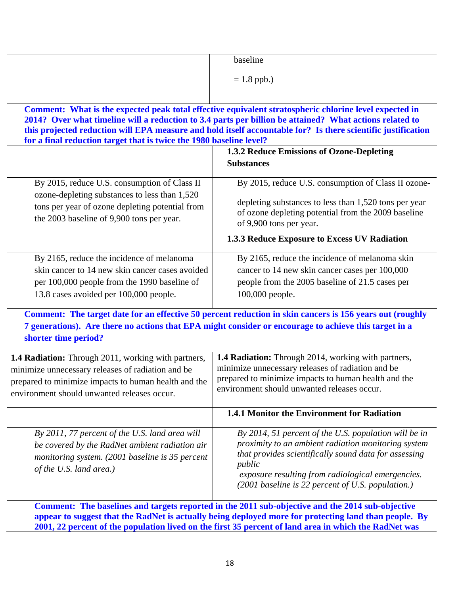|                                                                                                                                                                                                                 | baseline                                                                                                                                                                                                                                                                                                                                                                                    |
|-----------------------------------------------------------------------------------------------------------------------------------------------------------------------------------------------------------------|---------------------------------------------------------------------------------------------------------------------------------------------------------------------------------------------------------------------------------------------------------------------------------------------------------------------------------------------------------------------------------------------|
|                                                                                                                                                                                                                 | $= 1.8$ ppb.)                                                                                                                                                                                                                                                                                                                                                                               |
| for a final reduction target that is twice the 1980 baseline level?                                                                                                                                             | Comment: What is the expected peak total effective equivalent stratospheric chlorine level expected in<br>2014? Over what timeline will a reduction to 3.4 parts per billion be attained? What actions related to<br>this projected reduction will EPA measure and hold itself accountable for? Is there scientific justification                                                           |
|                                                                                                                                                                                                                 | 1.3.2 Reduce Emissions of Ozone-Depleting<br><b>Substances</b>                                                                                                                                                                                                                                                                                                                              |
| By 2015, reduce U.S. consumption of Class II<br>ozone-depleting substances to less than 1,520<br>tons per year of ozone depleting potential from<br>the 2003 baseline of 9,900 tons per year.                   | By 2015, reduce U.S. consumption of Class II ozone-<br>depleting substances to less than 1,520 tons per year<br>of ozone depleting potential from the 2009 baseline<br>of 9,900 tons per year.                                                                                                                                                                                              |
|                                                                                                                                                                                                                 | 1.3.3 Reduce Exposure to Excess UV Radiation                                                                                                                                                                                                                                                                                                                                                |
| By 2165, reduce the incidence of melanoma<br>skin cancer to 14 new skin cancer cases avoided<br>per 100,000 people from the 1990 baseline of<br>13.8 cases avoided per 100,000 people.<br>shorter time period?  | By 2165, reduce the incidence of melanoma skin<br>cancer to 14 new skin cancer cases per 100,000<br>people from the 2005 baseline of 21.5 cases per<br>100,000 people.<br>Comment: The target date for an effective 50 percent reduction in skin cancers is 156 years out (roughly<br>7 generations). Are there no actions that EPA might consider or encourage to achieve this target in a |
| 1.4 Radiation: Through 2011, working with partners,<br>minimize unnecessary releases of radiation and be<br>prepared to minimize impacts to human health and the<br>environment should unwanted releases occur. | 1.4 Radiation: Through 2014, working with partners,<br>minimize unnecessary releases of radiation and be<br>prepared to minimize impacts to human health and the<br>environment should unwanted releases occur.                                                                                                                                                                             |
|                                                                                                                                                                                                                 | <b>1.4.1 Monitor the Environment for Radiation</b>                                                                                                                                                                                                                                                                                                                                          |
| By 2011, 77 percent of the U.S. land area will<br>be covered by the RadNet ambient radiation air<br>monitoring system. (2001 baseline is 35 percent<br>of the U.S. land area.)                                  | By 2014, 51 percent of the U.S. population will be in<br>proximity to an ambient radiation monitoring system<br>that provides scientifically sound data for assessing<br>public<br>exposure resulting from radiological emergencies.<br>(2001 baseline is 22 percent of U.S. population.)                                                                                                   |

**2001, 22 percent of the population lived on the first 35 percent of land area in which the RadNet was**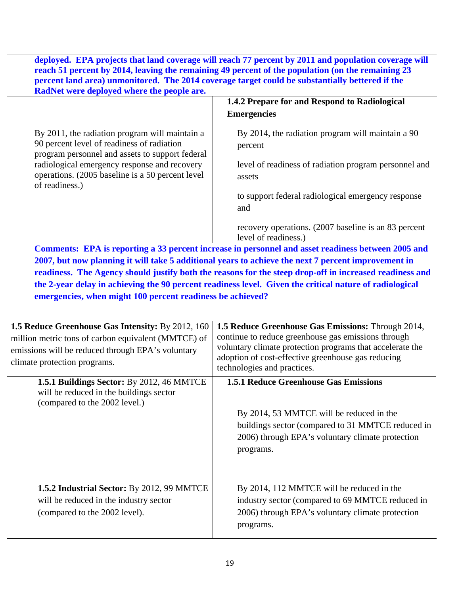deployed. EPA projects that land coverage will reach 77 percent by 2011 and population coverage will **reach 51 percent by 2014, leaving the remaining 49 percent of the population (on the remaining 23 percent land area) unmonitored. The 2014 coverage target could be substantially bettered if the RadNet were deployed where the people are.**

|                                                                                                                                                 | 1.4.2 Prepare for and Respond to Radiological<br><b>Emergencies</b>          |
|-------------------------------------------------------------------------------------------------------------------------------------------------|------------------------------------------------------------------------------|
| By 2011, the radiation program will maintain a<br>90 percent level of readiness of radiation<br>program personnel and assets to support federal | By 2014, the radiation program will maintain a 90<br>percent                 |
| radiological emergency response and recovery<br>operations. (2005 baseline is a 50 percent level)<br>of readiness.)                             | level of readiness of radiation program personnel and<br>assets              |
|                                                                                                                                                 | to support federal radiological emergency response<br>and                    |
|                                                                                                                                                 | recovery operations. (2007 baseline is an 83 percent<br>level of readiness.) |

**Comments: EPA is reporting a 33 percent increase in personnel and asset readiness between 2005 and 2007, but now planning it will take 5 additional years to achieve the next 7 percent improvement in readiness. The Agency should justify both the reasons for the steep drop-off in increased readiness and the 2-year delay in achieving the 90 percent readiness level. Given the critical nature of radiological emergencies, when might 100 percent readiness be achieved?** 

| <b>1.5 Reduce Greenhouse Gas Intensity: By 2012, 160</b><br>million metric tons of carbon equivalent (MMTCE) of<br>emissions will be reduced through EPA's voluntary<br>climate protection programs. | 1.5 Reduce Greenhouse Gas Emissions: Through 2014,<br>continue to reduce greenhouse gas emissions through<br>voluntary climate protection programs that accelerate the<br>adoption of cost-effective greenhouse gas reducing<br>technologies and practices. |
|------------------------------------------------------------------------------------------------------------------------------------------------------------------------------------------------------|-------------------------------------------------------------------------------------------------------------------------------------------------------------------------------------------------------------------------------------------------------------|
| 1.5.1 Buildings Sector: By 2012, 46 MMTCE<br>will be reduced in the buildings sector<br>(compared to the 2002 level.)                                                                                | <b>1.5.1 Reduce Greenhouse Gas Emissions</b>                                                                                                                                                                                                                |
|                                                                                                                                                                                                      | By 2014, 53 MMTCE will be reduced in the<br>buildings sector (compared to 31 MMTCE reduced in<br>2006) through EPA's voluntary climate protection<br>programs.                                                                                              |
| 1.5.2 Industrial Sector: By 2012, 99 MMTCE<br>will be reduced in the industry sector<br>(compared to the 2002 level).                                                                                | By 2014, 112 MMTCE will be reduced in the<br>industry sector (compared to 69 MMTCE reduced in<br>2006) through EPA's voluntary climate protection<br>programs.                                                                                              |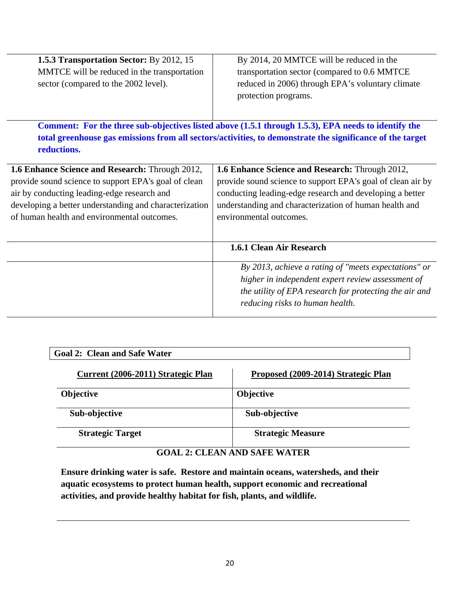| 1.5.3 Transportation Sector: By 2012, 15<br>MMTCE will be reduced in the transportation<br>sector (compared to the 2002 level).                                                                                                                                 | By 2014, 20 MMTCE will be reduced in the<br>transportation sector (compared to 0.6 MMTCE<br>reduced in 2006) through EPA's voluntary climate<br>protection programs.                                                                                            |
|-----------------------------------------------------------------------------------------------------------------------------------------------------------------------------------------------------------------------------------------------------------------|-----------------------------------------------------------------------------------------------------------------------------------------------------------------------------------------------------------------------------------------------------------------|
| reductions.                                                                                                                                                                                                                                                     | Comment: For the three sub-objectives listed above (1.5.1 through 1.5.3), EPA needs to identify the<br>total greenhouse gas emissions from all sectors/activities, to demonstrate the significance of the target                                                |
| 1.6 Enhance Science and Research: Through 2012,<br>provide sound science to support EPA's goal of clean<br>air by conducting leading-edge research and<br>developing a better understanding and characterization<br>of human health and environmental outcomes. | 1.6 Enhance Science and Research: Through 2012,<br>provide sound science to support EPA's goal of clean air by<br>conducting leading-edge research and developing a better<br>understanding and characterization of human health and<br>environmental outcomes. |
|                                                                                                                                                                                                                                                                 | 1.6.1 Clean Air Research                                                                                                                                                                                                                                        |
|                                                                                                                                                                                                                                                                 | By 2013, achieve a rating of "meets expectations" or<br>higher in independent expert review assessment of<br>the utility of EPA research for protecting the air and<br>reducing risks to human health.                                                          |

| <b>Goal 2: Clean and Safe Water</b> |                                     |  |
|-------------------------------------|-------------------------------------|--|
| Current (2006-2011) Strategic Plan  | Proposed (2009-2014) Strategic Plan |  |
| <b>Objective</b>                    | <b>Objective</b>                    |  |
| Sub-objective                       | Sub-objective                       |  |
| <b>Strategic Target</b>             | <b>Strategic Measure</b>            |  |

## **GOAL 2: CLEAN AND SAFE WATER**

**Ensure drinking water is safe. Restore and maintain oceans, watersheds, and their aquatic ecosystems to protect human health, support economic and recreational activities, and provide healthy habitat for fish, plants, and wildlife.**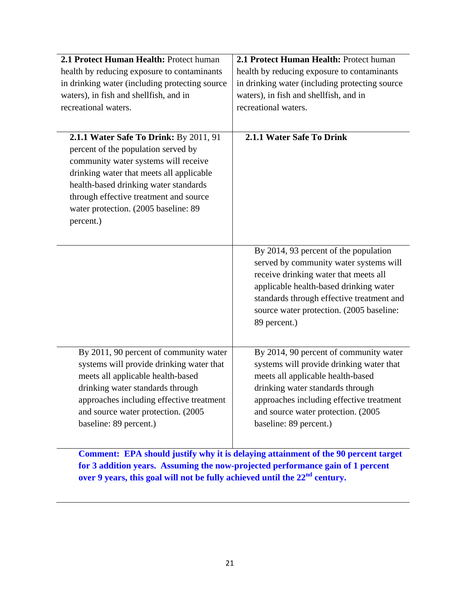| 2.1 Protect Human Health: Protect human                                                                                                                                                                                                                                  | 2.1 Protect Human Health: Protect human                                                                                                                                                                                                                                     |
|--------------------------------------------------------------------------------------------------------------------------------------------------------------------------------------------------------------------------------------------------------------------------|-----------------------------------------------------------------------------------------------------------------------------------------------------------------------------------------------------------------------------------------------------------------------------|
| health by reducing exposure to contaminants                                                                                                                                                                                                                              | health by reducing exposure to contaminants                                                                                                                                                                                                                                 |
| in drinking water (including protecting source                                                                                                                                                                                                                           | in drinking water (including protecting source                                                                                                                                                                                                                              |
| waters), in fish and shellfish, and in                                                                                                                                                                                                                                   | waters), in fish and shellfish, and in                                                                                                                                                                                                                                      |
| recreational waters.                                                                                                                                                                                                                                                     | recreational waters.                                                                                                                                                                                                                                                        |
|                                                                                                                                                                                                                                                                          |                                                                                                                                                                                                                                                                             |
| 2.1.1 Water Safe To Drink: By 2011, 91<br>percent of the population served by<br>community water systems will receive<br>drinking water that meets all applicable                                                                                                        | 2.1.1 Water Safe To Drink                                                                                                                                                                                                                                                   |
| health-based drinking water standards<br>through effective treatment and source                                                                                                                                                                                          |                                                                                                                                                                                                                                                                             |
| water protection. (2005 baseline: 89                                                                                                                                                                                                                                     |                                                                                                                                                                                                                                                                             |
| percent.)                                                                                                                                                                                                                                                                |                                                                                                                                                                                                                                                                             |
|                                                                                                                                                                                                                                                                          |                                                                                                                                                                                                                                                                             |
|                                                                                                                                                                                                                                                                          | By 2014, 93 percent of the population<br>served by community water systems will<br>receive drinking water that meets all<br>applicable health-based drinking water<br>standards through effective treatment and<br>source water protection. (2005 baseline:<br>89 percent.) |
| By 2011, 90 percent of community water<br>systems will provide drinking water that<br>meets all applicable health-based<br>drinking water standards through<br>approaches including effective treatment<br>and source water protection. (2005)<br>baseline: 89 percent.) | By 2014, 90 percent of community water<br>systems will provide drinking water that<br>meets all applicable health-based<br>drinking water standards through<br>approaches including effective treatment<br>and source water protection. (2005<br>baseline: 89 percent.)     |

**Comment: EPA should justify why it is delaying attainment of the 90 percent target for 3 addition years. Assuming the now-projected performance gain of 1 percent over 9 years, this goal will not be fully achieved until the 22<sup>nd</sup> century.**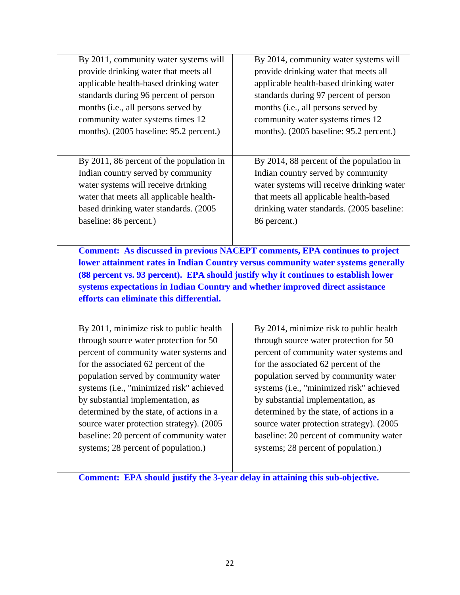| By 2011, community water systems will    | By 2014, community water systems will     |
|------------------------------------------|-------------------------------------------|
| provide drinking water that meets all    | provide drinking water that meets all     |
| applicable health-based drinking water   | applicable health-based drinking water    |
| standards during 96 percent of person    | standards during 97 percent of person     |
| months (i.e., all persons served by      | months (i.e., all persons served by       |
| community water systems times 12         | community water systems times 12          |
| months). (2005 baseline: 95.2 percent.)  | months). (2005 baseline: 95.2 percent.)   |
|                                          |                                           |
| By 2011, 86 percent of the population in | By 2014, 88 percent of the population in  |
| Indian country served by community       | Indian country served by community        |
| water systems will receive drinking      | water systems will receive drinking water |
| water that meets all applicable health-  | that meets all applicable health-based    |
| based drinking water standards. (2005)   | drinking water standards. (2005 baseline: |
| baseline: 86 percent.)                   | 86 percent.)                              |
|                                          |                                           |

 **Comment: As discussed in previous NACEPT comments, EPA continues to project lower attainment rates in Indian Country versus community water systems generally (88 percent vs. 93 percent). EPA should justify why it continues to establish lower systems expectations in Indian Country and whether improved direct assistance efforts can eliminate this differential.** 

| By 2011, minimize risk to public health   |  |
|-------------------------------------------|--|
| through source water protection for 50    |  |
| percent of community water systems and    |  |
| for the associated 62 percent of the      |  |
| population served by community water      |  |
| systems (i.e., "minimized risk" achieved  |  |
| by substantial implementation, as         |  |
| determined by the state, of actions in a  |  |
| source water protection strategy). (2005) |  |
| baseline: 20 percent of community water   |  |
| systems; 28 percent of population.)       |  |

 By 2014, minimize risk to public health through source water protection for 50 percent of community water systems and for the associated 62 percent of the population served by community water systems (i.e., "minimized risk" achieved by substantial implementation, as determined by the state, of actions in a source water protection strategy). (2005 baseline: 20 percent of community water systems; 28 percent of population.)

**Comment: EPA should justify the 3-year delay in attaining this sub-objective.**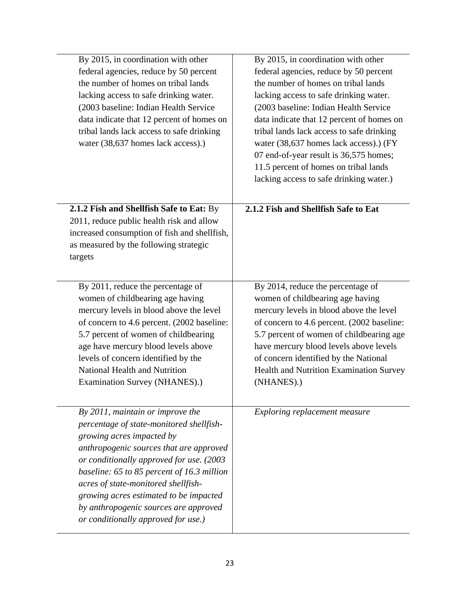| By 2015, in coordination with other<br>federal agencies, reduce by 50 percent<br>the number of homes on tribal lands<br>lacking access to safe drinking water.<br>(2003 baseline: Indian Health Service<br>data indicate that 12 percent of homes on<br>tribal lands lack access to safe drinking<br>water (38,637 homes lack access).)                                                                            | By 2015, in coordination with other<br>federal agencies, reduce by 50 percent<br>the number of homes on tribal lands<br>lacking access to safe drinking water.<br>(2003 baseline: Indian Health Service<br>data indicate that 12 percent of homes on<br>tribal lands lack access to safe drinking<br>water (38,637 homes lack access).) (FY<br>07 end-of-year result is 36,575 homes;<br>11.5 percent of homes on tribal lands<br>lacking access to safe drinking water.) |
|--------------------------------------------------------------------------------------------------------------------------------------------------------------------------------------------------------------------------------------------------------------------------------------------------------------------------------------------------------------------------------------------------------------------|---------------------------------------------------------------------------------------------------------------------------------------------------------------------------------------------------------------------------------------------------------------------------------------------------------------------------------------------------------------------------------------------------------------------------------------------------------------------------|
| 2.1.2 Fish and Shellfish Safe to Eat: By<br>2011, reduce public health risk and allow<br>increased consumption of fish and shellfish,<br>as measured by the following strategic<br>targets                                                                                                                                                                                                                         | 2.1.2 Fish and Shellfish Safe to Eat                                                                                                                                                                                                                                                                                                                                                                                                                                      |
| By 2011, reduce the percentage of<br>women of childbearing age having<br>mercury levels in blood above the level<br>of concern to 4.6 percent. (2002 baseline:<br>5.7 percent of women of childbearing<br>age have mercury blood levels above<br>levels of concern identified by the<br>National Health and Nutrition<br>Examination Survey (NHANES).)                                                             | By 2014, reduce the percentage of<br>women of childbearing age having<br>mercury levels in blood above the level<br>of concern to 4.6 percent. (2002 baseline:<br>5.7 percent of women of childbearing age<br>have mercury blood levels above levels<br>of concern identified by the National<br>Health and Nutrition Examination Survey<br>(NHANES).)                                                                                                                    |
| By $2011$ , maintain or improve the<br>percentage of state-monitored shellfish-<br>growing acres impacted by<br>anthropogenic sources that are approved<br>or conditionally approved for use. (2003<br>baseline: 65 to 85 percent of 16.3 million<br>acres of state-monitored shellfish-<br>growing acres estimated to be impacted<br>by anthropogenic sources are approved<br>or conditionally approved for use.) | Exploring replacement measure                                                                                                                                                                                                                                                                                                                                                                                                                                             |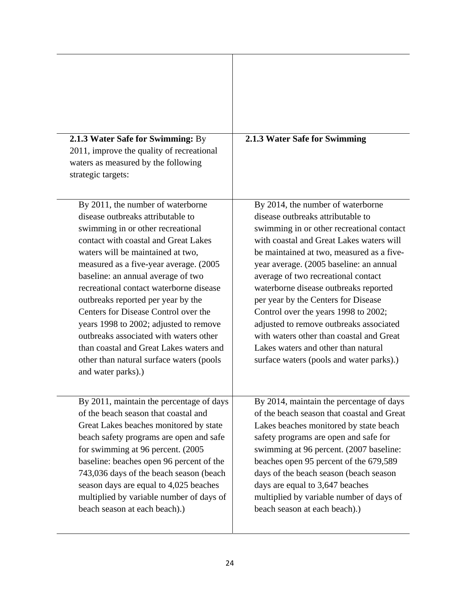| 2.1.3 Water Safe for Swimming: By<br>2011, improve the quality of recreational<br>waters as measured by the following<br>strategic targets:                                                                                                                                                                                                                                                                                                                                                                                                                                                         | 2.1.3 Water Safe for Swimming                                                                                                                                                                                                                                                                                                                                                                                                                                                                                                                                                                    |
|-----------------------------------------------------------------------------------------------------------------------------------------------------------------------------------------------------------------------------------------------------------------------------------------------------------------------------------------------------------------------------------------------------------------------------------------------------------------------------------------------------------------------------------------------------------------------------------------------------|--------------------------------------------------------------------------------------------------------------------------------------------------------------------------------------------------------------------------------------------------------------------------------------------------------------------------------------------------------------------------------------------------------------------------------------------------------------------------------------------------------------------------------------------------------------------------------------------------|
| By 2011, the number of waterborne<br>disease outbreaks attributable to<br>swimming in or other recreational<br>contact with coastal and Great Lakes<br>waters will be maintained at two,<br>measured as a five-year average. (2005)<br>baseline: an annual average of two<br>recreational contact waterborne disease<br>outbreaks reported per year by the<br>Centers for Disease Control over the<br>years 1998 to 2002; adjusted to remove<br>outbreaks associated with waters other<br>than coastal and Great Lakes waters and<br>other than natural surface waters (pools<br>and water parks).) | By 2014, the number of waterborne<br>disease outbreaks attributable to<br>swimming in or other recreational contact<br>with coastal and Great Lakes waters will<br>be maintained at two, measured as a five-<br>year average. (2005 baseline: an annual<br>average of two recreational contact<br>waterborne disease outbreaks reported<br>per year by the Centers for Disease<br>Control over the years 1998 to 2002;<br>adjusted to remove outbreaks associated<br>with waters other than coastal and Great<br>Lakes waters and other than natural<br>surface waters (pools and water parks).) |
| By 2011, maintain the percentage of days<br>of the beach season that coastal and<br>Great Lakes beaches monitored by state<br>beach safety programs are open and safe<br>for swimming at 96 percent. (2005)<br>baseline: beaches open 96 percent of the<br>743,036 days of the beach season (beach<br>season days are equal to 4,025 beaches<br>multiplied by variable number of days of<br>beach season at each beach).)                                                                                                                                                                           | By 2014, maintain the percentage of days<br>of the beach season that coastal and Great<br>Lakes beaches monitored by state beach<br>safety programs are open and safe for<br>swimming at 96 percent. (2007 baseline:<br>beaches open 95 percent of the 679,589<br>days of the beach season (beach season<br>days are equal to 3,647 beaches<br>multiplied by variable number of days of<br>beach season at each beach).)                                                                                                                                                                         |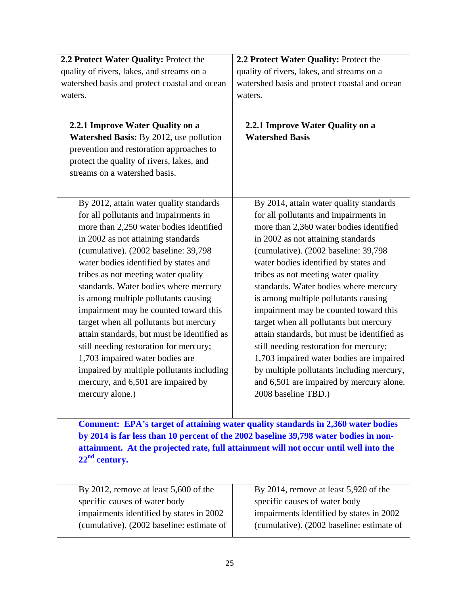| 2.2 Protect Water Quality: Protect the         | 2.2 Protect Water Quality: Protect the        |
|------------------------------------------------|-----------------------------------------------|
| quality of rivers, lakes, and streams on a     | quality of rivers, lakes, and streams on a    |
| watershed basis and protect coastal and ocean  | watershed basis and protect coastal and ocean |
| waters.                                        | waters.                                       |
|                                                |                                               |
| 2.2.1 Improve Water Quality on a               | 2.2.1 Improve Water Quality on a              |
| <b>Watershed Basis:</b> By 2012, use pollution | <b>Watershed Basis</b>                        |
| prevention and restoration approaches to       |                                               |
| protect the quality of rivers, lakes, and      |                                               |
| streams on a watershed basis.                  |                                               |
|                                                |                                               |
|                                                |                                               |
| By 2012, attain water quality standards        | By 2014, attain water quality standards       |
| for all pollutants and impairments in          | for all pollutants and impairments in         |
| more than 2,250 water bodies identified        | more than 2,360 water bodies identified       |
| in 2002 as not attaining standards             | in 2002 as not attaining standards            |
| (cumulative). (2002 baseline: 39,798           | (cumulative). (2002 baseline: 39,798          |
| water bodies identified by states and          | water bodies identified by states and         |
| tribes as not meeting water quality            | tribes as not meeting water quality           |
| standards. Water bodies where mercury          | standards. Water bodies where mercury         |
| is among multiple pollutants causing           | is among multiple pollutants causing          |
| impairment may be counted toward this          | impairment may be counted toward this         |
| target when all pollutants but mercury         | target when all pollutants but mercury        |
| attain standards, but must be identified as    | attain standards, but must be identified as   |
| still needing restoration for mercury;         | still needing restoration for mercury;        |
| 1,703 impaired water bodies are                | 1,703 impaired water bodies are impaired      |
| impaired by multiple pollutants including      | by multiple pollutants including mercury,     |
| mercury, and 6,501 are impaired by             | and 6,501 are impaired by mercury alone.      |
| mercury alone.)                                | 2008 baseline TBD.)                           |
|                                                |                                               |

 **Comment: EPA's target of attaining water quality standards in 2,360 water bodies by 2014 is far less than 10 percent of the 2002 baseline 39,798 water bodies in nonattainment. At the projected rate, full attainment will not occur until well into the 22nd century.** 

| By 2012, remove at least $5,600$ of the   | By 2014, remove at least 5,920 of the     |
|-------------------------------------------|-------------------------------------------|
| specific causes of water body             | specific causes of water body             |
| impairments identified by states in 2002  | impairments identified by states in 2002  |
| (cumulative). (2002 baseline: estimate of | (cumulative). (2002 baseline: estimate of |
|                                           |                                           |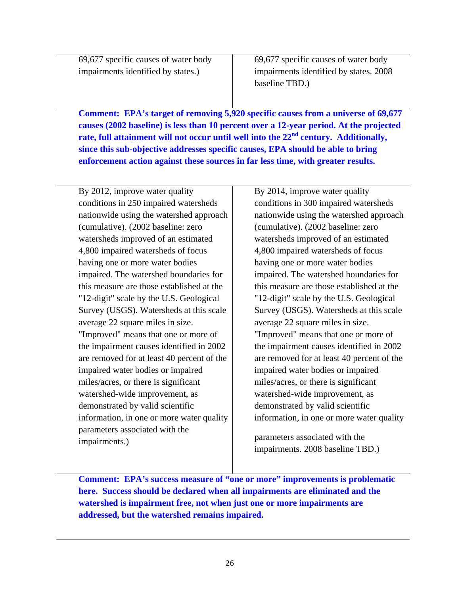69,677 specific causes of water body 69,677 specific causes of water body

impairments identified by states.) impairments identified by states. 2008 baseline TBD.)

 **Comment: EPA's target of removing 5,920 specific causes from a universe of 69,677 causes (2002 baseline) is less than 10 percent over a 12-year period. At the projected**  rate, full attainment will not occur until well into the 22<sup>nd</sup> century. Additionally, **since this sub-objective addresses specific causes, EPA should be able to bring enforcement action against these sources in far less time, with greater results.** 

By 2012, improve water quality By 2014, improve water quality conditions in 250 impaired watersheds conditions in 300 impaired watersheds nationwide using the watershed approach nationwide using the watershed approach (cumulative). (2002 baseline: zero (cumulative). (2002 baseline: zero watersheds improved of an estimated watersheds improved of an estimated 4,800 impaired watersheds of focus 4,800 impaired watersheds of focus having one or more water bodies having one or more water bodies impaired. The watershed boundaries for impaired. The watershed boundaries for this measure are those established at the  $\parallel$  this measure are those established at the "12-digit" scale by the U.S. Geological "12-digit" scale by the U.S. Geological Survey (USGS). Watersheds at this scale Survey (USGS). Watersheds at this scale average 22 square miles in size. average 22 square miles in size. "Improved" means that one or more of "Improved" means that one or more of the impairment causes identified in  $2002$  the impairment causes identified in  $2002$ are removed for at least 40 percent of the  $\parallel$  are removed for at least 40 percent of the impaired water bodies or impaired impaired water bodies or impaired miles/acres, or there is significant miles/acres, or there is significant watershed-wide improvement, as watershed-wide improvement, as demonstrated by valid scientific demonstrated by valid scientific information, in one or more water quality  $\parallel$  information, in one or more water quality parameters associated with the impairments.) parameters associated with the

impairments. 2008 baseline TBD.)

 **Comment: EPA's success measure of "one or more" improvements is problematic here. Success should be declared when all impairments are eliminated and the watershed is impairment free, not when just one or more impairments are addressed, but the watershed remains impaired.**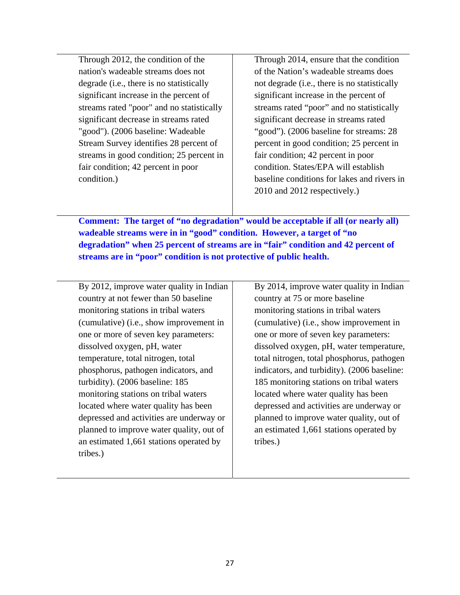Through 2012, the condition of the nation's wadeable streams does not degrade (i.e., there is no statistically significant increase in the percent of streams rated "poor" and no statistically significant decrease in streams rated "good"). (2006 baseline: Wadeable Stream Survey identifies 28 percent of streams in good condition; 25 percent in fair condition; 42 percent in poor condition.)

 Through 2014, ensure that the condition of the Nation's wadeable streams does not degrade (i.e., there is no statistically significant increase in the percent of streams rated "poor" and no statistically significant decrease in streams rated "good"). (2006 baseline for streams: 28 percent in good condition; 25 percent in fair condition; 42 percent in poor condition. States/EPA will establish baseline conditions for lakes and rivers in 2010 and 2012 respectively.)

 **Comment: The target of "no degradation" would be acceptable if all (or nearly all) wadeable streams were in in "good" condition. However, a target of "no degradation" when 25 percent of streams are in "fair" condition and 42 percent of streams are in "poor" condition is not protective of public health.** 

 By 2012, improve water quality in Indian country at not fewer than 50 baseline monitoring stations in tribal waters (cumulative) (i.e., show improvement in one or more of seven key parameters: dissolved oxygen, pH, water temperature, total nitrogen, total phosphorus, pathogen indicators, and turbidity). (2006 baseline: 185 monitoring stations on tribal waters located where water quality has been depressed and activities are underway or planned to improve water quality, out of an estimated 1,661 stations operated by tribes.)

 By 2014, improve water quality in Indian country at 75 or more baseline monitoring stations in tribal waters (cumulative) (i.e., show improvement in one or more of seven key parameters: dissolved oxygen, pH, water temperature, total nitrogen, total phosphorus, pathogen indicators, and turbidity). (2006 baseline: 185 monitoring stations on tribal waters located where water quality has been depressed and activities are underway or planned to improve water quality, out of an estimated 1,661 stations operated by tribes.)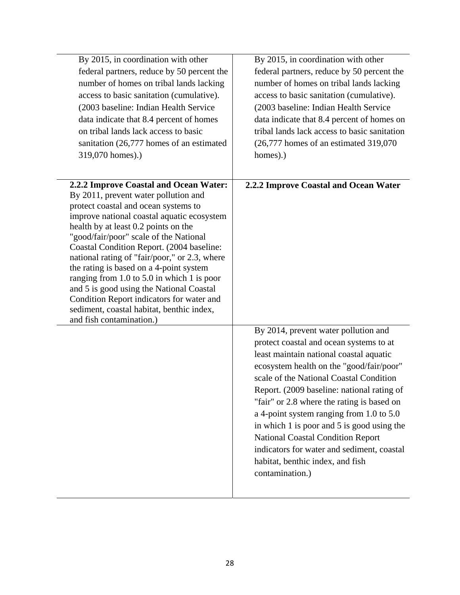| By 2015, in coordination with other<br>federal partners, reduce by 50 percent the<br>number of homes on tribal lands lacking<br>access to basic sanitation (cumulative).<br>(2003 baseline: Indian Health Service<br>data indicate that 8.4 percent of homes<br>on tribal lands lack access to basic<br>sanitation (26,777 homes of an estimated<br>319,070 homes).)                                                                                                                                                                                                                                                | By 2015, in coordination with other<br>federal partners, reduce by 50 percent the<br>number of homes on tribal lands lacking<br>access to basic sanitation (cumulative).<br>(2003 baseline: Indian Health Service<br>data indicate that 8.4 percent of homes on<br>tribal lands lack access to basic sanitation<br>$(26,777)$ homes of an estimated 319,070<br>homes).)                                                                                                                                                                                  |
|---------------------------------------------------------------------------------------------------------------------------------------------------------------------------------------------------------------------------------------------------------------------------------------------------------------------------------------------------------------------------------------------------------------------------------------------------------------------------------------------------------------------------------------------------------------------------------------------------------------------|----------------------------------------------------------------------------------------------------------------------------------------------------------------------------------------------------------------------------------------------------------------------------------------------------------------------------------------------------------------------------------------------------------------------------------------------------------------------------------------------------------------------------------------------------------|
| 2.2.2 Improve Coastal and Ocean Water:<br>By 2011, prevent water pollution and<br>protect coastal and ocean systems to<br>improve national coastal aquatic ecosystem<br>health by at least 0.2 points on the<br>"good/fair/poor" scale of the National<br>Coastal Condition Report. (2004 baseline:<br>national rating of "fair/poor," or 2.3, where<br>the rating is based on a 4-point system<br>ranging from $1.0$ to $5.0$ in which 1 is poor<br>and 5 is good using the National Coastal<br>Condition Report indicators for water and<br>sediment, coastal habitat, benthic index,<br>and fish contamination.) | 2.2.2 Improve Coastal and Ocean Water                                                                                                                                                                                                                                                                                                                                                                                                                                                                                                                    |
|                                                                                                                                                                                                                                                                                                                                                                                                                                                                                                                                                                                                                     | By 2014, prevent water pollution and<br>protect coastal and ocean systems to at<br>least maintain national coastal aquatic<br>ecosystem health on the "good/fair/poor"<br>scale of the National Coastal Condition<br>Report. (2009 baseline: national rating of<br>"fair" or 2.8 where the rating is based on<br>a 4-point system ranging from 1.0 to 5.0<br>in which 1 is poor and 5 is good using the<br><b>National Coastal Condition Report</b><br>indicators for water and sediment, coastal<br>habitat, benthic index, and fish<br>contamination.) |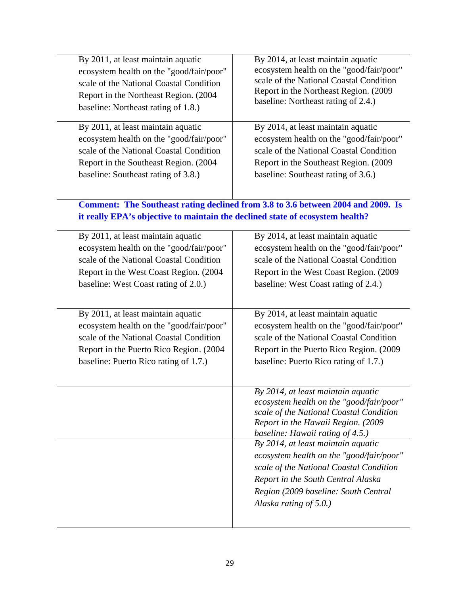| By 2011, at least maintain aquatic<br>ecosystem health on the "good/fair/poor"<br>scale of the National Coastal Condition<br>Report in the Northeast Region. (2004)<br>baseline: Northeast rating of 1.8.) | By 2014, at least maintain aquatic<br>ecosystem health on the "good/fair/poor"<br>scale of the National Coastal Condition<br>Report in the Northeast Region. (2009<br>baseline: Northeast rating of 2.4.)                            |
|------------------------------------------------------------------------------------------------------------------------------------------------------------------------------------------------------------|--------------------------------------------------------------------------------------------------------------------------------------------------------------------------------------------------------------------------------------|
| By 2011, at least maintain aquatic                                                                                                                                                                         | By 2014, at least maintain aquatic                                                                                                                                                                                                   |
| ecosystem health on the "good/fair/poor"<br>scale of the National Coastal Condition                                                                                                                        | ecosystem health on the "good/fair/poor"<br>scale of the National Coastal Condition                                                                                                                                                  |
| Report in the Southeast Region. (2004)                                                                                                                                                                     | Report in the Southeast Region. (2009)                                                                                                                                                                                               |
| baseline: Southeast rating of 3.8.)                                                                                                                                                                        | baseline: Southeast rating of 3.6.)                                                                                                                                                                                                  |
| it really EPA's objective to maintain the declined state of ecosystem health?                                                                                                                              | Comment: The Southeast rating declined from 3.8 to 3.6 between 2004 and 2009. Is                                                                                                                                                     |
|                                                                                                                                                                                                            |                                                                                                                                                                                                                                      |
| By 2011, at least maintain aquatic                                                                                                                                                                         | By 2014, at least maintain aquatic                                                                                                                                                                                                   |
| ecosystem health on the "good/fair/poor"                                                                                                                                                                   | ecosystem health on the "good/fair/poor"                                                                                                                                                                                             |
| scale of the National Coastal Condition                                                                                                                                                                    | scale of the National Coastal Condition                                                                                                                                                                                              |
| Report in the West Coast Region. (2004)                                                                                                                                                                    | Report in the West Coast Region. (2009)                                                                                                                                                                                              |
| baseline: West Coast rating of 2.0.)                                                                                                                                                                       | baseline: West Coast rating of 2.4.)                                                                                                                                                                                                 |
| By 2011, at least maintain aquatic                                                                                                                                                                         | By 2014, at least maintain aquatic                                                                                                                                                                                                   |
| ecosystem health on the "good/fair/poor"                                                                                                                                                                   | ecosystem health on the "good/fair/poor"                                                                                                                                                                                             |
| scale of the National Coastal Condition                                                                                                                                                                    | scale of the National Coastal Condition                                                                                                                                                                                              |
| Report in the Puerto Rico Region. (2004)                                                                                                                                                                   | Report in the Puerto Rico Region. (2009)                                                                                                                                                                                             |
| baseline: Puerto Rico rating of 1.7.)                                                                                                                                                                      | baseline: Puerto Rico rating of 1.7.)                                                                                                                                                                                                |
|                                                                                                                                                                                                            | By 2014, at least maintain aquatic<br>ecosystem health on the "good/fair/poor"<br>scale of the National Coastal Condition<br>Report in the Hawaii Region. (2009<br>baseline: Hawaii rating of 4.5.)                                  |
|                                                                                                                                                                                                            | By 2014, at least maintain aquatic<br>ecosystem health on the "good/fair/poor"<br>scale of the National Coastal Condition<br>Report in the South Central Alaska<br>Region (2009 baseline: South Central<br>Alaska rating of $5.0$ .) |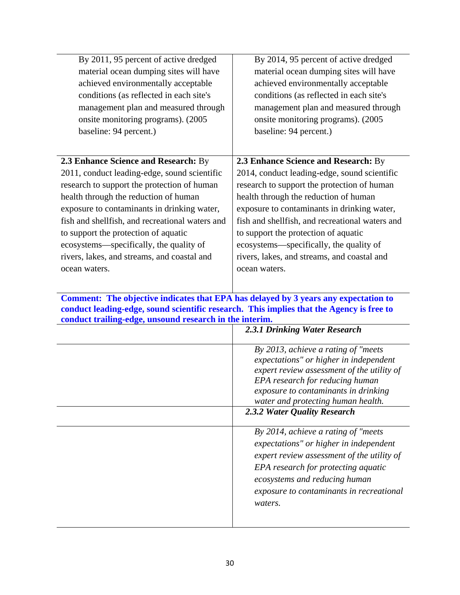| By 2011, 95 percent of active dredged<br>material ocean dumping sites will have<br>achieved environmentally acceptable<br>conditions (as reflected in each site's<br>management plan and measured through<br>onsite monitoring programs). (2005<br>baseline: 94 percent.)                                                                                                                                                         | By 2014, 95 percent of active dredged<br>material ocean dumping sites will have<br>achieved environmentally acceptable<br>conditions (as reflected in each site's<br>management plan and measured through<br>onsite monitoring programs). (2005<br>baseline: 94 percent.)                                                                                                                                                         |
|-----------------------------------------------------------------------------------------------------------------------------------------------------------------------------------------------------------------------------------------------------------------------------------------------------------------------------------------------------------------------------------------------------------------------------------|-----------------------------------------------------------------------------------------------------------------------------------------------------------------------------------------------------------------------------------------------------------------------------------------------------------------------------------------------------------------------------------------------------------------------------------|
| 2.3 Enhance Science and Research: By<br>2011, conduct leading-edge, sound scientific<br>research to support the protection of human<br>health through the reduction of human<br>exposure to contaminants in drinking water,<br>fish and shellfish, and recreational waters and<br>to support the protection of aquatic<br>ecosystems—specifically, the quality of<br>rivers, lakes, and streams, and coastal and<br>ocean waters. | 2.3 Enhance Science and Research: By<br>2014, conduct leading-edge, sound scientific<br>research to support the protection of human<br>health through the reduction of human<br>exposure to contaminants in drinking water,<br>fish and shellfish, and recreational waters and<br>to support the protection of aquatic<br>ecosystems—specifically, the quality of<br>rivers, lakes, and streams, and coastal and<br>ocean waters. |
|                                                                                                                                                                                                                                                                                                                                                                                                                                   |                                                                                                                                                                                                                                                                                                                                                                                                                                   |
| Comment: The objective indicates that EPA has delayed by 3 years any expectation to<br>conduct leading-edge, sound scientific research. This implies that the Agency is free to<br>conduct trailing-edge, unsound research in the interim.                                                                                                                                                                                        | 2.3.1 Drinking Water Research                                                                                                                                                                                                                                                                                                                                                                                                     |
|                                                                                                                                                                                                                                                                                                                                                                                                                                   | By 2013, achieve a rating of "meets"<br>expectations" or higher in independent<br>expert review assessment of the utility of<br>EPA research for reducing human<br>exposure to contaminants in drinking<br>water and protecting human health.<br>2.3.2 Water Quality Research                                                                                                                                                     |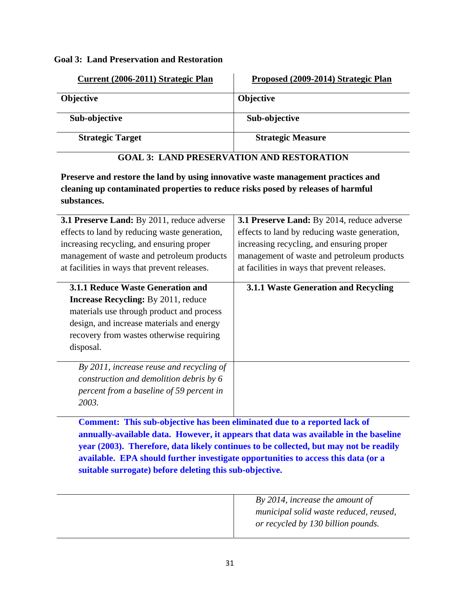#### **Goal 3: Land Preservation and Restoration**

| Current (2006-2011) Strategic Plan | Proposed (2009-2014) Strategic Plan |
|------------------------------------|-------------------------------------|
| <b>Objective</b>                   | <b>Objective</b>                    |
| Sub-objective                      | Sub-objective                       |
| <b>Strategic Target</b>            | <b>Strategic Measure</b>            |

## **GOAL 3: LAND PRESERVATION AND RESTORATION**

Preserve and restore the land by using innovative waste management practices and **cleaning up c ontaminated properties to reduce risks posed by releases of harmful substances.** 

| 3.1 Preserve Land: By 2011, reduce adverse<br>effects to land by reducing waste generation,<br>increasing recycling, and ensuring proper<br>management of waste and petroleum products<br>at facilities in ways that prevent releases. | 3.1 Preserve Land: By 2014, reduce adverse<br>effects to land by reducing waste generation,<br>increasing recycling, and ensuring proper<br>management of waste and petroleum products<br>at facilities in ways that prevent releases. |
|----------------------------------------------------------------------------------------------------------------------------------------------------------------------------------------------------------------------------------------|----------------------------------------------------------------------------------------------------------------------------------------------------------------------------------------------------------------------------------------|
| <b>3.1.1 Reduce Waste Generation and</b>                                                                                                                                                                                               | 3.1.1 Waste Generation and Recycling                                                                                                                                                                                                   |
| <b>Increase Recycling:</b> By 2011, reduce                                                                                                                                                                                             |                                                                                                                                                                                                                                        |
| materials use through product and process                                                                                                                                                                                              |                                                                                                                                                                                                                                        |
| design, and increase materials and energy                                                                                                                                                                                              |                                                                                                                                                                                                                                        |
| recovery from wastes otherwise requiring                                                                                                                                                                                               |                                                                                                                                                                                                                                        |
| disposal.                                                                                                                                                                                                                              |                                                                                                                                                                                                                                        |
| By 2011, increase reuse and recycling of                                                                                                                                                                                               |                                                                                                                                                                                                                                        |
| construction and demolition debris by 6                                                                                                                                                                                                |                                                                                                                                                                                                                                        |
| percent from a baseline of 59 percent in                                                                                                                                                                                               |                                                                                                                                                                                                                                        |
| 2003.                                                                                                                                                                                                                                  |                                                                                                                                                                                                                                        |
| <b>Comment: This sub-objective has been eliminated due to a reported lack of</b>                                                                                                                                                       |                                                                                                                                                                                                                                        |
|                                                                                                                                                                                                                                        | annually-available data. However, it appears that data was available in the baseline                                                                                                                                                   |
|                                                                                                                                                                                                                                        | year (2003). Therefore, data likely continues to be collected, but may not be readily                                                                                                                                                  |

**available. EPA should further investigate opportunities to access this data (or a suitable surrogate) before deleting this sub-objective.** 

| By 2014, increase the amount of        |
|----------------------------------------|
| municipal solid waste reduced, reused, |
| or recycled by 130 billion pounds.     |
|                                        |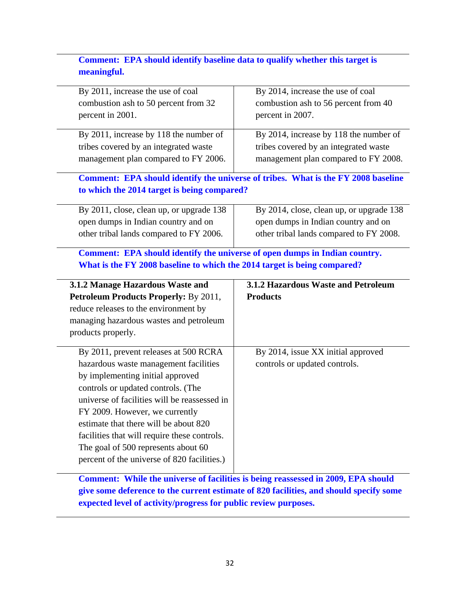## **Comment: EPA should identify baseline data to qualify whether this target is meaningful.**

| By 2011, increase the use of coal                                                  | By 2014, increase the use of coal                                                 |
|------------------------------------------------------------------------------------|-----------------------------------------------------------------------------------|
| combustion ash to 50 percent from 32                                               | combustion ash to 56 percent from 40                                              |
| percent in 2001.                                                                   | percent in 2007.                                                                  |
| By 2011, increase by 118 the number of                                             |                                                                                   |
|                                                                                    | By 2014, increase by 118 the number of                                            |
| tribes covered by an integrated waste                                              | tribes covered by an integrated waste                                             |
| management plan compared to FY 2006.                                               | management plan compared to FY 2008.                                              |
|                                                                                    | Comment: EPA should identify the universe of tribes. What is the FY 2008 baseline |
| to which the 2014 target is being compared?                                        |                                                                                   |
| By 2011, close, clean up, or upgrade 138                                           | By 2014, close, clean up, or upgrade 138                                          |
| open dumps in Indian country and on                                                | open dumps in Indian country and on                                               |
| other tribal lands compared to FY 2006.                                            | other tribal lands compared to FY 2008.                                           |
| Comment: EPA should identify the universe of open dumps in Indian country.         |                                                                                   |
|                                                                                    |                                                                                   |
| What is the FY 2008 baseline to which the 2014 target is being compared?           |                                                                                   |
|                                                                                    |                                                                                   |
| 3.1.2 Manage Hazardous Waste and                                                   | 3.1.2 Hazardous Waste and Petroleum                                               |
| <b>Petroleum Products Properly: By 2011,</b>                                       | <b>Products</b>                                                                   |
| reduce releases to the environment by                                              |                                                                                   |
| managing hazardous wastes and petroleum                                            |                                                                                   |
| products properly.                                                                 |                                                                                   |
|                                                                                    |                                                                                   |
| By 2011, prevent releases at 500 RCRA                                              | By 2014, issue XX initial approved                                                |
| hazardous waste management facilities                                              | controls or updated controls.                                                     |
| by implementing initial approved                                                   |                                                                                   |
| controls or updated controls. (The                                                 |                                                                                   |
| universe of facilities will be reassessed in                                       |                                                                                   |
| FY 2009. However, we currently                                                     |                                                                                   |
| estimate that there will be about 820                                              |                                                                                   |
| facilities that will require these controls.                                       |                                                                                   |
| The goal of 500 represents about 60<br>percent of the universe of 820 facilities.) |                                                                                   |

**Comment: While the universe of facilities is being reassessed in 2009, EPA should give some deference to the current estimate of 820 facilities, and should specify some expected level of activity/progress for public review purposes.**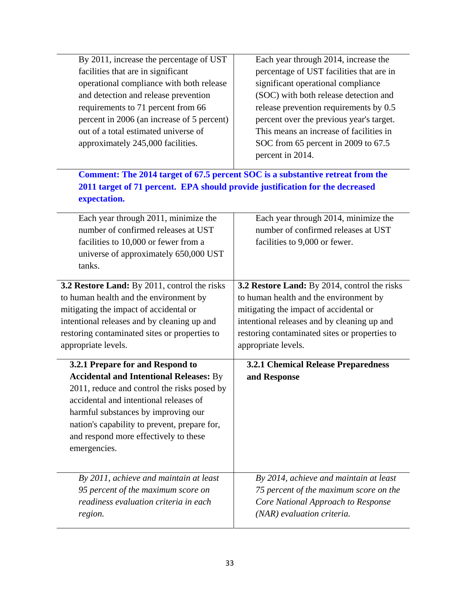| By 2011, increase the percentage of UST<br>facilities that are in significant<br>operational compliance with both release<br>and detection and release prevention<br>requirements to 71 percent from 66<br>percent in 2006 (an increase of 5 percent)<br>out of a total estimated universe of<br>approximately 245,000 facilities. | Each year through 2014, increase the<br>percentage of UST facilities that are in<br>significant operational compliance<br>(SOC) with both release detection and<br>release prevention requirements by 0.5<br>percent over the previous year's target.<br>This means an increase of facilities in<br>SOC from 65 percent in 2009 to 67.5<br>percent in 2014. |
|------------------------------------------------------------------------------------------------------------------------------------------------------------------------------------------------------------------------------------------------------------------------------------------------------------------------------------|-------------------------------------------------------------------------------------------------------------------------------------------------------------------------------------------------------------------------------------------------------------------------------------------------------------------------------------------------------------|
| 2011 target of 71 percent. EPA should provide justification for the decreased<br>expectation.                                                                                                                                                                                                                                      | Comment: The 2014 target of 67.5 percent SOC is a substantive retreat from the                                                                                                                                                                                                                                                                              |
| Each year through 2011, minimize the                                                                                                                                                                                                                                                                                               | Each year through 2014, minimize the                                                                                                                                                                                                                                                                                                                        |
| number of confirmed releases at UST                                                                                                                                                                                                                                                                                                | number of confirmed releases at UST                                                                                                                                                                                                                                                                                                                         |
| facilities to 10,000 or fewer from a<br>universe of approximately 650,000 UST<br>tanks.                                                                                                                                                                                                                                            | facilities to 9,000 or fewer.                                                                                                                                                                                                                                                                                                                               |
| 3.2 Restore Land: By 2011, control the risks                                                                                                                                                                                                                                                                                       | 3.2 Restore Land: By 2014, control the risks                                                                                                                                                                                                                                                                                                                |
| to human health and the environment by                                                                                                                                                                                                                                                                                             | to human health and the environment by                                                                                                                                                                                                                                                                                                                      |
| mitigating the impact of accidental or                                                                                                                                                                                                                                                                                             | mitigating the impact of accidental or                                                                                                                                                                                                                                                                                                                      |
| intentional releases and by cleaning up and                                                                                                                                                                                                                                                                                        | intentional releases and by cleaning up and                                                                                                                                                                                                                                                                                                                 |
| restoring contaminated sites or properties to                                                                                                                                                                                                                                                                                      | restoring contaminated sites or properties to                                                                                                                                                                                                                                                                                                               |
| appropriate levels.                                                                                                                                                                                                                                                                                                                | appropriate levels.                                                                                                                                                                                                                                                                                                                                         |
| 3.2.1 Prepare for and Respond to                                                                                                                                                                                                                                                                                                   | <b>3.2.1 Chemical Release Preparedness</b>                                                                                                                                                                                                                                                                                                                  |
| <b>Accidental and Intentional Releases: By</b><br>2011, reduce and control the risks posed by<br>accidental and intentional releases of<br>harmful substances by improving our<br>nation's capability to prevent, prepare for,<br>and respond more effectively to these<br>emergencies.                                            | and Response                                                                                                                                                                                                                                                                                                                                                |
| By 2011, achieve and maintain at least<br>95 percent of the maximum score on<br>readiness evaluation criteria in each<br>region.                                                                                                                                                                                                   | By 2014, achieve and maintain at least<br>75 percent of the maximum score on the<br>Core National Approach to Response<br>(NAR) evaluation criteria.                                                                                                                                                                                                        |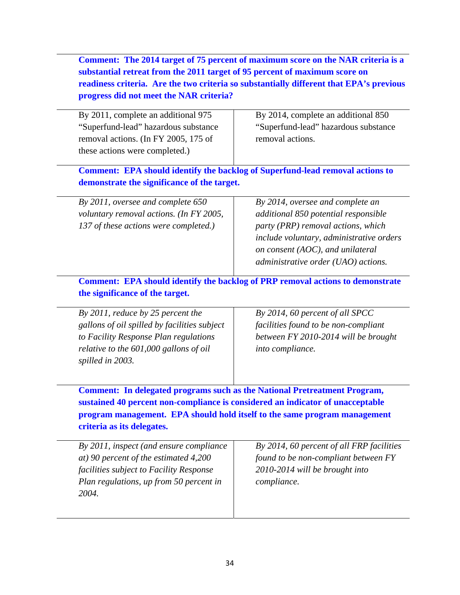**Comment: The 2014 target of 75 percent of maximum score on the NAR criteria is a substantial retreat from the 2011 target of 95 percent of maximum score on readiness criteria. Are the two criteria so substantially different that EPA's previous progress did not meet the NAR criteria?** 

| By 2011, complete an additional 975  | By 2014, complete an additional 850  |
|--------------------------------------|--------------------------------------|
| "Superfund-lead" hazardous substance | "Superfund-lead" hazardous substance |
| removal actions. (In FY 2005, 175 of | removal actions.                     |
| these actions were completed.)       |                                      |
|                                      |                                      |

 **Comment: EPA should identify the backlog of Superfund-lead removal actions to demonstrate the significance of the target.** 

 *By 2011, oversee and complete 650 voluntary removal actions. (In FY 2005, 137 of these actions were completed.)* 

*By 2014, oversee and complete an additional 850 potential responsible party (PRP) removal actions, which include voluntary, administrative orders on consent (AOC), and unilateral administrative order (UAO) actions.* 

 **Comment: EPA should identify the backlog of PRP removal actions to demonstrate the significance of the target.** 

| By 2011, reduce by 25 percent the            | By 2014, 60 percent of all SPCC      |
|----------------------------------------------|--------------------------------------|
| gallons of oil spilled by facilities subject | facilities found to be non-compliant |
| to Facility Response Plan regulations        | between FY 2010-2014 will be brought |
| relative to the 601,000 gallons of oil       | into compliance.                     |
| spilled in 2003.                             |                                      |
|                                              |                                      |

 **Comment: In delegated programs such as the National Pretreatment Program, sustained 40 percent non-compliance is considered an indicator of unacceptable program management. EPA should hold itself to the same program management criteria as its delegates.** 

| By 2011, inspect (and ensure compliance | By 2014, 60 percent of all FRP facilities |
|-----------------------------------------|-------------------------------------------|
| at) 90 percent of the estimated 4,200   | found to be non-compliant between FY      |
| facilities subject to Facility Response | 2010-2014 will be brought into            |
| Plan regulations, up from 50 percent in | compliance.                               |
| 2004.                                   |                                           |
|                                         |                                           |
|                                         |                                           |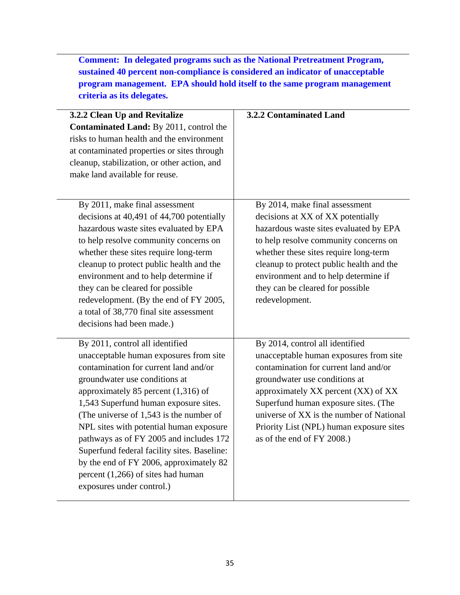**Comment: In delegated programs such as the National Pretreatment Program, sustained 40 percent non-compliance is considered an indicator of unacceptable program management. EPA should hold itself to the same program management criteria as its delegates.** 

| 3.2.2 Clean Up and Revitalize<br>Contaminated Land: By 2011, control the<br>risks to human health and the environment<br>at contaminated properties or sites through<br>cleanup, stabilization, or other action, and<br>make land available for reuse.                                                                                                                                                                                                                                                                                | 3.2.2 Contaminated Land                                                                                                                                                                                                                                                                                                                                  |
|---------------------------------------------------------------------------------------------------------------------------------------------------------------------------------------------------------------------------------------------------------------------------------------------------------------------------------------------------------------------------------------------------------------------------------------------------------------------------------------------------------------------------------------|----------------------------------------------------------------------------------------------------------------------------------------------------------------------------------------------------------------------------------------------------------------------------------------------------------------------------------------------------------|
| By 2011, make final assessment<br>decisions at 40,491 of 44,700 potentially<br>hazardous waste sites evaluated by EPA<br>to help resolve community concerns on<br>whether these sites require long-term<br>cleanup to protect public health and the<br>environment and to help determine if<br>they can be cleared for possible<br>redevelopment. (By the end of FY 2005,<br>a total of 38,770 final site assessment<br>decisions had been made.)                                                                                     | By 2014, make final assessment<br>decisions at XX of XX potentially<br>hazardous waste sites evaluated by EPA<br>to help resolve community concerns on<br>whether these sites require long-term<br>cleanup to protect public health and the<br>environment and to help determine if<br>they can be cleared for possible<br>redevelopment.                |
| By 2011, control all identified<br>unacceptable human exposures from site<br>contamination for current land and/or<br>groundwater use conditions at<br>approximately 85 percent $(1,316)$ of<br>1,543 Superfund human exposure sites.<br>(The universe of 1,543 is the number of<br>NPL sites with potential human exposure<br>pathways as of FY 2005 and includes 172<br>Superfund federal facility sites. Baseline:<br>by the end of FY 2006, approximately 82<br>percent $(1,266)$ of sites had human<br>exposures under control.) | By 2014, control all identified<br>unacceptable human exposures from site<br>contamination for current land and/or<br>groundwater use conditions at<br>approximately XX percent (XX) of XX<br>Superfund human exposure sites. (The<br>universe of XX is the number of National<br>Priority List (NPL) human exposure sites<br>as of the end of FY 2008.) |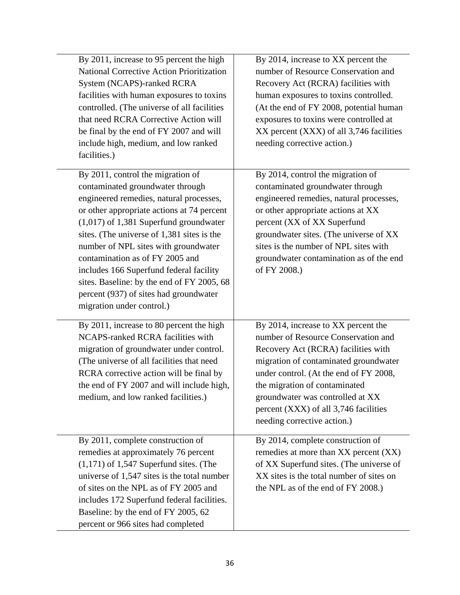| By 2011, increase to 95 percent the high<br><b>National Corrective Action Prioritization</b><br>System (NCAPS)-ranked RCRA<br>facilities with human exposures to toxins<br>controlled. (The universe of all facilities<br>that need RCRA Corrective Action will<br>be final by the end of FY 2007 and will<br>include high, medium, and low ranked<br>facilities.)                                                                                                                                  | By 2014, increase to XX percent the<br>number of Resource Conservation and<br>Recovery Act (RCRA) facilities with<br>human exposures to toxins controlled.<br>(At the end of FY 2008, potential human<br>exposures to toxins were controlled at<br>XX percent (XXX) of all 3,746 facilities<br>needing corrective action.)                        |
|-----------------------------------------------------------------------------------------------------------------------------------------------------------------------------------------------------------------------------------------------------------------------------------------------------------------------------------------------------------------------------------------------------------------------------------------------------------------------------------------------------|---------------------------------------------------------------------------------------------------------------------------------------------------------------------------------------------------------------------------------------------------------------------------------------------------------------------------------------------------|
| By 2011, control the migration of<br>contaminated groundwater through<br>engineered remedies, natural processes,<br>or other appropriate actions at 74 percent<br>$(1,017)$ of 1,381 Superfund groundwater<br>sites. (The universe of 1,381 sites is the<br>number of NPL sites with groundwater<br>contamination as of FY 2005 and<br>includes 166 Superfund federal facility<br>sites. Baseline: by the end of FY 2005, 68<br>percent (937) of sites had groundwater<br>migration under control.) | By 2014, control the migration of<br>contaminated groundwater through<br>engineered remedies, natural processes,<br>or other appropriate actions at XX<br>percent (XX of XX Superfund<br>groundwater sites. (The universe of XX<br>sites is the number of NPL sites with<br>groundwater contamination as of the end<br>of FY 2008.)               |
| By 2011, increase to 80 percent the high<br>NCAPS-ranked RCRA facilities with<br>migration of groundwater under control.<br>(The universe of all facilities that need<br>RCRA corrective action will be final by<br>the end of FY 2007 and will include high,<br>medium, and low ranked facilities.)                                                                                                                                                                                                | By 2014, increase to XX percent the<br>number of Resource Conservation and<br>Recovery Act (RCRA) facilities with<br>migration of contaminated groundwater<br>under control. (At the end of FY 2008,<br>the migration of contaminated<br>groundwater was controlled at XX<br>percent (XXX) of all 3,746 facilities<br>needing corrective action.) |
| By 2011, complete construction of<br>remedies at approximately 76 percent<br>$(1,171)$ of 1,547 Superfund sites. (The<br>universe of 1,547 sites is the total number<br>of sites on the NPL as of FY 2005 and<br>includes 172 Superfund federal facilities.<br>Baseline: by the end of FY 2005, 62<br>percent or 966 sites had completed                                                                                                                                                            | By 2014, complete construction of<br>remedies at more than XX percent (XX)<br>of XX Superfund sites. (The universe of<br>XX sites is the total number of sites on<br>the NPL as of the end of FY 2008.)                                                                                                                                           |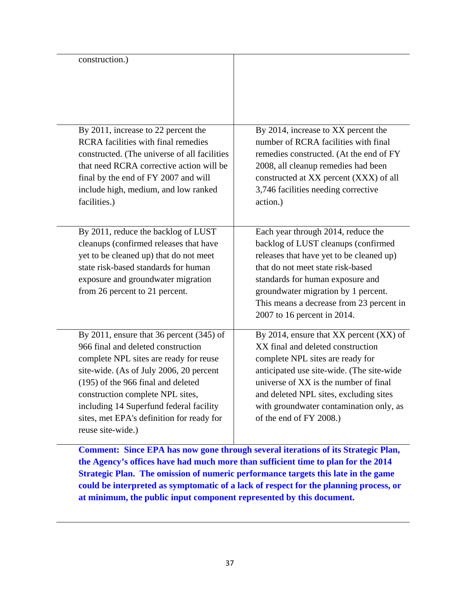| construction.)                                                                                                                                                                                                                                                                                                                                               |                                                                                                                                                                                                                                                                                                                            |
|--------------------------------------------------------------------------------------------------------------------------------------------------------------------------------------------------------------------------------------------------------------------------------------------------------------------------------------------------------------|----------------------------------------------------------------------------------------------------------------------------------------------------------------------------------------------------------------------------------------------------------------------------------------------------------------------------|
| By 2011, increase to 22 percent the<br><b>RCRA</b> facilities with final remedies<br>constructed. (The universe of all facilities<br>that need RCRA corrective action will be<br>final by the end of FY 2007 and will<br>include high, medium, and low ranked<br>facilities.)                                                                                | By 2014, increase to XX percent the<br>number of RCRA facilities with final<br>remedies constructed. (At the end of FY<br>2008, all cleanup remedies had been<br>constructed at XX percent (XXX) of all<br>3,746 facilities needing corrective<br>action.)                                                                 |
| By 2011, reduce the backlog of LUST<br>cleanups (confirmed releases that have<br>yet to be cleaned up) that do not meet<br>state risk-based standards for human<br>exposure and groundwater migration<br>from 26 percent to 21 percent.                                                                                                                      | Each year through 2014, reduce the<br>backlog of LUST cleanups (confirmed<br>releases that have yet to be cleaned up)<br>that do not meet state risk-based<br>standards for human exposure and<br>groundwater migration by 1 percent.<br>This means a decrease from 23 percent in<br>2007 to 16 percent in 2014.           |
| By 2011, ensure that 36 percent $(345)$ of<br>966 final and deleted construction<br>complete NPL sites are ready for reuse<br>site-wide. (As of July 2006, 20 percent<br>(195) of the 966 final and deleted<br>construction complete NPL sites,<br>including 14 Superfund federal facility<br>sites, met EPA's definition for ready for<br>reuse site-wide.) | By 2014, ensure that $XX$ percent $(XX)$ of<br>XX final and deleted construction<br>complete NPL sites are ready for<br>anticipated use site-wide. (The site-wide<br>universe of XX is the number of final<br>and deleted NPL sites, excluding sites<br>with groundwater contamination only, as<br>of the end of FY 2008.) |

 **Comment: Since EPA has now gone through several iterations of its Strategic Plan, the Agency's offices have had much more than sufficient time to plan for the 2014 Strategic Plan. The omission of numeric performance targets this late in the game could be interpreted as symptomatic of a lack of respect for the planning process, or at minimum, the public input component represented by this document.**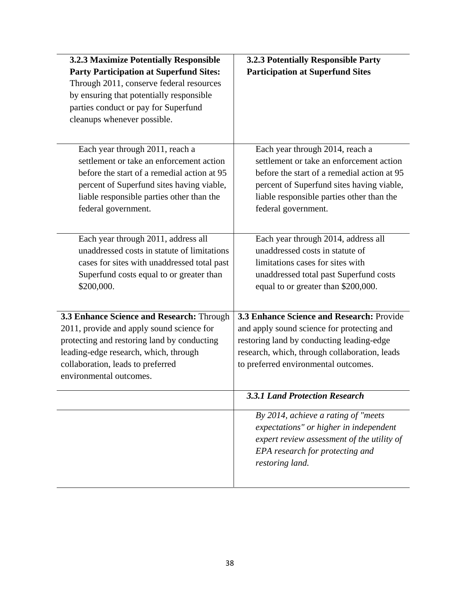| 3.2.3 Maximize Potentially Responsible<br><b>Party Participation at Superfund Sites:</b><br>Through 2011, conserve federal resources<br>by ensuring that potentially responsible<br>parties conduct or pay for Superfund                    | 3.2.3 Potentially Responsible Party<br><b>Participation at Superfund Sites</b>                                                                                                                                                              |
|---------------------------------------------------------------------------------------------------------------------------------------------------------------------------------------------------------------------------------------------|---------------------------------------------------------------------------------------------------------------------------------------------------------------------------------------------------------------------------------------------|
| cleanups whenever possible.                                                                                                                                                                                                                 |                                                                                                                                                                                                                                             |
| Each year through 2011, reach a<br>settlement or take an enforcement action<br>before the start of a remedial action at 95<br>percent of Superfund sites having viable,<br>liable responsible parties other than the<br>federal government. | Each year through 2014, reach a<br>settlement or take an enforcement action<br>before the start of a remedial action at 95<br>percent of Superfund sites having viable,<br>liable responsible parties other than the<br>federal government. |
| Each year through 2011, address all<br>unaddressed costs in statute of limitations<br>cases for sites with unaddressed total past<br>Superfund costs equal to or greater than<br>\$200,000.                                                 | Each year through 2014, address all<br>unaddressed costs in statute of<br>limitations cases for sites with<br>unaddressed total past Superfund costs<br>equal to or greater than \$200,000.                                                 |
| 3.3 Enhance Science and Research: Through                                                                                                                                                                                                   | 3.3 Enhance Science and Research: Provide                                                                                                                                                                                                   |
| 2011, provide and apply sound science for<br>protecting and restoring land by conducting<br>leading-edge research, which, through<br>collaboration, leads to preferred<br>environmental outcomes.                                           | and apply sound science for protecting and<br>restoring land by conducting leading-edge<br>research, which, through collaboration, leads<br>to preferred environmental outcomes.                                                            |
|                                                                                                                                                                                                                                             | <b>3.3.1 Land Protection Research</b>                                                                                                                                                                                                       |
|                                                                                                                                                                                                                                             | By 2014, achieve a rating of "meets"<br>expectations" or higher in independent<br>expert review assessment of the utility of<br>EPA research for protecting and<br>restoring land.                                                          |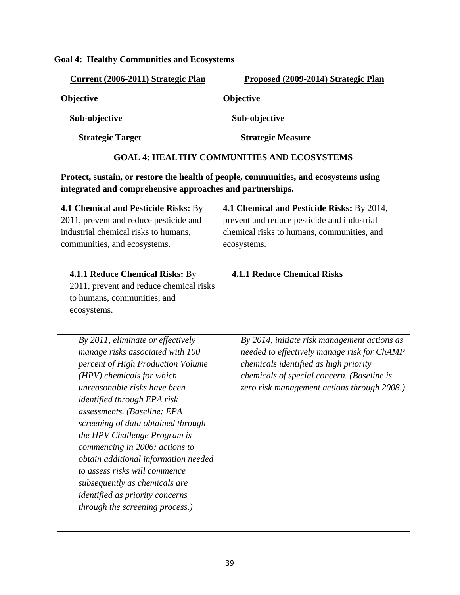**Goal 4: Healthy Communities and Ecosystems** 

| Current (2006-2011) Strategic Plan | Proposed (2009-2014) Strategic Plan |
|------------------------------------|-------------------------------------|
| <b>Objective</b>                   | <b>Objective</b>                    |
| Sub-objective                      | Sub-objective                       |
| <b>Strategic Target</b>            | <b>Strategic Measure</b>            |

## **GOAL 4: HEALTHY COMMUNITIES AND ECOSYSTEMS**

**Protect, sustain, or restore the health of people, communities, and ecosystems using integrated and comprehensive approaches and partnerships.** 

| <b>4.1 Chemical and Pesticide Risks: By</b><br>2011, prevent and reduce pesticide and<br>industrial chemical risks to humans,<br>communities, and ecosystems.                                                                                                                                                                                                                                                                                                                                                                               | 4.1 Chemical and Pesticide Risks: By 2014,<br>prevent and reduce pesticide and industrial<br>chemical risks to humans, communities, and<br>ecosystems.                                                                            |
|---------------------------------------------------------------------------------------------------------------------------------------------------------------------------------------------------------------------------------------------------------------------------------------------------------------------------------------------------------------------------------------------------------------------------------------------------------------------------------------------------------------------------------------------|-----------------------------------------------------------------------------------------------------------------------------------------------------------------------------------------------------------------------------------|
| 4.1.1 Reduce Chemical Risks: By<br>2011, prevent and reduce chemical risks<br>to humans, communities, and<br>ecosystems.                                                                                                                                                                                                                                                                                                                                                                                                                    | <b>4.1.1 Reduce Chemical Risks</b>                                                                                                                                                                                                |
| By 2011, eliminate or effectively<br>manage risks associated with 100<br>percent of High Production Volume<br>(HPV) chemicals for which<br>unreasonable risks have been<br><i>identified through EPA risk</i><br>assessments. (Baseline: EPA<br>screening of data obtained through<br>the HPV Challenge Program is<br>commencing in 2006; actions to<br>obtain additional information needed<br>to assess risks will commence<br>subsequently as chemicals are<br><i>identified as priority concerns</i><br>through the screening process.) | By 2014, initiate risk management actions as<br>needed to effectively manage risk for ChAMP<br>chemicals identified as high priority<br>chemicals of special concern. (Baseline is<br>zero risk management actions through 2008.) |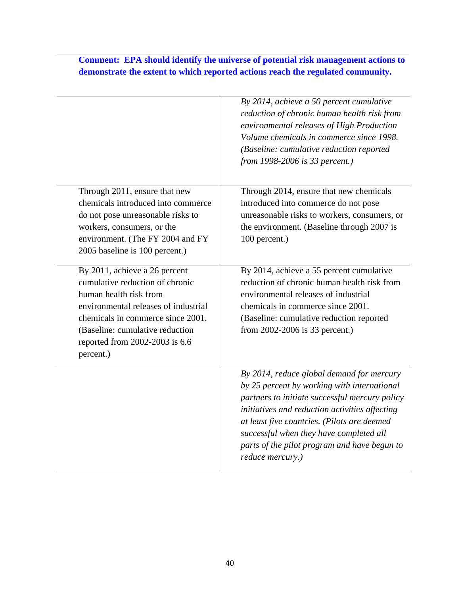|                                                                                                                                                                                                                                                           | By 2014, achieve a 50 percent cumulative<br>reduction of chronic human health risk from<br>environmental releases of High Production<br>Volume chemicals in commerce since 1998.<br>(Baseline: cumulative reduction reported<br>from 1998-2006 is 33 percent.)                                                                                             |
|-----------------------------------------------------------------------------------------------------------------------------------------------------------------------------------------------------------------------------------------------------------|------------------------------------------------------------------------------------------------------------------------------------------------------------------------------------------------------------------------------------------------------------------------------------------------------------------------------------------------------------|
| Through 2011, ensure that new<br>chemicals introduced into commerce<br>do not pose unreasonable risks to<br>workers, consumers, or the<br>environment. (The FY 2004 and FY<br>2005 baseline is 100 percent.)                                              | Through 2014, ensure that new chemicals<br>introduced into commerce do not pose<br>unreasonable risks to workers, consumers, or<br>the environment. (Baseline through 2007 is<br>100 percent.)                                                                                                                                                             |
| By 2011, achieve a 26 percent<br>cumulative reduction of chronic<br>human health risk from<br>environmental releases of industrial<br>chemicals in commerce since 2001.<br>(Baseline: cumulative reduction<br>reported from 2002-2003 is 6.6<br>percent.) | By 2014, achieve a 55 percent cumulative<br>reduction of chronic human health risk from<br>environmental releases of industrial<br>chemicals in commerce since 2001.<br>(Baseline: cumulative reduction reported<br>from 2002-2006 is 33 percent.)                                                                                                         |
|                                                                                                                                                                                                                                                           | By 2014, reduce global demand for mercury<br>by 25 percent by working with international<br>partners to initiate successful mercury policy<br>initiatives and reduction activities affecting<br>at least five countries. (Pilots are deemed<br>successful when they have completed all<br>parts of the pilot program and have begun to<br>reduce mercury.) |

## **Comment: EPA should identify the universe of potential risk management actions to demonstrate the extent to which reported actions reach the regulated community.**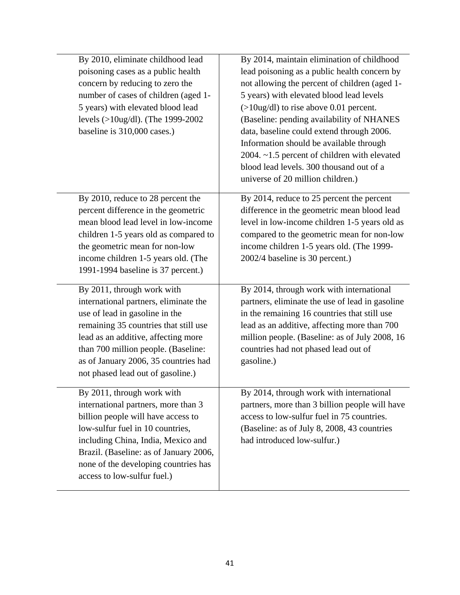| By 2010, eliminate childhood lead<br>poisoning cases as a public health<br>concern by reducing to zero the<br>number of cases of children (aged 1-<br>5 years) with elevated blood lead<br>levels (>10ug/dl). (The 1999-2002<br>baseline is 310,000 cases.)                                               | By 2014, maintain elimination of childhood<br>lead poisoning as a public health concern by<br>not allowing the percent of children (aged 1-<br>5 years) with elevated blood lead levels<br>$($ >10ug/dl) to rise above 0.01 percent.<br>(Baseline: pending availability of NHANES<br>data, baseline could extend through 2006.<br>Information should be available through<br>2004. ~1.5 percent of children with elevated<br>blood lead levels. 300 thousand out of a<br>universe of 20 million children.) |
|-----------------------------------------------------------------------------------------------------------------------------------------------------------------------------------------------------------------------------------------------------------------------------------------------------------|------------------------------------------------------------------------------------------------------------------------------------------------------------------------------------------------------------------------------------------------------------------------------------------------------------------------------------------------------------------------------------------------------------------------------------------------------------------------------------------------------------|
| By 2010, reduce to 28 percent the<br>percent difference in the geometric<br>mean blood lead level in low-income<br>children 1-5 years old as compared to<br>the geometric mean for non-low<br>income children 1-5 years old. (The<br>1991-1994 baseline is 37 percent.)                                   | By 2014, reduce to 25 percent the percent<br>difference in the geometric mean blood lead<br>level in low-income children 1-5 years old as<br>compared to the geometric mean for non-low<br>income children 1-5 years old. (The 1999-<br>2002/4 baseline is 30 percent.)                                                                                                                                                                                                                                    |
| By 2011, through work with<br>international partners, eliminate the<br>use of lead in gasoline in the<br>remaining 35 countries that still use<br>lead as an additive, affecting more<br>than 700 million people. (Baseline:<br>as of January 2006, 35 countries had<br>not phased lead out of gasoline.) | By 2014, through work with international<br>partners, eliminate the use of lead in gasoline<br>in the remaining 16 countries that still use<br>lead as an additive, affecting more than 700<br>million people. (Baseline: as of July 2008, 16<br>countries had not phased lead out of<br>gasoline.)                                                                                                                                                                                                        |
| By 2011, through work with<br>international partners, more than 3<br>billion people will have access to<br>low-sulfur fuel in 10 countries,<br>including China, India, Mexico and<br>Brazil. (Baseline: as of January 2006,<br>none of the developing countries has<br>access to low-sulfur fuel.)        | By 2014, through work with international<br>partners, more than 3 billion people will have<br>access to low-sulfur fuel in 75 countries.<br>(Baseline: as of July 8, 2008, 43 countries<br>had introduced low-sulfur.)                                                                                                                                                                                                                                                                                     |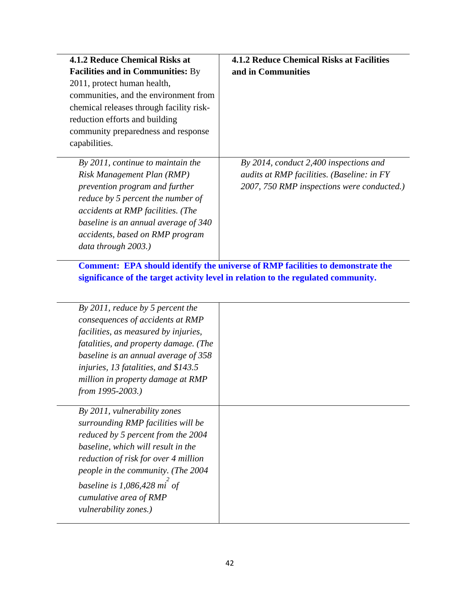| 4.1.2 Reduce Chemical Risks at                                                                                                                                                                                                                                                   | <b>4.1.2 Reduce Chemical Risks at Facilities</b>                                                                                   |
|----------------------------------------------------------------------------------------------------------------------------------------------------------------------------------------------------------------------------------------------------------------------------------|------------------------------------------------------------------------------------------------------------------------------------|
| <b>Facilities and in Communities: By</b>                                                                                                                                                                                                                                         | and in Communities                                                                                                                 |
| 2011, protect human health,                                                                                                                                                                                                                                                      |                                                                                                                                    |
| communities, and the environment from                                                                                                                                                                                                                                            |                                                                                                                                    |
| chemical releases through facility risk-                                                                                                                                                                                                                                         |                                                                                                                                    |
| reduction efforts and building                                                                                                                                                                                                                                                   |                                                                                                                                    |
| community preparedness and response<br>capabilities.                                                                                                                                                                                                                             |                                                                                                                                    |
| By $2011$ , continue to maintain the<br>Risk Management Plan (RMP)<br>prevention program and further<br>reduce by 5 percent the number of<br>accidents at RMP facilities. (The<br>baseline is an annual average of 340<br>accidents, based on RMP program<br>data through 2003.) | By 2014, conduct 2,400 inspections and<br>audits at RMP facilities. (Baseline: in FY<br>2007, 750 RMP inspections were conducted.) |
| By 2011, reduce by 5 percent the                                                                                                                                                                                                                                                 | significance of the target activity level in relation to the regulated community.                                                  |
| consequences of accidents at RMP                                                                                                                                                                                                                                                 |                                                                                                                                    |
| facilities, as measured by injuries,                                                                                                                                                                                                                                             |                                                                                                                                    |
| fatalities, and property damage. (The                                                                                                                                                                                                                                            |                                                                                                                                    |
| baseline is an annual average of 358                                                                                                                                                                                                                                             |                                                                                                                                    |
| injuries, 13 fatalities, and \$143.5                                                                                                                                                                                                                                             |                                                                                                                                    |
| million in property damage at RMP<br><i>from 1995-2003.</i> )                                                                                                                                                                                                                    |                                                                                                                                    |
| By 2011, vulnerability zones<br>surrounding RMP facilities will be<br>reduced by 5 percent from the 2004<br>baseline, which will result in the<br>reduction of risk for over 4 million<br>people in the community. (The 2004                                                     |                                                                                                                                    |
| baseline is $1,086,428$ mi <sup>of</sup><br>cumulative area of RMP<br>vulnerability zones.)                                                                                                                                                                                      |                                                                                                                                    |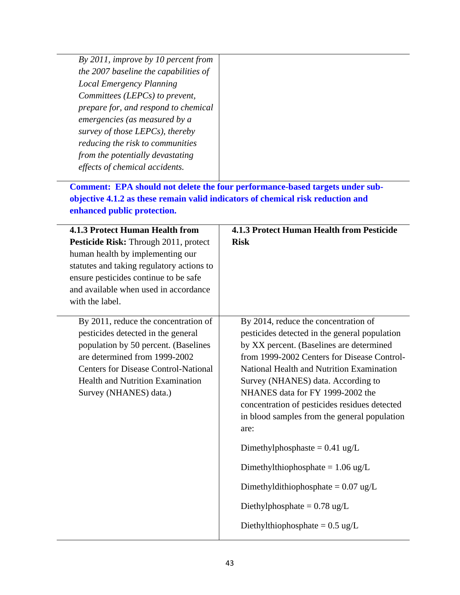| By 2011, improve by 10 percent from   |  |
|---------------------------------------|--|
| the 2007 baseline the capabilities of |  |
| <b>Local Emergency Planning</b>       |  |
| Committees (LEPCs) to prevent,        |  |
| prepare for, and respond to chemical  |  |
| emergencies (as measured by a         |  |
| survey of those LEPCs), thereby       |  |
| reducing the risk to communities      |  |
| from the potentially devastating      |  |
| effects of chemical accidents.        |  |
|                                       |  |

 **Comment: EPA should not delete the four performance-based targets under subobjective 4.1.2 as these remain valid indicators of chemical risk reduction and enhanced public protection.** 

| <b>4.1.3 Protect Human Health from</b><br>Pesticide Risk: Through 2011, protect<br>human health by implementing our<br>statutes and taking regulatory actions to<br>ensure pesticides continue to be safe<br>and available when used in accordance<br>with the label.   | <b>4.1.3 Protect Human Health from Pesticide</b><br><b>Risk</b>                                                                                                                                                                                                                                                                                                                                                                                                                                                                                                                                                             |
|-------------------------------------------------------------------------------------------------------------------------------------------------------------------------------------------------------------------------------------------------------------------------|-----------------------------------------------------------------------------------------------------------------------------------------------------------------------------------------------------------------------------------------------------------------------------------------------------------------------------------------------------------------------------------------------------------------------------------------------------------------------------------------------------------------------------------------------------------------------------------------------------------------------------|
| By 2011, reduce the concentration of<br>pesticides detected in the general<br>population by 50 percent. (Baselines<br>are determined from 1999-2002<br><b>Centers for Disease Control-National</b><br><b>Health and Nutrition Examination</b><br>Survey (NHANES) data.) | By 2014, reduce the concentration of<br>pesticides detected in the general population<br>by XX percent. (Baselines are determined<br>from 1999-2002 Centers for Disease Control-<br>National Health and Nutrition Examination<br>Survey (NHANES) data. According to<br>NHANES data for FY 1999-2002 the<br>concentration of pesticides residues detected<br>in blood samples from the general population<br>are:<br>Dimethylphosphaste = $0.41$ ug/L<br>Dimethylthiophosphate = $1.06 \text{ ug/L}$<br>Dimethyldithiophosphate = $0.07$ ug/L<br>Diethylphosphate = $0.78 \text{ ug/L}$<br>Diethylthiophosphate = $0.5$ ug/L |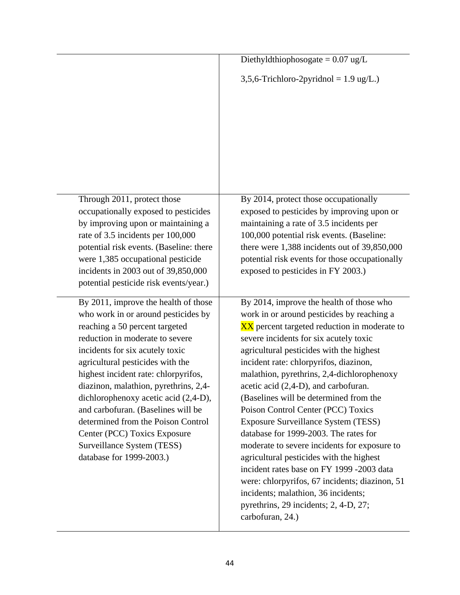|                                                                                                                                                                                                                                                                                                                                                                                                                                                                                                                        | Diethyldthiophosogate = $0.07$ ug/L                                                                                                                                                                                                                                                                                                                                                                                                                                                                                                                                                                                                                                                                                                                                   |
|------------------------------------------------------------------------------------------------------------------------------------------------------------------------------------------------------------------------------------------------------------------------------------------------------------------------------------------------------------------------------------------------------------------------------------------------------------------------------------------------------------------------|-----------------------------------------------------------------------------------------------------------------------------------------------------------------------------------------------------------------------------------------------------------------------------------------------------------------------------------------------------------------------------------------------------------------------------------------------------------------------------------------------------------------------------------------------------------------------------------------------------------------------------------------------------------------------------------------------------------------------------------------------------------------------|
|                                                                                                                                                                                                                                                                                                                                                                                                                                                                                                                        | $3,5,6$ -Trichloro-2pyridnol = 1.9 ug/L.)                                                                                                                                                                                                                                                                                                                                                                                                                                                                                                                                                                                                                                                                                                                             |
|                                                                                                                                                                                                                                                                                                                                                                                                                                                                                                                        |                                                                                                                                                                                                                                                                                                                                                                                                                                                                                                                                                                                                                                                                                                                                                                       |
|                                                                                                                                                                                                                                                                                                                                                                                                                                                                                                                        |                                                                                                                                                                                                                                                                                                                                                                                                                                                                                                                                                                                                                                                                                                                                                                       |
|                                                                                                                                                                                                                                                                                                                                                                                                                                                                                                                        |                                                                                                                                                                                                                                                                                                                                                                                                                                                                                                                                                                                                                                                                                                                                                                       |
| Through 2011, protect those<br>occupationally exposed to pesticides<br>by improving upon or maintaining a<br>rate of 3.5 incidents per 100,000<br>potential risk events. (Baseline: there<br>were 1,385 occupational pesticide<br>incidents in 2003 out of 39,850,000<br>potential pesticide risk events/year.)                                                                                                                                                                                                        | By 2014, protect those occupationally<br>exposed to pesticides by improving upon or<br>maintaining a rate of 3.5 incidents per<br>100,000 potential risk events. (Baseline:<br>there were 1,388 incidents out of 39,850,000<br>potential risk events for those occupationally<br>exposed to pesticides in FY 2003.)                                                                                                                                                                                                                                                                                                                                                                                                                                                   |
| By 2011, improve the health of those<br>who work in or around pesticides by<br>reaching a 50 percent targeted<br>reduction in moderate to severe<br>incidents for six acutely toxic<br>agricultural pesticides with the<br>highest incident rate: chlorpyrifos,<br>diazinon, malathion, pyrethrins, 2,4-<br>dichlorophenoxy acetic acid (2,4-D),<br>and carbofuran. (Baselines will be<br>determined from the Poison Control<br>Center (PCC) Toxics Exposure<br>Surveillance System (TESS)<br>database for 1999-2003.) | By 2014, improve the health of those who<br>work in or around pesticides by reaching a<br>XX percent targeted reduction in moderate to<br>severe incidents for six acutely toxic<br>agricultural pesticides with the highest<br>incident rate: chlorpyrifos, diazinon,<br>malathion, pyrethrins, 2,4-dichlorophenoxy<br>acetic acid (2,4-D), and carbofuran.<br>(Baselines will be determined from the<br>Poison Control Center (PCC) Toxics<br><b>Exposure Surveillance System (TESS)</b><br>database for 1999-2003. The rates for<br>moderate to severe incidents for exposure to<br>agricultural pesticides with the highest<br>incident rates base on FY 1999 -2003 data<br>were: chlorpyrifos, 67 incidents; diazinon, 51<br>incidents; malathion, 36 incidents; |
|                                                                                                                                                                                                                                                                                                                                                                                                                                                                                                                        | pyrethrins, 29 incidents; 2, 4-D, 27;<br>carbofuran, 24.)                                                                                                                                                                                                                                                                                                                                                                                                                                                                                                                                                                                                                                                                                                             |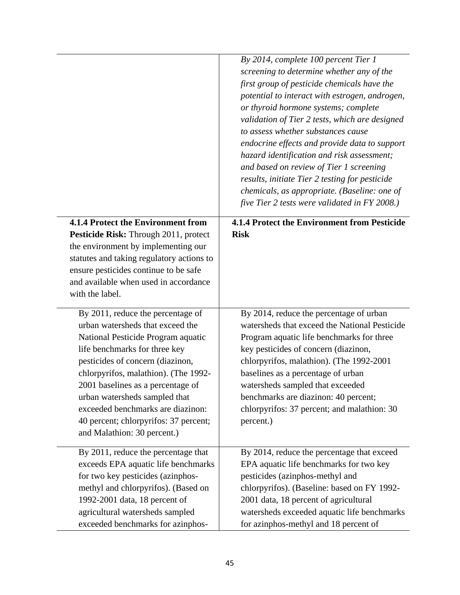|                                                                                                                                                                                                                                                                                                                                                                                                             | By 2014, complete 100 percent Tier 1<br>screening to determine whether any of the<br>first group of pesticide chemicals have the<br>potential to interact with estrogen, androgen,<br>or thyroid hormone systems; complete<br>validation of Tier 2 tests, which are designed<br>to assess whether substances cause<br>endocrine effects and provide data to support<br>hazard identification and risk assessment;<br>and based on review of Tier 1 screening<br>results, initiate Tier 2 testing for pesticide<br>chemicals, as appropriate. (Baseline: one of<br>five Tier 2 tests were validated in FY 2008.) |
|-------------------------------------------------------------------------------------------------------------------------------------------------------------------------------------------------------------------------------------------------------------------------------------------------------------------------------------------------------------------------------------------------------------|-----------------------------------------------------------------------------------------------------------------------------------------------------------------------------------------------------------------------------------------------------------------------------------------------------------------------------------------------------------------------------------------------------------------------------------------------------------------------------------------------------------------------------------------------------------------------------------------------------------------|
| <b>4.1.4 Protect the Environment from</b><br>Pesticide Risk: Through 2011, protect<br>the environment by implementing our<br>statutes and taking regulatory actions to<br>ensure pesticides continue to be safe<br>and available when used in accordance<br>with the label.                                                                                                                                 | 4.1.4 Protect the Environment from Pesticide<br><b>Risk</b>                                                                                                                                                                                                                                                                                                                                                                                                                                                                                                                                                     |
| By 2011, reduce the percentage of<br>urban watersheds that exceed the<br>National Pesticide Program aquatic<br>life benchmarks for three key<br>pesticides of concern (diazinon,<br>chlorpyrifos, malathion). (The 1992-<br>2001 baselines as a percentage of<br>urban watersheds sampled that<br>exceeded benchmarks are diazinon:<br>40 percent; chlorpyrifos: 37 percent;<br>and Malathion: 30 percent.) | By 2014, reduce the percentage of urban<br>watersheds that exceed the National Pesticide<br>Program aquatic life benchmarks for three<br>key pesticides of concern (diazinon,<br>chlorpyrifos, malathion). (The 1992-2001<br>baselines as a percentage of urban<br>watersheds sampled that exceeded<br>benchmarks are diazinon: 40 percent;<br>chlorpyrifos: 37 percent; and malathion: 30<br>percent.)                                                                                                                                                                                                         |
| By 2011, reduce the percentage that<br>exceeds EPA aquatic life benchmarks<br>for two key pesticides (azinphos-<br>methyl and chlorpyrifos). (Based on<br>1992-2001 data, 18 percent of<br>agricultural watersheds sampled<br>exceeded benchmarks for azinphos-                                                                                                                                             | By 2014, reduce the percentage that exceed<br>EPA aquatic life benchmarks for two key<br>pesticides (azinphos-methyl and<br>chlorpyrifos). (Baseline: based on FY 1992-<br>2001 data, 18 percent of agricultural<br>watersheds exceeded aquatic life benchmarks<br>for azinphos-methyl and 18 percent of                                                                                                                                                                                                                                                                                                        |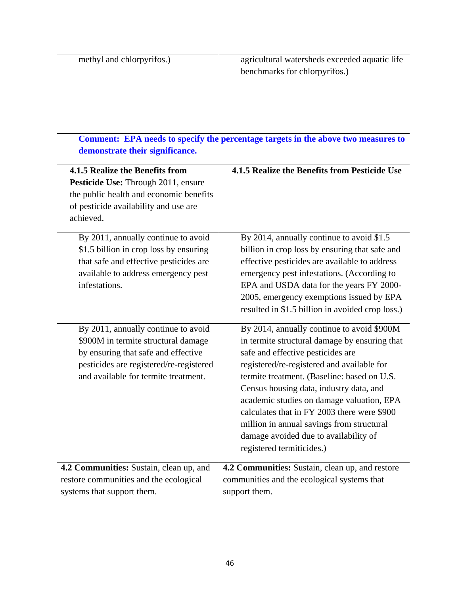| methyl and chlorpyrifos.) | agricultural watersheds exceeded aquatic life |
|---------------------------|-----------------------------------------------|
|                           | benchmarks for chlorpyrifos.)                 |
|                           |                                               |
|                           |                                               |
|                           |                                               |
|                           |                                               |

 **Comment: EPA needs to specify the percentage targets in the above two measures to demonstrate their significance.** 

| 4.1.5 Realize the Benefits from<br>Pesticide Use: Through 2011, ensure<br>the public health and economic benefits<br>of pesticide availability and use are<br>achieved.                              | 4.1.5 Realize the Benefits from Pesticide Use                                                                                                                                                                                                                                                                                                                                                                                                                                           |
|------------------------------------------------------------------------------------------------------------------------------------------------------------------------------------------------------|-----------------------------------------------------------------------------------------------------------------------------------------------------------------------------------------------------------------------------------------------------------------------------------------------------------------------------------------------------------------------------------------------------------------------------------------------------------------------------------------|
| By 2011, annually continue to avoid<br>\$1.5 billion in crop loss by ensuring<br>that safe and effective pesticides are<br>available to address emergency pest<br>infestations.                      | By 2014, annually continue to avoid \$1.5<br>billion in crop loss by ensuring that safe and<br>effective pesticides are available to address<br>emergency pest infestations. (According to<br>EPA and USDA data for the years FY 2000-<br>2005, emergency exemptions issued by EPA<br>resulted in \$1.5 billion in avoided crop loss.)                                                                                                                                                  |
| By 2011, annually continue to avoid<br>\$900M in termite structural damage<br>by ensuring that safe and effective<br>pesticides are registered/re-registered<br>and available for termite treatment. | By 2014, annually continue to avoid \$900M<br>in termite structural damage by ensuring that<br>safe and effective pesticides are<br>registered/re-registered and available for<br>termite treatment. (Baseline: based on U.S.<br>Census housing data, industry data, and<br>academic studies on damage valuation, EPA<br>calculates that in FY 2003 there were \$900<br>million in annual savings from structural<br>damage avoided due to availability of<br>registered termiticides.) |
| 4.2 Communities: Sustain, clean up, and<br>restore communities and the ecological<br>systems that support them.                                                                                      | 4.2 Communities: Sustain, clean up, and restore<br>communities and the ecological systems that<br>support them.                                                                                                                                                                                                                                                                                                                                                                         |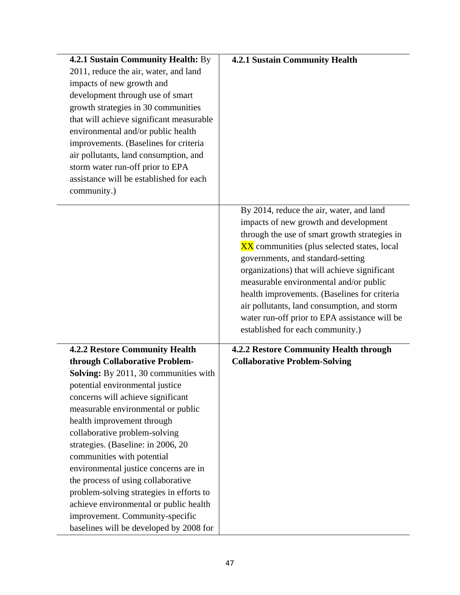| 4.2.1 Sustain Community Health: By<br>2011, reduce the air, water, and land<br>impacts of new growth and<br>development through use of smart<br>growth strategies in 30 communities<br>that will achieve significant measurable<br>environmental and/or public health<br>improvements. (Baselines for criteria<br>air pollutants, land consumption, and<br>storm water run-off prior to EPA<br>assistance will be established for each<br>community.)                                                                                                                                                                | <b>4.2.1 Sustain Community Health</b><br>By 2014, reduce the air, water, and land<br>impacts of new growth and development<br>through the use of smart growth strategies in<br>XX communities (plus selected states, local                                                                                      |
|----------------------------------------------------------------------------------------------------------------------------------------------------------------------------------------------------------------------------------------------------------------------------------------------------------------------------------------------------------------------------------------------------------------------------------------------------------------------------------------------------------------------------------------------------------------------------------------------------------------------|-----------------------------------------------------------------------------------------------------------------------------------------------------------------------------------------------------------------------------------------------------------------------------------------------------------------|
|                                                                                                                                                                                                                                                                                                                                                                                                                                                                                                                                                                                                                      | governments, and standard-setting<br>organizations) that will achieve significant<br>measurable environmental and/or public<br>health improvements. (Baselines for criteria<br>air pollutants, land consumption, and storm<br>water run-off prior to EPA assistance will be<br>established for each community.) |
| <b>4.2.2 Restore Community Health</b><br>through Collaborative Problem-<br>Solving: By 2011, 30 communities with<br>potential environmental justice<br>concerns will achieve significant<br>measurable environmental or public<br>health improvement through<br>collaborative problem-solving<br>strategies. (Baseline: in 2006, 20<br>communities with potential<br>environmental justice concerns are in<br>the process of using collaborative<br>problem-solving strategies in efforts to<br>achieve environmental or public health<br>improvement. Community-specific<br>baselines will be developed by 2008 for | 4.2.2 Restore Community Health through<br><b>Collaborative Problem-Solving</b>                                                                                                                                                                                                                                  |

 $\overline{\phantom{a}}$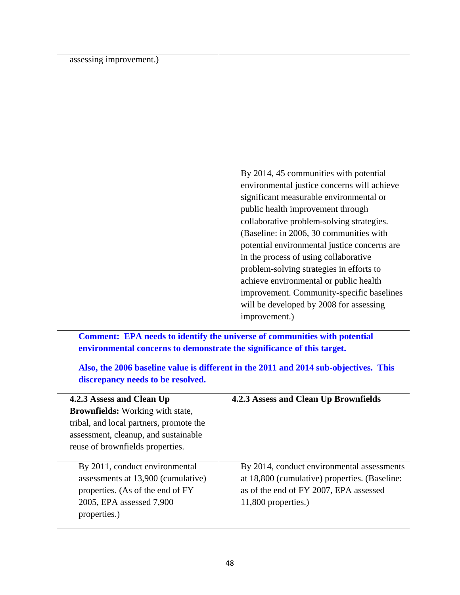| assessing improvement.) |                                                                                                                                                                                                                                                                                                                                                                                                                                                                                                                                                       |
|-------------------------|-------------------------------------------------------------------------------------------------------------------------------------------------------------------------------------------------------------------------------------------------------------------------------------------------------------------------------------------------------------------------------------------------------------------------------------------------------------------------------------------------------------------------------------------------------|
|                         | By 2014, 45 communities with potential<br>environmental justice concerns will achieve<br>significant measurable environmental or<br>public health improvement through<br>collaborative problem-solving strategies.<br>(Baseline: in 2006, 30 communities with<br>potential environmental justice concerns are<br>in the process of using collaborative<br>problem-solving strategies in efforts to<br>achieve environmental or public health<br>improvement. Community-specific baselines<br>will be developed by 2008 for assessing<br>improvement.) |

 **Comment: EPA needs to identify the universe of communities with potential environmental concerns to demonstrate the significance of this target.** 

**Also, the 2006 baseline value is different in the 2011 and 2014 sub-objectives. This discrepancy needs to be resolved.** 

| 4.2.3 Assess and Clean Up<br><b>Brownfields:</b> Working with state,<br>tribal, and local partners, promote the<br>assessment, cleanup, and sustainable<br>reuse of brownfields properties. | 4.2.3 Assess and Clean Up Brownfields                                                                                                                        |
|---------------------------------------------------------------------------------------------------------------------------------------------------------------------------------------------|--------------------------------------------------------------------------------------------------------------------------------------------------------------|
| By 2011, conduct environmental<br>assessments at 13,900 (cumulative)<br>properties. (As of the end of FY<br>2005, EPA assessed 7,900<br>properties.)                                        | By 2014, conduct environmental assessments<br>at 18,800 (cumulative) properties. (Baseline:<br>as of the end of FY 2007, EPA assessed<br>11,800 properties.) |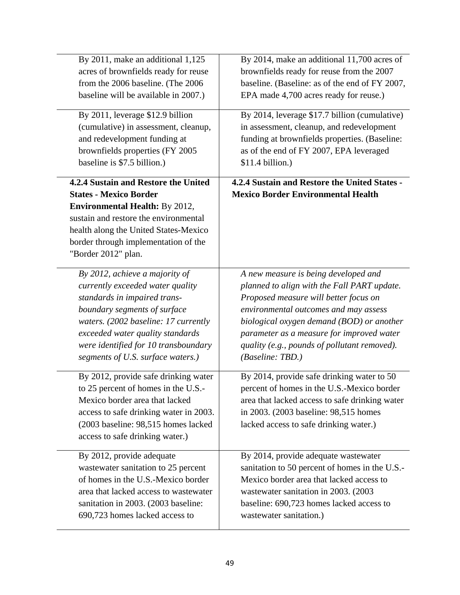| By 2011, make an additional 1,125                                                                                                                                                                                                                               | By 2014, make an additional 11,700 acres of                                                                                                                                                                                   |
|-----------------------------------------------------------------------------------------------------------------------------------------------------------------------------------------------------------------------------------------------------------------|-------------------------------------------------------------------------------------------------------------------------------------------------------------------------------------------------------------------------------|
| acres of brownfields ready for reuse                                                                                                                                                                                                                            | brownfields ready for reuse from the 2007                                                                                                                                                                                     |
| from the 2006 baseline. (The 2006                                                                                                                                                                                                                               | baseline. (Baseline: as of the end of FY 2007,                                                                                                                                                                                |
| baseline will be available in 2007.)                                                                                                                                                                                                                            | EPA made 4,700 acres ready for reuse.)                                                                                                                                                                                        |
| By 2011, leverage \$12.9 billion                                                                                                                                                                                                                                | By 2014, leverage \$17.7 billion (cumulative)                                                                                                                                                                                 |
| (cumulative) in assessment, cleanup,                                                                                                                                                                                                                            | in assessment, cleanup, and redevelopment                                                                                                                                                                                     |
| and redevelopment funding at                                                                                                                                                                                                                                    | funding at brownfields properties. (Baseline:                                                                                                                                                                                 |
| brownfields properties (FY 2005                                                                                                                                                                                                                                 | as of the end of FY 2007, EPA leveraged                                                                                                                                                                                       |
| baseline is \$7.5 billion.)                                                                                                                                                                                                                                     | $$11.4 billion.$ )                                                                                                                                                                                                            |
| 4.2.4 Sustain and Restore the United<br><b>States - Mexico Border</b><br><b>Environmental Health: By 2012,</b><br>sustain and restore the environmental<br>health along the United States-Mexico<br>border through implementation of the<br>"Border 2012" plan. | 4.2.4 Sustain and Restore the United States -<br><b>Mexico Border Environmental Health</b>                                                                                                                                    |
| By 2012, achieve a majority of                                                                                                                                                                                                                                  | A new measure is being developed and                                                                                                                                                                                          |
| currently exceeded water quality                                                                                                                                                                                                                                | planned to align with the Fall PART update.                                                                                                                                                                                   |
| standards in impaired trans-                                                                                                                                                                                                                                    | Proposed measure will better focus on                                                                                                                                                                                         |
| boundary segments of surface                                                                                                                                                                                                                                    | environmental outcomes and may assess                                                                                                                                                                                         |
| waters. (2002 baseline: 17 currently                                                                                                                                                                                                                            | biological oxygen demand (BOD) or another                                                                                                                                                                                     |
| exceeded water quality standards                                                                                                                                                                                                                                | parameter as a measure for improved water                                                                                                                                                                                     |
| were identified for 10 transboundary                                                                                                                                                                                                                            | quality (e.g., pounds of pollutant removed).                                                                                                                                                                                  |
| segments of U.S. surface waters.)                                                                                                                                                                                                                               | <i>(Baseline: TBD.)</i>                                                                                                                                                                                                       |
| By 2012, provide safe drinking water<br>to 25 percent of homes in the U.S.-<br>Mexico border area that lacked<br>access to safe drinking water in 2003.<br>(2003 baseline: 98,515 homes lacked<br>access to safe drinking water.)                               | By 2014, provide safe drinking water to 50<br>percent of homes in the U.S.-Mexico border<br>area that lacked access to safe drinking water<br>in 2003. (2003 baseline: 98,515 homes<br>lacked access to safe drinking water.) |
| By 2012, provide adequate                                                                                                                                                                                                                                       | By 2014, provide adequate wastewater                                                                                                                                                                                          |
| wastewater sanitation to 25 percent                                                                                                                                                                                                                             | sanitation to 50 percent of homes in the U.S.-                                                                                                                                                                                |
| of homes in the U.S.-Mexico border                                                                                                                                                                                                                              | Mexico border area that lacked access to                                                                                                                                                                                      |
| area that lacked access to wastewater                                                                                                                                                                                                                           | wastewater sanitation in 2003. (2003)                                                                                                                                                                                         |
| sanitation in 2003. (2003 baseline:                                                                                                                                                                                                                             | baseline: 690,723 homes lacked access to                                                                                                                                                                                      |
| 690,723 homes lacked access to                                                                                                                                                                                                                                  | wastewater sanitation.)                                                                                                                                                                                                       |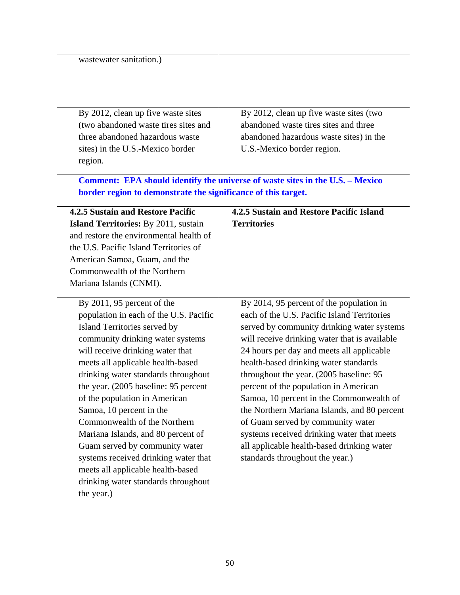| wastewater sanitation.)                                       |                                                                               |
|---------------------------------------------------------------|-------------------------------------------------------------------------------|
|                                                               |                                                                               |
| By 2012, clean up five waste sites                            | By 2012, clean up five waste sites (two                                       |
| (two abandoned waste tires sites and                          | abandoned waste tires sites and three                                         |
| three abandoned hazardous waste                               | abandoned hazardous waste sites) in the                                       |
| sites) in the U.S.-Mexico border<br>region.                   | U.S.-Mexico border region.                                                    |
|                                                               | Comment: EPA should identify the universe of waste sites in the U.S. - Mexico |
| border region to demonstrate the significance of this target. |                                                                               |
| <b>4.2.5 Sustain and Restore Pacific</b>                      | 4.2.5 Sustain and Restore Pacific Island                                      |
| <b>Island Territories:</b> By 2011, sustain                   | <b>Territories</b>                                                            |
| and restore the environmental health of                       |                                                                               |
| the U.S. Pacific Island Territories of                        |                                                                               |
| American Samoa, Guam, and the                                 |                                                                               |
| Commonwealth of the Northern                                  |                                                                               |
| Mariana Islands (CNMI).                                       |                                                                               |
| By $2011$ , 95 percent of the                                 | By 2014, 95 percent of the population in                                      |
| population in each of the U.S. Pacific                        | each of the U.S. Pacific Island Territories                                   |
| Island Territories served by                                  | served by community drinking water systems                                    |
| community drinking water systems                              | will receive drinking water that is available                                 |
| will receive drinking water that                              | 24 hours per day and meets all applicable                                     |
| meets all applicable health-based                             | health-based drinking water standards                                         |
| drinking water standards throughout                           | throughout the year. (2005 baseline: 95                                       |
| the year. (2005 baseline: 95 percent                          | percent of the population in American                                         |
| of the population in American                                 | Samoa, 10 percent in the Commonwealth of                                      |
| Samoa, 10 percent in the                                      | the Northern Mariana Islands, and 80 percent                                  |
| Commonwealth of the Northern                                  | of Guam served by community water                                             |
| Mariana Islands, and 80 percent of                            | systems received drinking water that meets                                    |
| Guam served by community water                                | all applicable health-based drinking water                                    |
| systems received drinking water that                          | standards throughout the year.)                                               |
| meets all applicable health-based                             |                                                                               |
| drinking water standards throughout                           |                                                                               |
| the year.)                                                    |                                                                               |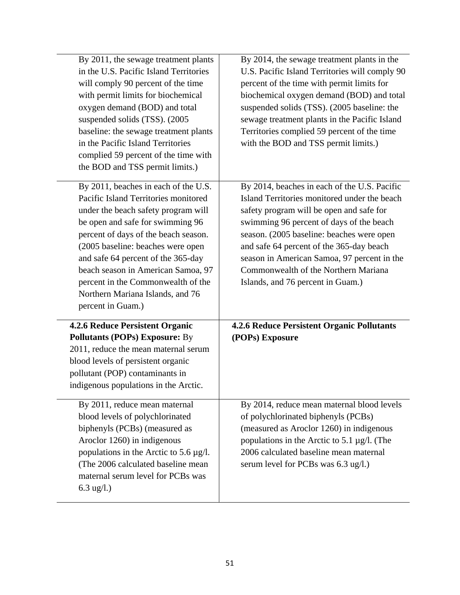| By 2011, the sewage treatment plants<br>in the U.S. Pacific Island Territories<br>will comply 90 percent of the time<br>with permit limits for biochemical<br>oxygen demand (BOD) and total<br>suspended solids (TSS). (2005)<br>baseline: the sewage treatment plants<br>in the Pacific Island Territories<br>complied 59 percent of the time with<br>the BOD and TSS permit limits.)                          | By 2014, the sewage treatment plants in the<br>U.S. Pacific Island Territories will comply 90<br>percent of the time with permit limits for<br>biochemical oxygen demand (BOD) and total<br>suspended solids (TSS). (2005 baseline: the<br>sewage treatment plants in the Pacific Island<br>Territories complied 59 percent of the time<br>with the BOD and TSS permit limits.)                           |
|-----------------------------------------------------------------------------------------------------------------------------------------------------------------------------------------------------------------------------------------------------------------------------------------------------------------------------------------------------------------------------------------------------------------|-----------------------------------------------------------------------------------------------------------------------------------------------------------------------------------------------------------------------------------------------------------------------------------------------------------------------------------------------------------------------------------------------------------|
| By 2011, beaches in each of the U.S.<br>Pacific Island Territories monitored<br>under the beach safety program will<br>be open and safe for swimming 96<br>percent of days of the beach season.<br>(2005 baseline: beaches were open<br>and safe 64 percent of the 365-day<br>beach season in American Samoa, 97<br>percent in the Commonwealth of the<br>Northern Mariana Islands, and 76<br>percent in Guam.) | By 2014, beaches in each of the U.S. Pacific<br>Island Territories monitored under the beach<br>safety program will be open and safe for<br>swimming 96 percent of days of the beach<br>season. (2005 baseline: beaches were open<br>and safe 64 percent of the 365-day beach<br>season in American Samoa, 97 percent in the<br>Commonwealth of the Northern Mariana<br>Islands, and 76 percent in Guam.) |
| <b>4.2.6 Reduce Persistent Organic</b><br><b>Pollutants (POPs) Exposure: By</b><br>2011, reduce the mean maternal serum<br>blood levels of persistent organic<br>pollutant (POP) contaminants in<br>indigenous populations in the Arctic.                                                                                                                                                                       | <b>4.2.6 Reduce Persistent Organic Pollutants</b><br>(POPs) Exposure                                                                                                                                                                                                                                                                                                                                      |
| By 2011, reduce mean maternal<br>blood levels of polychlorinated<br>biphenyls (PCBs) (measured as<br>Aroclor 1260) in indigenous<br>populations in the Arctic to 5.6 $\mu$ g/l.<br>(The 2006 calculated baseline mean)<br>maternal serum level for PCBs was<br>6.3 ug/l.)                                                                                                                                       | By 2014, reduce mean maternal blood levels<br>of polychlorinated biphenyls (PCBs)<br>(measured as Aroclor 1260) in indigenous<br>populations in the Arctic to 5.1 $\mu$ g/l. (The<br>2006 calculated baseline mean maternal<br>serum level for PCBs was 6.3 ug/l.)                                                                                                                                        |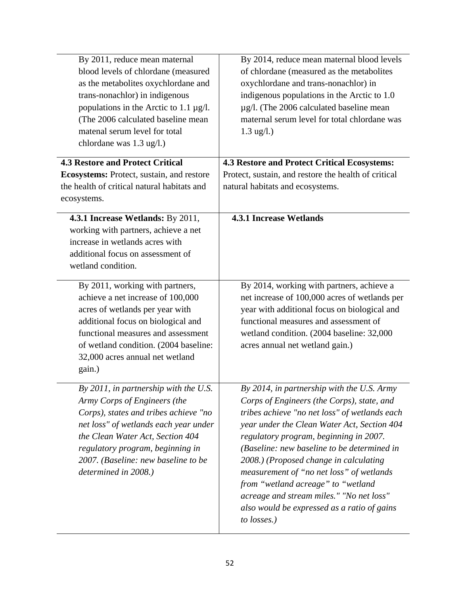| By 2011, reduce mean maternal<br>blood levels of chlordane (measured<br>as the metabolites oxychlordane and<br>trans-nonachlor) in indigenous<br>populations in the Arctic to 1.1 $\mu$ g/l.<br>(The 2006 calculated baseline mean<br>matenal serum level for total<br>chlordane was 1.3 ug/l.) | By 2014, reduce mean maternal blood levels<br>of chlordane (measured as the metabolites<br>oxychlordane and trans-nonachlor) in<br>indigenous populations in the Arctic to 1.0<br>$\mu$ g/l. (The 2006 calculated baseline mean<br>maternal serum level for total chlordane was<br>$1.3$ ug/l.)                                                                                                                                                                                                                         |
|-------------------------------------------------------------------------------------------------------------------------------------------------------------------------------------------------------------------------------------------------------------------------------------------------|-------------------------------------------------------------------------------------------------------------------------------------------------------------------------------------------------------------------------------------------------------------------------------------------------------------------------------------------------------------------------------------------------------------------------------------------------------------------------------------------------------------------------|
| <b>4.3 Restore and Protect Critical</b><br>Ecosystems: Protect, sustain, and restore<br>the health of critical natural habitats and<br>ecosystems.                                                                                                                                              | <b>4.3 Restore and Protect Critical Ecosystems:</b><br>Protect, sustain, and restore the health of critical<br>natural habitats and ecosystems.                                                                                                                                                                                                                                                                                                                                                                         |
| 4.3.1 Increase Wetlands: By 2011,<br>working with partners, achieve a net<br>increase in wetlands acres with<br>additional focus on assessment of<br>wetland condition.                                                                                                                         | <b>4.3.1 Increase Wetlands</b>                                                                                                                                                                                                                                                                                                                                                                                                                                                                                          |
| By 2011, working with partners,<br>achieve a net increase of 100,000<br>acres of wetlands per year with<br>additional focus on biological and<br>functional measures and assessment<br>of wetland condition. (2004 baseline:<br>32,000 acres annual net wetland<br>gain.)                       | By 2014, working with partners, achieve a<br>net increase of 100,000 acres of wetlands per<br>year with additional focus on biological and<br>functional measures and assessment of<br>wetland condition. (2004 baseline: 32,000<br>acres annual net wetland gain.)                                                                                                                                                                                                                                                     |
| By 2011, in partnership with the U.S.<br>Army Corps of Engineers (the<br>Corps), states and tribes achieve "no<br>net loss" of wetlands each year under<br>the Clean Water Act, Section 404<br>regulatory program, beginning in<br>2007. (Baseline: new baseline to be<br>determined in 2008.)  | By 2014, in partnership with the U.S. Army<br>Corps of Engineers (the Corps), state, and<br>tribes achieve "no net loss" of wetlands each<br>year under the Clean Water Act, Section 404<br>regulatory program, beginning in 2007.<br>(Baseline: new baseline to be determined in<br>2008.) (Proposed change in calculating<br>measurement of "no net loss" of wetlands<br>from "wetland acreage" to "wetland<br>acreage and stream miles." "No net loss"<br>also would be expressed as a ratio of gains<br>to losses.) |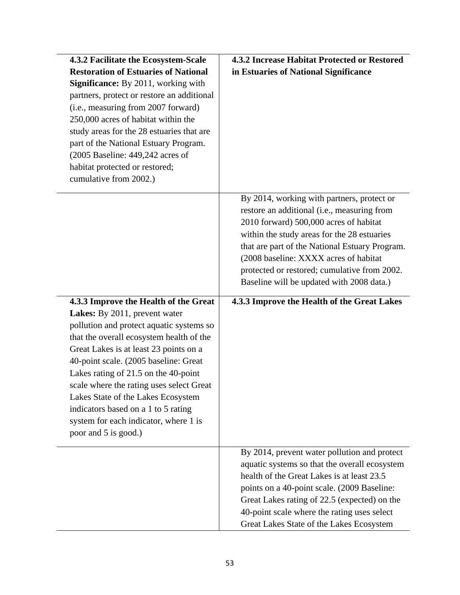| 4.3.2 Facilitate the Ecosystem-Scale<br><b>Restoration of Estuaries of National</b><br><b>Significance:</b> By 2011, working with<br>partners, protect or restore an additional<br>(i.e., measuring from 2007 forward)<br>250,000 acres of habitat within the<br>study areas for the 28 estuaries that are<br>part of the National Estuary Program.<br>$(2005$ Baseline: 449,242 acres of<br>habitat protected or restored;<br>cumulative from 2002.)                               | 4.3.2 Increase Habitat Protected or Restored<br>in Estuaries of National Significance                                                                                                                                                                                                                                                                                      |
|-------------------------------------------------------------------------------------------------------------------------------------------------------------------------------------------------------------------------------------------------------------------------------------------------------------------------------------------------------------------------------------------------------------------------------------------------------------------------------------|----------------------------------------------------------------------------------------------------------------------------------------------------------------------------------------------------------------------------------------------------------------------------------------------------------------------------------------------------------------------------|
|                                                                                                                                                                                                                                                                                                                                                                                                                                                                                     | By 2014, working with partners, protect or<br>restore an additional (i.e., measuring from<br>2010 forward) 500,000 acres of habitat<br>within the study areas for the 28 estuaries<br>that are part of the National Estuary Program.<br>(2008 baseline: XXXX acres of habitat<br>protected or restored; cumulative from 2002.<br>Baseline will be updated with 2008 data.) |
| 4.3.3 Improve the Health of the Great<br>Lakes: By 2011, prevent water<br>pollution and protect aquatic systems so<br>that the overall ecosystem health of the<br>Great Lakes is at least 23 points on a<br>40-point scale. (2005 baseline: Great<br>Lakes rating of 21.5 on the 40-point<br>scale where the rating uses select Great<br>Lakes State of the Lakes Ecosystem<br>indicators based on a 1 to 5 rating<br>system for each indicator, where 1 is<br>poor and 5 is good.) | 4.3.3 Improve the Health of the Great Lakes                                                                                                                                                                                                                                                                                                                                |
|                                                                                                                                                                                                                                                                                                                                                                                                                                                                                     | By 2014, prevent water pollution and protect<br>aquatic systems so that the overall ecosystem<br>health of the Great Lakes is at least 23.5<br>points on a 40-point scale. (2009 Baseline:<br>Great Lakes rating of 22.5 (expected) on the<br>40-point scale where the rating uses select<br>Great Lakes State of the Lakes Ecosystem                                      |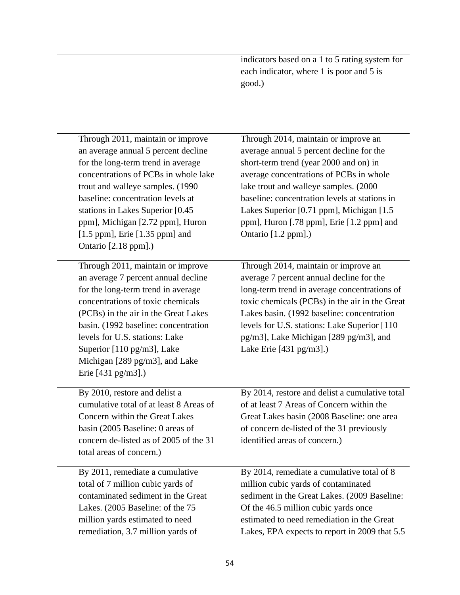|                                                                                                                                                                                                                                                                                                                                                                        | indicators based on a 1 to 5 rating system for<br>each indicator, where 1 is poor and 5 is<br>good.)                                                                                                                                                                                                                                                                              |
|------------------------------------------------------------------------------------------------------------------------------------------------------------------------------------------------------------------------------------------------------------------------------------------------------------------------------------------------------------------------|-----------------------------------------------------------------------------------------------------------------------------------------------------------------------------------------------------------------------------------------------------------------------------------------------------------------------------------------------------------------------------------|
| Through 2011, maintain or improve<br>an average annual 5 percent decline<br>for the long-term trend in average<br>concentrations of PCBs in whole lake<br>trout and walleye samples. (1990)<br>baseline: concentration levels at<br>stations in Lakes Superior [0.45<br>ppm], Michigan [2.72 ppm], Huron<br>$[1.5$ ppm], Erie $[1.35$ ppm] and<br>Ontario [2.18 ppm].) | Through 2014, maintain or improve an<br>average annual 5 percent decline for the<br>short-term trend (year 2000 and on) in<br>average concentrations of PCBs in whole<br>lake trout and walleye samples. (2000)<br>baseline: concentration levels at stations in<br>Lakes Superior [0.71 ppm], Michigan [1.5]<br>ppm], Huron [.78 ppm], Erie [1.2 ppm] and<br>Ontario [1.2 ppm].) |
| Through 2011, maintain or improve<br>an average 7 percent annual decline<br>for the long-term trend in average<br>concentrations of toxic chemicals<br>(PCBs) in the air in the Great Lakes<br>basin. (1992 baseline: concentration<br>levels for U.S. stations: Lake<br>Superior $[110 \text{ pg/m3}]$ , Lake<br>Michigan [289 pg/m3], and Lake<br>Erie [431 pg/m3].) | Through 2014, maintain or improve an<br>average 7 percent annual decline for the<br>long-term trend in average concentrations of<br>toxic chemicals (PCBs) in the air in the Great<br>Lakes basin. (1992 baseline: concentration<br>levels for U.S. stations: Lake Superior [110]<br>pg/m3], Lake Michigan [289 pg/m3], and<br>Lake Erie $[431 \text{ pg/m3}].$                   |
| By 2010, restore and delist a<br>cumulative total of at least 8 Areas of<br>Concern within the Great Lakes<br>basin (2005 Baseline: 0 areas of<br>concern de-listed as of 2005 of the 31<br>total areas of concern.)                                                                                                                                                   | By 2014, restore and delist a cumulative total<br>of at least 7 Areas of Concern within the<br>Great Lakes basin (2008 Baseline: one area<br>of concern de-listed of the 31 previously<br>identified areas of concern.)                                                                                                                                                           |
| By 2011, remediate a cumulative<br>total of 7 million cubic yards of<br>contaminated sediment in the Great<br>Lakes. (2005 Baseline: of the 75<br>million yards estimated to need<br>remediation, 3.7 million yards of                                                                                                                                                 | By 2014, remediate a cumulative total of 8<br>million cubic yards of contaminated<br>sediment in the Great Lakes. (2009 Baseline:<br>Of the 46.5 million cubic yards once<br>estimated to need remediation in the Great<br>Lakes, EPA expects to report in 2009 that 5.5                                                                                                          |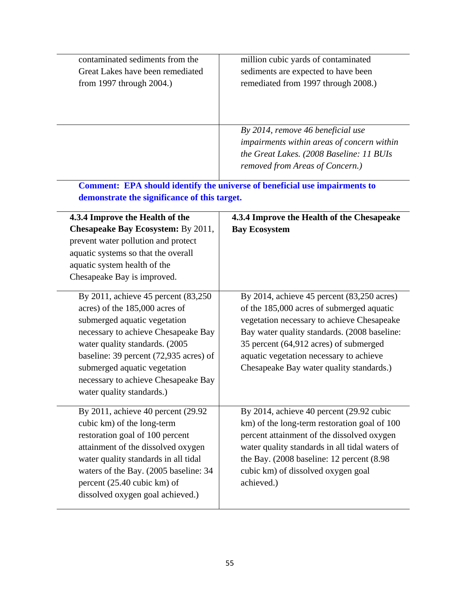| contaminated sediments from the<br>Great Lakes have been remediated<br>from 1997 through 2004.)                                                                                                                                                                                                                                        | million cubic yards of contaminated<br>sediments are expected to have been<br>remediated from 1997 through 2008.)                                                                                                                                                                                                      |
|----------------------------------------------------------------------------------------------------------------------------------------------------------------------------------------------------------------------------------------------------------------------------------------------------------------------------------------|------------------------------------------------------------------------------------------------------------------------------------------------------------------------------------------------------------------------------------------------------------------------------------------------------------------------|
|                                                                                                                                                                                                                                                                                                                                        | By 2014, remove 46 beneficial use<br>impairments within areas of concern within<br>the Great Lakes. (2008 Baseline: 11 BUIs<br>removed from Areas of Concern.)                                                                                                                                                         |
| demonstrate the significance of this target.                                                                                                                                                                                                                                                                                           | <b>Comment: EPA should identify the universe of beneficial use impairments to</b>                                                                                                                                                                                                                                      |
| 4.3.4 Improve the Health of the<br><b>Chesapeake Bay Ecosystem: By 2011,</b><br>prevent water pollution and protect<br>aquatic systems so that the overall<br>aquatic system health of the<br>Chesapeake Bay is improved.                                                                                                              | 4.3.4 Improve the Health of the Chesapeake<br><b>Bay Ecosystem</b>                                                                                                                                                                                                                                                     |
| By 2011, achieve 45 percent (83,250<br>acres) of the 185,000 acres of<br>submerged aquatic vegetation<br>necessary to achieve Chesapeake Bay<br>water quality standards. (2005<br>baseline: 39 percent $(72,935 \text{ acres})$ of<br>submerged aquatic vegetation<br>necessary to achieve Chesapeake Bay<br>water quality standards.) | By 2014, achieve 45 percent (83,250 acres)<br>of the 185,000 acres of submerged aquatic<br>vegetation necessary to achieve Chesapeake<br>Bay water quality standards. (2008 baseline:<br>35 percent (64,912 acres) of submerged<br>aquatic vegetation necessary to achieve<br>Chesapeake Bay water quality standards.) |
| By 2011, achieve 40 percent (29.92)<br>cubic km) of the long-term<br>restoration goal of 100 percent<br>attainment of the dissolved oxygen<br>water quality standards in all tidal<br>waters of the Bay. (2005 baseline: 34<br>percent (25.40 cubic km) of<br>dissolved oxygen goal achieved.)                                         | By 2014, achieve 40 percent (29.92 cubic<br>km) of the long-term restoration goal of 100<br>percent attainment of the dissolved oxygen<br>water quality standards in all tidal waters of<br>the Bay. (2008 baseline: 12 percent (8.98)<br>cubic km) of dissolved oxygen goal<br>achieved.)                             |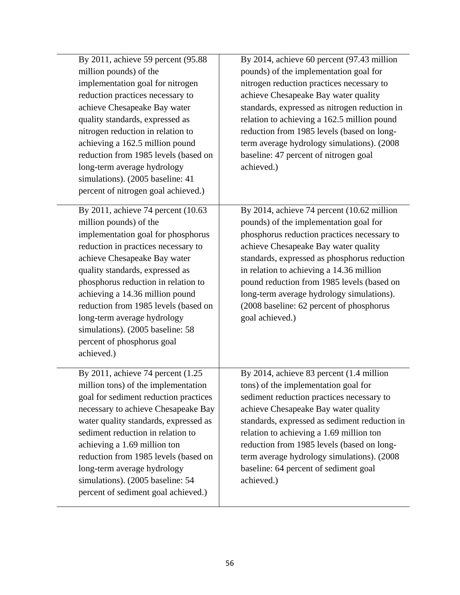| By 2011, achieve 59 percent (95.88<br>million pounds) of the<br>implementation goal for nitrogen<br>reduction practices necessary to<br>achieve Chesapeake Bay water<br>quality standards, expressed as<br>nitrogen reduction in relation to<br>achieving a 162.5 million pound<br>reduction from 1985 levels (based on<br>long-term average hydrology<br>simulations). (2005 baseline: 41<br>percent of nitrogen goal achieved.)             | By 2014, achieve 60 percent (97.43 million<br>pounds) of the implementation goal for<br>nitrogen reduction practices necessary to<br>achieve Chesapeake Bay water quality<br>standards, expressed as nitrogen reduction in<br>relation to achieving a 162.5 million pound<br>reduction from 1985 levels (based on long-<br>term average hydrology simulations). (2008<br>baseline: 47 percent of nitrogen goal<br>achieved.)      |
|-----------------------------------------------------------------------------------------------------------------------------------------------------------------------------------------------------------------------------------------------------------------------------------------------------------------------------------------------------------------------------------------------------------------------------------------------|-----------------------------------------------------------------------------------------------------------------------------------------------------------------------------------------------------------------------------------------------------------------------------------------------------------------------------------------------------------------------------------------------------------------------------------|
| By 2011, achieve 74 percent (10.63<br>million pounds) of the<br>implementation goal for phosphorus<br>reduction in practices necessary to<br>achieve Chesapeake Bay water<br>quality standards, expressed as<br>phosphorus reduction in relation to<br>achieving a 14.36 million pound<br>reduction from 1985 levels (based on<br>long-term average hydrology<br>simulations). (2005 baseline: 58<br>percent of phosphorus goal<br>achieved.) | By 2014, achieve 74 percent (10.62 million<br>pounds) of the implementation goal for<br>phosphorus reduction practices necessary to<br>achieve Chesapeake Bay water quality<br>standards, expressed as phosphorus reduction<br>in relation to achieving a 14.36 million<br>pound reduction from 1985 levels (based on<br>long-term average hydrology simulations).<br>(2008 baseline: 62 percent of phosphorus<br>goal achieved.) |
| By 2011, achieve 74 percent $(1.25$<br>million tons) of the implementation<br>goal for sediment reduction practices<br>necessary to achieve Chesapeake Bay<br>water quality standards, expressed as<br>sediment reduction in relation to<br>achieving a 1.69 million ton<br>reduction from 1985 levels (based on<br>long-term average hydrology<br>simulations). (2005 baseline: 54<br>percent of sediment goal achieved.)                    | By 2014, achieve 83 percent (1.4 million<br>tons) of the implementation goal for<br>sediment reduction practices necessary to<br>achieve Chesapeake Bay water quality<br>standards, expressed as sediment reduction in<br>relation to achieving a 1.69 million ton<br>reduction from 1985 levels (based on long-<br>term average hydrology simulations). (2008<br>baseline: 64 percent of sediment goal<br>achieved.)             |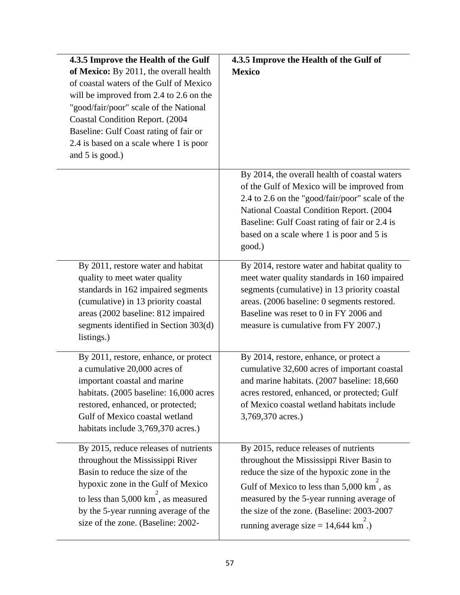| 4.3.5 Improve the Health of the Gulf<br>of Mexico: By 2011, the overall health<br>of coastal waters of the Gulf of Mexico<br>will be improved from 2.4 to 2.6 on the<br>"good/fair/poor" scale of the National<br>Coastal Condition Report. (2004<br>Baseline: Gulf Coast rating of fair or<br>2.4 is based on a scale where 1 is poor<br>and 5 is good.) | 4.3.5 Improve the Health of the Gulf of<br><b>Mexico</b>                                                                                                                                                                                                                                                        |
|-----------------------------------------------------------------------------------------------------------------------------------------------------------------------------------------------------------------------------------------------------------------------------------------------------------------------------------------------------------|-----------------------------------------------------------------------------------------------------------------------------------------------------------------------------------------------------------------------------------------------------------------------------------------------------------------|
|                                                                                                                                                                                                                                                                                                                                                           | By 2014, the overall health of coastal waters<br>of the Gulf of Mexico will be improved from<br>2.4 to 2.6 on the "good/fair/poor" scale of the<br>National Coastal Condition Report. (2004<br>Baseline: Gulf Coast rating of fair or 2.4 is<br>based on a scale where 1 is poor and 5 is<br>good.)             |
| By 2011, restore water and habitat<br>quality to meet water quality<br>standards in 162 impaired segments<br>(cumulative) in 13 priority coastal<br>areas (2002 baseline: 812 impaired<br>segments identified in Section 303(d)<br>listings.)                                                                                                             | By 2014, restore water and habitat quality to<br>meet water quality standards in 160 impaired<br>segments (cumulative) in 13 priority coastal<br>areas. (2006 baseline: 0 segments restored.<br>Baseline was reset to 0 in FY 2006 and<br>measure is cumulative from FY 2007.)                                  |
| By 2011, restore, enhance, or protect<br>a cumulative 20,000 acres of<br>important coastal and marine<br>habitats. (2005 baseline: 16,000 acres<br>restored, enhanced, or protected;<br>Gulf of Mexico coastal wetland<br>habitats include 3,769,370 acres.)                                                                                              | By 2014, restore, enhance, or protect a<br>cumulative 32,600 acres of important coastal<br>and marine habitats. (2007 baseline: 18,660<br>acres restored, enhanced, or protected; Gulf<br>of Mexico coastal wetland habitats include<br>3,769,370 acres.)                                                       |
| By 2015, reduce releases of nutrients<br>throughout the Mississippi River<br>Basin to reduce the size of the<br>hypoxic zone in the Gulf of Mexico<br>to less than 5,000 km, as measured<br>by the 5-year running average of the<br>size of the zone. (Baseline: 2002-                                                                                    | By 2015, reduce releases of nutrients<br>throughout the Mississippi River Basin to<br>reduce the size of the hypoxic zone in the<br>Gulf of Mexico to less than 5,000 km, as<br>measured by the 5-year running average of<br>the size of the zone. (Baseline: 2003-2007<br>running average size = $14,644$ km.) |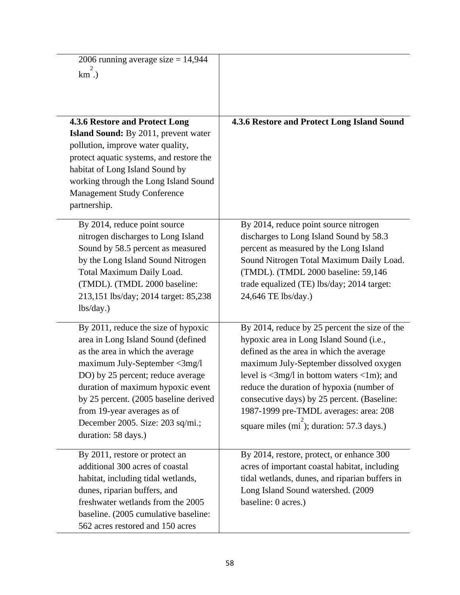| 2006 running average size $= 14,944$                                       |                                                                                          |
|----------------------------------------------------------------------------|------------------------------------------------------------------------------------------|
| $km.$ )                                                                    |                                                                                          |
|                                                                            |                                                                                          |
|                                                                            |                                                                                          |
| 4.3.6 Restore and Protect Long                                             | 4.3.6 Restore and Protect Long Island Sound                                              |
| <b>Island Sound:</b> By 2011, prevent water                                |                                                                                          |
| pollution, improve water quality,                                          |                                                                                          |
| protect aquatic systems, and restore the                                   |                                                                                          |
| habitat of Long Island Sound by                                            |                                                                                          |
| working through the Long Island Sound                                      |                                                                                          |
| <b>Management Study Conference</b>                                         |                                                                                          |
| partnership.                                                               |                                                                                          |
| By 2014, reduce point source                                               | By 2014, reduce point source nitrogen                                                    |
| nitrogen discharges to Long Island                                         | discharges to Long Island Sound by 58.3                                                  |
| Sound by 58.5 percent as measured                                          | percent as measured by the Long Island                                                   |
| by the Long Island Sound Nitrogen                                          | Sound Nitrogen Total Maximum Daily Load.                                                 |
| Total Maximum Daily Load.                                                  | (TMDL). (TMDL 2000 baseline: 59,146                                                      |
| (TMDL). (TMDL 2000 baseline:                                               | trade equalized (TE) lbs/day; 2014 target:                                               |
| 213,151 lbs/day; 2014 target: 85,238<br>lbs/day.)                          | 24,646 TE lbs/day.)                                                                      |
|                                                                            |                                                                                          |
| By 2011, reduce the size of hypoxic                                        | By 2014, reduce by 25 percent the size of the                                            |
| area in Long Island Sound (defined                                         | hypoxic area in Long Island Sound (i.e.,                                                 |
| as the area in which the average                                           | defined as the area in which the average                                                 |
| maximum July-September <3mg/l                                              | maximum July-September dissolved oxygen                                                  |
| DO) by 25 percent; reduce average                                          | level is $\langle 3mg/1$ in bottom waters $\langle 1m \rangle$ ; and                     |
| duration of maximum hypoxic event<br>by 25 percent. (2005 baseline derived | reduce the duration of hypoxia (number of<br>consecutive days) by 25 percent. (Baseline: |
| from 19-year averages as of                                                | 1987-1999 pre-TMDL averages: area: 208                                                   |
| December 2005. Size: 203 sq/mi.;                                           |                                                                                          |
| duration: 58 days.)                                                        | square miles (mi); duration: 57.3 days.)                                                 |
|                                                                            |                                                                                          |
| By 2011, restore or protect an                                             | By 2014, restore, protect, or enhance 300                                                |
| additional 300 acres of coastal                                            | acres of important coastal habitat, including                                            |
| habitat, including tidal wetlands,                                         | tidal wetlands, dunes, and riparian buffers in                                           |
| dunes, riparian buffers, and<br>freshwater wetlands from the 2005          | Long Island Sound watershed. (2009<br>baseline: 0 acres.)                                |
| baseline. (2005 cumulative baseline:                                       |                                                                                          |
| 562 acres restored and 150 acres                                           |                                                                                          |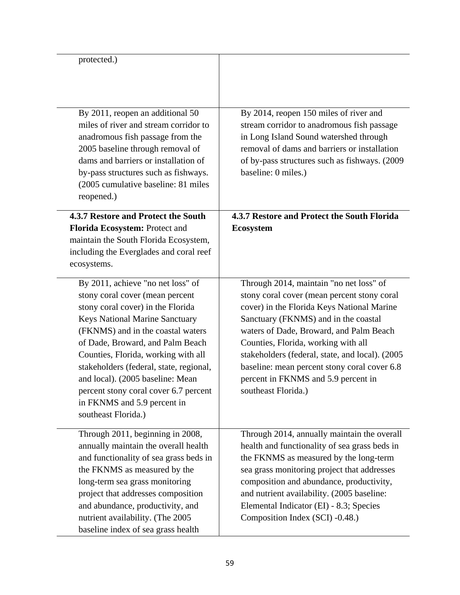| protected.)                                                                                                                                                                                                                                                                                                                                                                                                                                      |                                                                                                                                                                                                                                                                                                                                                                                                                                 |
|--------------------------------------------------------------------------------------------------------------------------------------------------------------------------------------------------------------------------------------------------------------------------------------------------------------------------------------------------------------------------------------------------------------------------------------------------|---------------------------------------------------------------------------------------------------------------------------------------------------------------------------------------------------------------------------------------------------------------------------------------------------------------------------------------------------------------------------------------------------------------------------------|
| By 2011, reopen an additional 50<br>miles of river and stream corridor to<br>anadromous fish passage from the<br>2005 baseline through removal of<br>dams and barriers or installation of<br>by-pass structures such as fishways.<br>(2005 cumulative baseline: 81 miles)<br>reopened.)                                                                                                                                                          | By 2014, reopen 150 miles of river and<br>stream corridor to anadromous fish passage<br>in Long Island Sound watershed through<br>removal of dams and barriers or installation<br>of by-pass structures such as fishways. (2009<br>baseline: 0 miles.)                                                                                                                                                                          |
| 4.3.7 Restore and Protect the South<br>Florida Ecosystem: Protect and<br>maintain the South Florida Ecosystem,<br>including the Everglades and coral reef<br>ecosystems.                                                                                                                                                                                                                                                                         | 4.3.7 Restore and Protect the South Florida<br><b>Ecosystem</b>                                                                                                                                                                                                                                                                                                                                                                 |
| By 2011, achieve "no net loss" of<br>stony coral cover (mean percent<br>stony coral cover) in the Florida<br><b>Keys National Marine Sanctuary</b><br>(FKNMS) and in the coastal waters<br>of Dade, Broward, and Palm Beach<br>Counties, Florida, working with all<br>stakeholders (federal, state, regional,<br>and local). (2005 baseline: Mean<br>percent stony coral cover 6.7 percent<br>in FKNMS and 5.9 percent in<br>southeast Florida.) | Through 2014, maintain "no net loss" of<br>stony coral cover (mean percent stony coral<br>cover) in the Florida Keys National Marine<br>Sanctuary (FKNMS) and in the coastal<br>waters of Dade, Broward, and Palm Beach<br>Counties, Florida, working with all<br>stakeholders (federal, state, and local). (2005<br>baseline: mean percent stony coral cover 6.8<br>percent in FKNMS and 5.9 percent in<br>southeast Florida.) |
| Through 2011, beginning in 2008,<br>annually maintain the overall health<br>and functionality of sea grass beds in<br>the FKNMS as measured by the<br>long-term sea grass monitoring<br>project that addresses composition<br>and abundance, productivity, and<br>nutrient availability. (The 2005<br>baseline index of sea grass health                                                                                                         | Through 2014, annually maintain the overall<br>health and functionality of sea grass beds in<br>the FKNMS as measured by the long-term<br>sea grass monitoring project that addresses<br>composition and abundance, productivity,<br>and nutrient availability. (2005 baseline:<br>Elemental Indicator (EI) - 8.3; Species<br>Composition Index (SCI) -0.48.)                                                                   |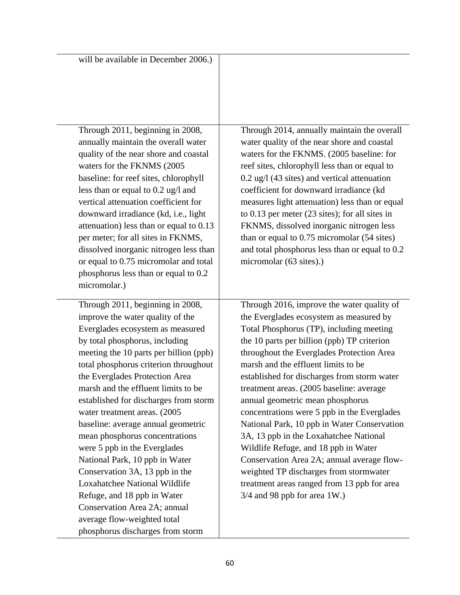| will be available in December 2006.)                                                                                                                                                                                                                                                                                                                                                                                                                                                                                                                                                                                                                                                                                            |                                                                                                                                                                                                                                                                                                                                                                                                                                                                                                                                                                                                                                                                                                                                                              |
|---------------------------------------------------------------------------------------------------------------------------------------------------------------------------------------------------------------------------------------------------------------------------------------------------------------------------------------------------------------------------------------------------------------------------------------------------------------------------------------------------------------------------------------------------------------------------------------------------------------------------------------------------------------------------------------------------------------------------------|--------------------------------------------------------------------------------------------------------------------------------------------------------------------------------------------------------------------------------------------------------------------------------------------------------------------------------------------------------------------------------------------------------------------------------------------------------------------------------------------------------------------------------------------------------------------------------------------------------------------------------------------------------------------------------------------------------------------------------------------------------------|
| Through 2011, beginning in 2008,<br>annually maintain the overall water<br>quality of the near shore and coastal<br>waters for the FKNMS (2005<br>baseline: for reef sites, chlorophyll<br>less than or equal to 0.2 ug/l and<br>vertical attenuation coefficient for<br>downward irradiance (kd, i.e., light<br>attenuation) less than or equal to 0.13<br>per meter; for all sites in FKNMS,<br>dissolved inorganic nitrogen less than<br>or equal to 0.75 micromolar and total<br>phosphorus less than or equal to 0.2<br>micromolar.)                                                                                                                                                                                       | Through 2014, annually maintain the overall<br>water quality of the near shore and coastal<br>waters for the FKNMS. (2005 baseline: for<br>reef sites, chlorophyll less than or equal to<br>$0.2$ ug/l (43 sites) and vertical attenuation<br>coefficient for downward irradiance (kd<br>measures light attenuation) less than or equal<br>to $0.13$ per meter $(23$ sites); for all sites in<br>FKNMS, dissolved inorganic nitrogen less<br>than or equal to 0.75 micromolar (54 sites)<br>and total phosphorus less than or equal to 0.2<br>micromolar (63 sites).)                                                                                                                                                                                        |
| Through 2011, beginning in 2008,<br>improve the water quality of the<br>Everglades ecosystem as measured<br>by total phosphorus, including<br>meeting the 10 parts per billion (ppb)<br>total phosphorus criterion throughout<br>the Everglades Protection Area<br>marsh and the effluent limits to be<br>established for discharges from storm<br>water treatment areas. (2005)<br>baseline: average annual geometric<br>mean phosphorus concentrations<br>were 5 ppb in the Everglades<br>National Park, 10 ppb in Water<br>Conservation 3A, 13 ppb in the<br>Loxahatchee National Wildlife<br>Refuge, and 18 ppb in Water<br>Conservation Area 2A; annual<br>average flow-weighted total<br>phosphorus discharges from storm | Through 2016, improve the water quality of<br>the Everglades ecosystem as measured by<br>Total Phosphorus (TP), including meeting<br>the 10 parts per billion (ppb) TP criterion<br>throughout the Everglades Protection Area<br>marsh and the effluent limits to be<br>established for discharges from storm water<br>treatment areas. (2005 baseline: average<br>annual geometric mean phosphorus<br>concentrations were 5 ppb in the Everglades<br>National Park, 10 ppb in Water Conservation<br>3A, 13 ppb in the Loxahatchee National<br>Wildlife Refuge, and 18 ppb in Water<br>Conservation Area 2A; annual average flow-<br>weighted TP discharges from stormwater<br>treatment areas ranged from 13 ppb for area<br>$3/4$ and 98 ppb for area 1W.) |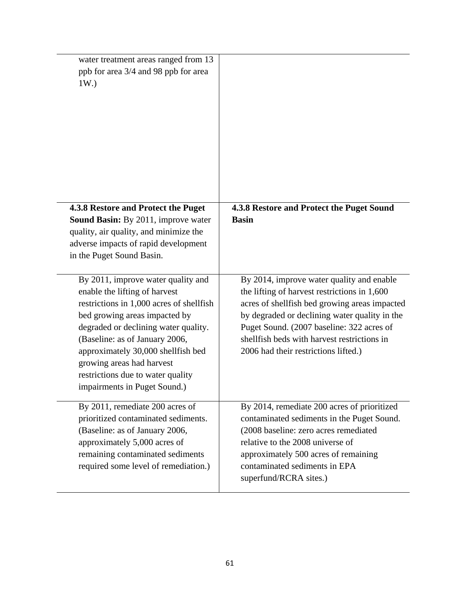| water treatment areas ranged from 13<br>ppb for area 3/4 and 98 ppb for area<br>1W.                                                                                                                                                                                                                                                                                |                                                                                                                                                                                                                                                                                                                                  |
|--------------------------------------------------------------------------------------------------------------------------------------------------------------------------------------------------------------------------------------------------------------------------------------------------------------------------------------------------------------------|----------------------------------------------------------------------------------------------------------------------------------------------------------------------------------------------------------------------------------------------------------------------------------------------------------------------------------|
| 4.3.8 Restore and Protect the Puget                                                                                                                                                                                                                                                                                                                                | 4.3.8 Restore and Protect the Puget Sound                                                                                                                                                                                                                                                                                        |
| <b>Sound Basin:</b> By 2011, improve water<br>quality, air quality, and minimize the<br>adverse impacts of rapid development<br>in the Puget Sound Basin.                                                                                                                                                                                                          | <b>Basin</b>                                                                                                                                                                                                                                                                                                                     |
| By 2011, improve water quality and<br>enable the lifting of harvest<br>restrictions in 1,000 acres of shellfish<br>bed growing areas impacted by<br>degraded or declining water quality.<br>(Baseline: as of January 2006,<br>approximately 30,000 shellfish bed<br>growing areas had harvest<br>restrictions due to water quality<br>impairments in Puget Sound.) | By 2014, improve water quality and enable<br>the lifting of harvest restrictions in 1,600<br>acres of shellfish bed growing areas impacted<br>by degraded or declining water quality in the<br>Puget Sound. (2007 baseline: 322 acres of<br>shell fish beds with harvest restrictions in<br>2006 had their restrictions lifted.) |
| By 2011, remediate 200 acres of<br>prioritized contaminated sediments.<br>(Baseline: as of January 2006,<br>approximately 5,000 acres of<br>remaining contaminated sediments<br>required some level of remediation.)                                                                                                                                               | By 2014, remediate 200 acres of prioritized<br>contaminated sediments in the Puget Sound.<br>(2008 baseline: zero acres remediated<br>relative to the 2008 universe of<br>approximately 500 acres of remaining<br>contaminated sediments in EPA<br>superfund/RCRA sites.)                                                        |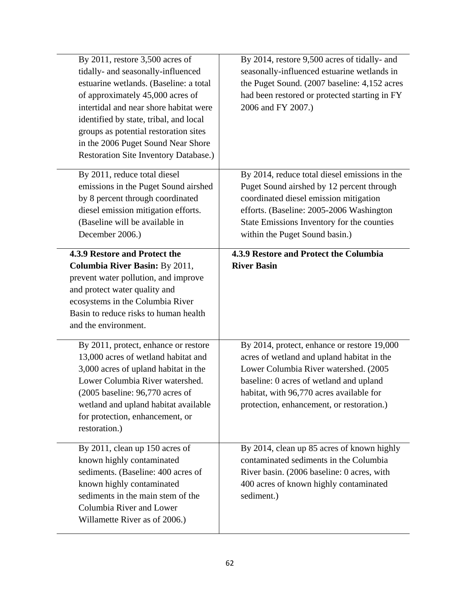| By $2011$ , restore $3,500$ acres of<br>tidally- and seasonally-influenced<br>estuarine wetlands. (Baseline: a total<br>of approximately 45,000 acres of<br>intertidal and near shore habitat were<br>identified by state, tribal, and local<br>groups as potential restoration sites<br>in the 2006 Puget Sound Near Shore<br>Restoration Site Inventory Database.) | By 2014, restore 9,500 acres of tidally- and<br>seasonally-influenced estuarine wetlands in<br>the Puget Sound. (2007 baseline: 4,152 acres<br>had been restored or protected starting in FY<br>2006 and FY 2007.)                                                     |
|----------------------------------------------------------------------------------------------------------------------------------------------------------------------------------------------------------------------------------------------------------------------------------------------------------------------------------------------------------------------|------------------------------------------------------------------------------------------------------------------------------------------------------------------------------------------------------------------------------------------------------------------------|
| By 2011, reduce total diesel<br>emissions in the Puget Sound airshed<br>by 8 percent through coordinated<br>diesel emission mitigation efforts.<br>(Baseline will be available in<br>December 2006.)                                                                                                                                                                 | By 2014, reduce total diesel emissions in the<br>Puget Sound airshed by 12 percent through<br>coordinated diesel emission mitigation<br>efforts. (Baseline: 2005-2006 Washington<br>State Emissions Inventory for the counties<br>within the Puget Sound basin.)       |
| 4.3.9 Restore and Protect the<br>Columbia River Basin: By 2011,<br>prevent water pollution, and improve<br>and protect water quality and<br>ecosystems in the Columbia River<br>Basin to reduce risks to human health<br>and the environment.                                                                                                                        | 4.3.9 Restore and Protect the Columbia<br><b>River Basin</b>                                                                                                                                                                                                           |
| By 2011, protect, enhance or restore<br>13,000 acres of wetland habitat and<br>3,000 acres of upland habitat in the<br>Lower Columbia River watershed.<br>$(2005 \text{ baseline} : 96,770 \text{ acres of})$<br>wetland and upland habitat available<br>for protection, enhancement, or<br>restoration.)                                                            | By 2014, protect, enhance or restore 19,000<br>acres of wetland and upland habitat in the<br>Lower Columbia River watershed. (2005<br>baseline: 0 acres of wetland and upland<br>habitat, with 96,770 acres available for<br>protection, enhancement, or restoration.) |
| By 2011, clean up 150 acres of<br>known highly contaminated<br>sediments. (Baseline: 400 acres of<br>known highly contaminated<br>sediments in the main stem of the<br>Columbia River and Lower<br>Willamette River as of 2006.)                                                                                                                                     | By 2014, clean up 85 acres of known highly<br>contaminated sediments in the Columbia<br>River basin. (2006 baseline: 0 acres, with<br>400 acres of known highly contaminated<br>sediment.)                                                                             |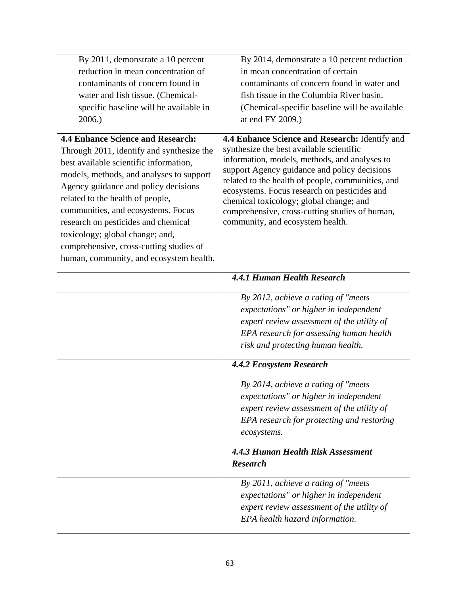| By 2011, demonstrate a 10 percent<br>reduction in mean concentration of                                                                                                                                                                                                                                                                                                                                                                                       | By 2014, demonstrate a 10 percent reduction<br>in mean concentration of certain                                                                                                                                                                                                                                                                                                                                                   |
|---------------------------------------------------------------------------------------------------------------------------------------------------------------------------------------------------------------------------------------------------------------------------------------------------------------------------------------------------------------------------------------------------------------------------------------------------------------|-----------------------------------------------------------------------------------------------------------------------------------------------------------------------------------------------------------------------------------------------------------------------------------------------------------------------------------------------------------------------------------------------------------------------------------|
| contaminants of concern found in                                                                                                                                                                                                                                                                                                                                                                                                                              | contaminants of concern found in water and                                                                                                                                                                                                                                                                                                                                                                                        |
| water and fish tissue. (Chemical-                                                                                                                                                                                                                                                                                                                                                                                                                             | fish tissue in the Columbia River basin.                                                                                                                                                                                                                                                                                                                                                                                          |
| specific baseline will be available in                                                                                                                                                                                                                                                                                                                                                                                                                        | (Chemical-specific baseline will be available                                                                                                                                                                                                                                                                                                                                                                                     |
| 2006.                                                                                                                                                                                                                                                                                                                                                                                                                                                         | at end FY 2009.)                                                                                                                                                                                                                                                                                                                                                                                                                  |
| <b>4.4 Enhance Science and Research:</b><br>Through 2011, identify and synthesize the<br>best available scientific information,<br>models, methods, and analyses to support<br>Agency guidance and policy decisions<br>related to the health of people,<br>communities, and ecosystems. Focus<br>research on pesticides and chemical<br>toxicology; global change; and,<br>comprehensive, cross-cutting studies of<br>human, community, and ecosystem health. | 4.4 Enhance Science and Research: Identify and<br>synthesize the best available scientific<br>information, models, methods, and analyses to<br>support Agency guidance and policy decisions<br>related to the health of people, communities, and<br>ecosystems. Focus research on pesticides and<br>chemical toxicology; global change; and<br>comprehensive, cross-cutting studies of human,<br>community, and ecosystem health. |
|                                                                                                                                                                                                                                                                                                                                                                                                                                                               | <b>4.4.1 Human Health Research</b>                                                                                                                                                                                                                                                                                                                                                                                                |
|                                                                                                                                                                                                                                                                                                                                                                                                                                                               | By 2012, achieve a rating of "meets"<br>expectations" or higher in independent<br>expert review assessment of the utility of<br>EPA research for assessing human health<br>risk and protecting human health.                                                                                                                                                                                                                      |
|                                                                                                                                                                                                                                                                                                                                                                                                                                                               | <b>4.4.2 Ecosystem Research</b>                                                                                                                                                                                                                                                                                                                                                                                                   |
|                                                                                                                                                                                                                                                                                                                                                                                                                                                               | By 2014, achieve a rating of "meets"<br>expectations" or higher in independent<br>expert review assessment of the utility of<br>EPA research for protecting and restoring<br>ecosystems.                                                                                                                                                                                                                                          |
|                                                                                                                                                                                                                                                                                                                                                                                                                                                               | 4.4.3 Human Health Risk Assessment                                                                                                                                                                                                                                                                                                                                                                                                |
|                                                                                                                                                                                                                                                                                                                                                                                                                                                               | <b>Research</b>                                                                                                                                                                                                                                                                                                                                                                                                                   |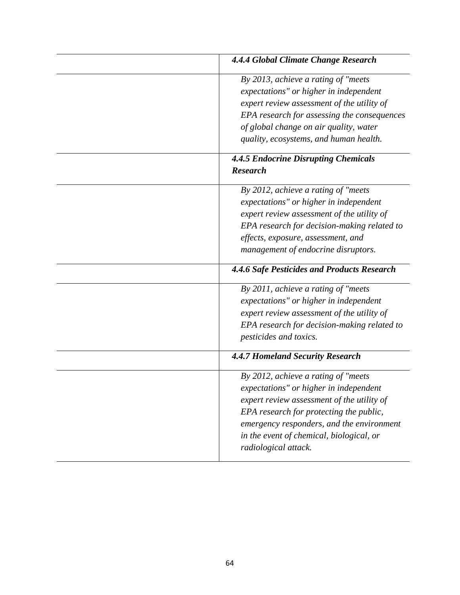| 4.4.4 Global Climate Change Research                                                                                                                                                                                                                                                     |
|------------------------------------------------------------------------------------------------------------------------------------------------------------------------------------------------------------------------------------------------------------------------------------------|
| By 2013, achieve a rating of "meets"<br>expectations" or higher in independent<br>expert review assessment of the utility of<br>EPA research for assessing the consequences<br>of global change on air quality, water<br>quality, ecosystems, and human health.                          |
| <b>4.4.5 Endocrine Disrupting Chemicals</b><br><b>Research</b>                                                                                                                                                                                                                           |
| By 2012, achieve a rating of "meets"<br>expectations" or higher in independent<br>expert review assessment of the utility of<br>EPA research for decision-making related to<br>effects, exposure, assessment, and<br>management of endocrine disruptors.                                 |
| 4.4.6 Safe Pesticides and Products Research                                                                                                                                                                                                                                              |
| By 2011, achieve a rating of "meets"<br>expectations" or higher in independent<br>expert review assessment of the utility of<br>EPA research for decision-making related to<br>pesticides and toxics.                                                                                    |
| 4.4.7 Homeland Security Research                                                                                                                                                                                                                                                         |
| By 2012, achieve a rating of "meets"<br>expectations" or higher in independent<br>expert review assessment of the utility of<br>EPA research for protecting the public,<br>emergency responders, and the environment<br>in the event of chemical, biological, or<br>radiological attack. |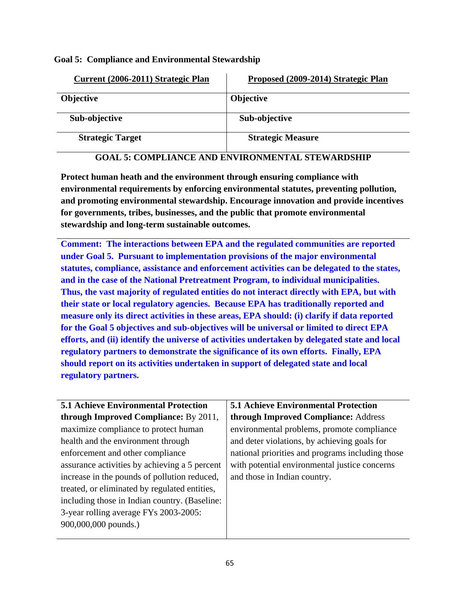**Goal 5: Compliance and Environmental Stewardship** 

| Current (2006-2011) Strategic Plan | Proposed (2009-2014) Strategic Plan |
|------------------------------------|-------------------------------------|
| <b>Objective</b>                   | <b>Objective</b>                    |
| Sub-objective                      | Sub-objective                       |
| <b>Strategic Target</b>            | <b>Strategic Measure</b>            |

## **GOAL 5: COMPLIANCE AND ENVIRONMENTAL STEWARDSHIP**

**Protect human heath and the environment through ensuring compliance with environmental requirements by enforcing environmental statutes, preventing pollution, and promoting environmental stewardship. Encourage innovation and provide incentives for governments, tribes, businesses, and the public that promote environmental stewardship and long-term sustainable outcomes.** 

**Comment: The interactions between EPA and the regulated communities are reported under Goal 5. Pursuant to implementation provisions of the major environmental statutes, compliance, assistance and enforcement activities can be delegated to the states, and in the case of the National Pretreatment Program, to individual municipalities. Thus, the vast majority of regulated entities do not interact directly with EPA, but with their state or local regulatory agencies. Because EPA has traditionally reported and measure only its direct activities in these areas, EPA should: (i) clarify if data reported for the Goal 5 objectives and sub-objectives will be universal or limited to direct EPA efforts, and (ii) identify the universe of activities undertaken by delegated state and local regulatory partners to demonstrate the significance of its own efforts. Finally, EPA should report on its activities undertaken in support of delegated state and local regulatory partners.** 

| <b>5.1 Achieve Environmental Protection</b>   | <b>5.1 Achieve Environmental Protection</b>      |
|-----------------------------------------------|--------------------------------------------------|
| <b>through Improved Compliance:</b> By 2011,  | through Improved Compliance: Address             |
| maximize compliance to protect human          | environmental problems, promote compliance       |
| health and the environment through            | and deter violations, by achieving goals for     |
| enforcement and other compliance              | national priorities and programs including those |
| assurance activities by achieving a 5 percent | with potential environmental justice concerns    |
| increase in the pounds of pollution reduced,  | and those in Indian country.                     |
| treated, or eliminated by regulated entities, |                                                  |
| including those in Indian country. (Baseline: |                                                  |
| 3-year rolling average FYs 2003-2005:         |                                                  |
| 900,000,000 pounds.)                          |                                                  |
|                                               |                                                  |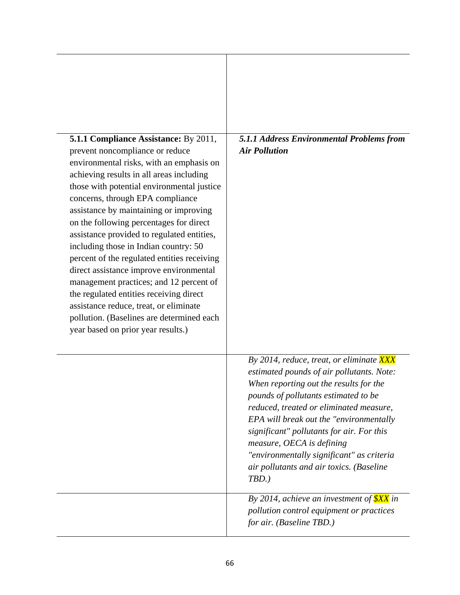| <b>5.1.1 Compliance Assistance: By 2011,</b><br>prevent noncompliance or reduce<br>environmental risks, with an emphasis on<br>achieving results in all areas including<br>those with potential environmental justice<br>concerns, through EPA compliance<br>assistance by maintaining or improving<br>on the following percentages for direct<br>assistance provided to regulated entities,<br>including those in Indian country: 50<br>percent of the regulated entities receiving<br>direct assistance improve environmental<br>management practices; and 12 percent of<br>the regulated entities receiving direct<br>assistance reduce, treat, or eliminate<br>pollution. (Baselines are determined each<br>year based on prior year results.) | 5.1.1 Address Environmental Problems from<br><b>Air Pollution</b>                                                                                                                                                                                                                                                                                                                                                                             |
|----------------------------------------------------------------------------------------------------------------------------------------------------------------------------------------------------------------------------------------------------------------------------------------------------------------------------------------------------------------------------------------------------------------------------------------------------------------------------------------------------------------------------------------------------------------------------------------------------------------------------------------------------------------------------------------------------------------------------------------------------|-----------------------------------------------------------------------------------------------------------------------------------------------------------------------------------------------------------------------------------------------------------------------------------------------------------------------------------------------------------------------------------------------------------------------------------------------|
|                                                                                                                                                                                                                                                                                                                                                                                                                                                                                                                                                                                                                                                                                                                                                    | By 2014, reduce, treat, or eliminate XXX<br>estimated pounds of air pollutants. Note:<br>When reporting out the results for the<br>pounds of pollutants estimated to be<br>reduced, treated or eliminated measure,<br>EPA will break out the "environmentally"<br>significant" pollutants for air. For this<br>measure, OECA is defining<br>"environmentally significant" as criteria<br>air pollutants and air toxics. (Baseline<br>$TBD.$ ) |
|                                                                                                                                                                                                                                                                                                                                                                                                                                                                                                                                                                                                                                                                                                                                                    | By 2014, achieve an investment of $\frac{\$XX}{\$XX}$ in<br>pollution control equipment or practices<br>for air. (Baseline TBD.)                                                                                                                                                                                                                                                                                                              |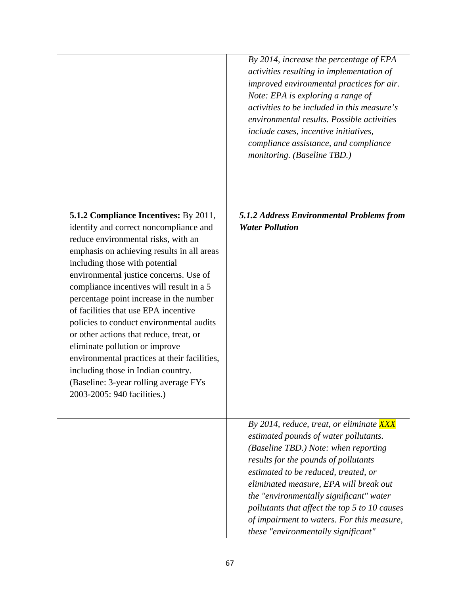|                                                                                                                                                                                                                                                                                                                                                                                                                                                                                                                                                                                                                                                                               | By 2014, increase the percentage of EPA<br>activities resulting in implementation of<br>improved environmental practices for air.<br>Note: EPA is exploring a range of<br>activities to be included in this measure's<br>environmental results. Possible activities<br>include cases, incentive initiatives,<br>compliance assistance, and compliance<br>monitoring. (Baseline TBD.)                                                 |
|-------------------------------------------------------------------------------------------------------------------------------------------------------------------------------------------------------------------------------------------------------------------------------------------------------------------------------------------------------------------------------------------------------------------------------------------------------------------------------------------------------------------------------------------------------------------------------------------------------------------------------------------------------------------------------|--------------------------------------------------------------------------------------------------------------------------------------------------------------------------------------------------------------------------------------------------------------------------------------------------------------------------------------------------------------------------------------------------------------------------------------|
| <b>5.1.2 Compliance Incentives: By 2011,</b><br>identify and correct noncompliance and<br>reduce environmental risks, with an<br>emphasis on achieving results in all areas<br>including those with potential<br>environmental justice concerns. Use of<br>compliance incentives will result in a 5<br>percentage point increase in the number<br>of facilities that use EPA incentive<br>policies to conduct environmental audits<br>or other actions that reduce, treat, or<br>eliminate pollution or improve<br>environmental practices at their facilities,<br>including those in Indian country.<br>(Baseline: 3-year rolling average FYs<br>2003-2005: 940 facilities.) | 5.1.2 Address Environmental Problems from<br><b>Water Pollution</b>                                                                                                                                                                                                                                                                                                                                                                  |
|                                                                                                                                                                                                                                                                                                                                                                                                                                                                                                                                                                                                                                                                               | By 2014, reduce, treat, or eliminate XXX<br>estimated pounds of water pollutants.<br>(Baseline TBD.) Note: when reporting<br>results for the pounds of pollutants<br>estimated to be reduced, treated, or<br>eliminated measure, EPA will break out<br>the "environmentally significant" water<br>pollutants that affect the top 5 to 10 causes<br>of impairment to waters. For this measure,<br>these "environmentally significant" |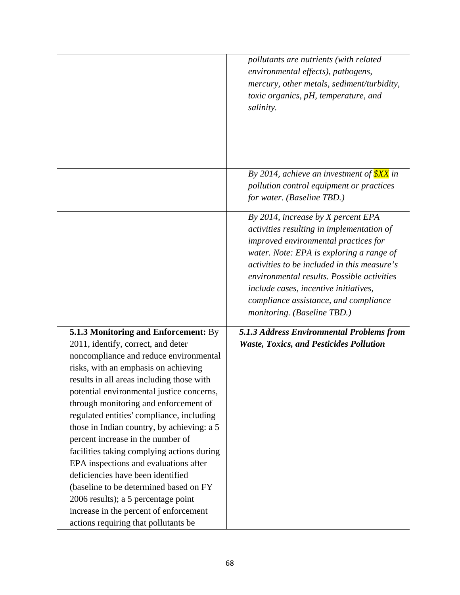|                                                                                                                                                                                                                                                                                                                                                                                                                                                                                                                                                                                                                                                                                                                                | pollutants are nutrients (with related<br>environmental effects), pathogens,<br>mercury, other metals, sediment/turbidity,<br>toxic organics, pH, temperature, and<br>salinity.                                                                                                                                                                                                   |
|--------------------------------------------------------------------------------------------------------------------------------------------------------------------------------------------------------------------------------------------------------------------------------------------------------------------------------------------------------------------------------------------------------------------------------------------------------------------------------------------------------------------------------------------------------------------------------------------------------------------------------------------------------------------------------------------------------------------------------|-----------------------------------------------------------------------------------------------------------------------------------------------------------------------------------------------------------------------------------------------------------------------------------------------------------------------------------------------------------------------------------|
|                                                                                                                                                                                                                                                                                                                                                                                                                                                                                                                                                                                                                                                                                                                                | By 2014, achieve an investment of $\frac{\$XX}{\$XX}$ in<br>pollution control equipment or practices<br>for water. (Baseline TBD.)                                                                                                                                                                                                                                                |
|                                                                                                                                                                                                                                                                                                                                                                                                                                                                                                                                                                                                                                                                                                                                | By 2014, increase by X percent EPA<br>activities resulting in implementation of<br>improved environmental practices for<br>water. Note: EPA is exploring a range of<br>activities to be included in this measure's<br>environmental results. Possible activities<br>include cases, incentive initiatives,<br>compliance assistance, and compliance<br>monitoring. (Baseline TBD.) |
| 5.1.3 Monitoring and Enforcement: By<br>2011, identify, correct, and deter<br>noncompliance and reduce environmental<br>risks, with an emphasis on achieving<br>results in all areas including those with<br>potential environmental justice concerns,<br>through monitoring and enforcement of<br>regulated entities' compliance, including<br>those in Indian country, by achieving: a 5<br>percent increase in the number of<br>facilities taking complying actions during<br>EPA inspections and evaluations after<br>deficiencies have been identified<br>(baseline to be determined based on FY<br>2006 results); a 5 percentage point<br>increase in the percent of enforcement<br>actions requiring that pollutants be | 5.1.3 Address Environmental Problems from<br><b>Waste, Toxics, and Pesticides Pollution</b>                                                                                                                                                                                                                                                                                       |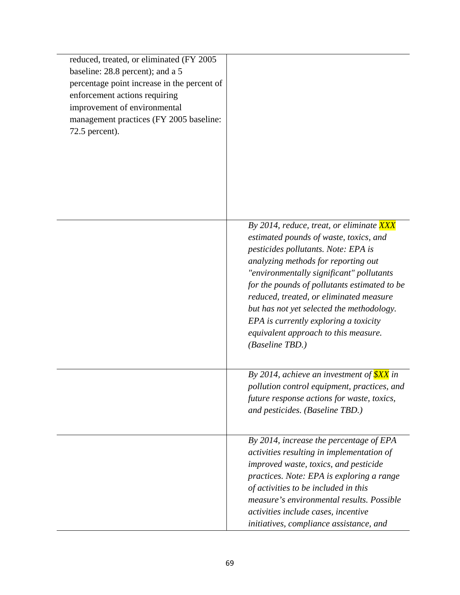| reduced, treated, or eliminated (FY 2005)<br>baseline: 28.8 percent); and a 5<br>percentage point increase in the percent of<br>enforcement actions requiring<br>improvement of environmental<br>management practices (FY 2005 baseline:<br>$72.5$ percent). |                                                                                                                                                                                                                                                                                                                                                                                                                                                          |
|--------------------------------------------------------------------------------------------------------------------------------------------------------------------------------------------------------------------------------------------------------------|----------------------------------------------------------------------------------------------------------------------------------------------------------------------------------------------------------------------------------------------------------------------------------------------------------------------------------------------------------------------------------------------------------------------------------------------------------|
|                                                                                                                                                                                                                                                              | By 2014, reduce, treat, or eliminate XXX<br>estimated pounds of waste, toxics, and<br>pesticides pollutants. Note: EPA is<br>analyzing methods for reporting out<br>"environmentally significant" pollutants<br>for the pounds of pollutants estimated to be<br>reduced, treated, or eliminated measure<br>but has not yet selected the methodology.<br>EPA is currently exploring a toxicity<br>equivalent approach to this measure.<br>(Baseline TBD.) |
|                                                                                                                                                                                                                                                              | By 2014, achieve an investment of $\frac{\$XX}{\$$ in<br>pollution control equipment, practices, and<br>future response actions for waste, toxics,<br>and pesticides. (Baseline TBD.)                                                                                                                                                                                                                                                                    |
|                                                                                                                                                                                                                                                              | By 2014, increase the percentage of EPA<br>activities resulting in implementation of<br>improved waste, toxics, and pesticide<br>practices. Note: EPA is exploring a range<br>of activities to be included in this<br>measure's environmental results. Possible<br>activities include cases, incentive<br>initiatives, compliance assistance, and                                                                                                        |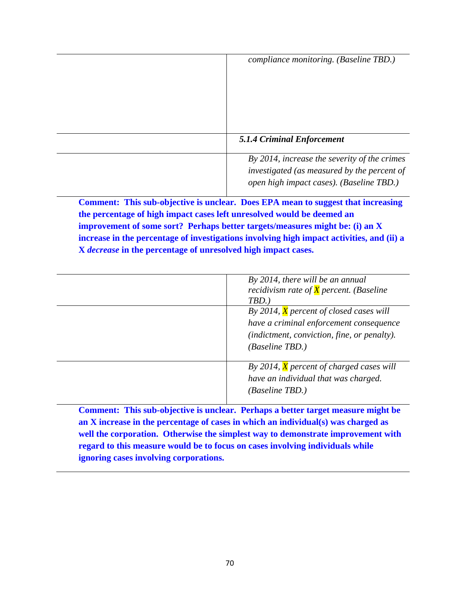| compliance monitoring. (Baseline TBD.)                                                                                                  |
|-----------------------------------------------------------------------------------------------------------------------------------------|
| <b>5.1.4 Criminal Enforcement</b>                                                                                                       |
| By 2014, increase the severity of the crimes<br>investigated (as measured by the percent of<br>open high impact cases). (Baseline TBD.) |

 **Comment: This sub-objective is unclear. Does EPA mean to suggest that increasing the percentage of high impact cases left unresolved would be deemed an improvement of some sort? Perhaps better targets/measures might be: (i) an X increase in the percentage of investigations involving high impact activities, and (ii) a X** *decrease* **in the percentage of unresolved high impact cases.** 

| By 2014, there will be an annual                 |
|--------------------------------------------------|
| recidivism rate of $\bar{X}$ percent. (Baseline  |
| $TBD.$ )                                         |
| By 2014, $\bar{X}$ percent of closed cases will  |
| have a criminal enforcement consequence          |
| (indictment, conviction, fine, or penalty).      |
| <i>(Baseline TBD.)</i>                           |
| By 2014, $\bar{X}$ percent of charged cases will |
| have an individual that was charged.             |
| <i>(Baseline TBD.)</i>                           |
|                                                  |

 **Comment: This sub-objective is unclear. Perhaps a better target measure might be an X increase in the percentage of cases in which an individual(s) was charged as well the corporation. Otherwise the simplest way to demonstrate improvement with regard to this measure would be to focus on cases involving individuals while ignoring cases involving corporations.**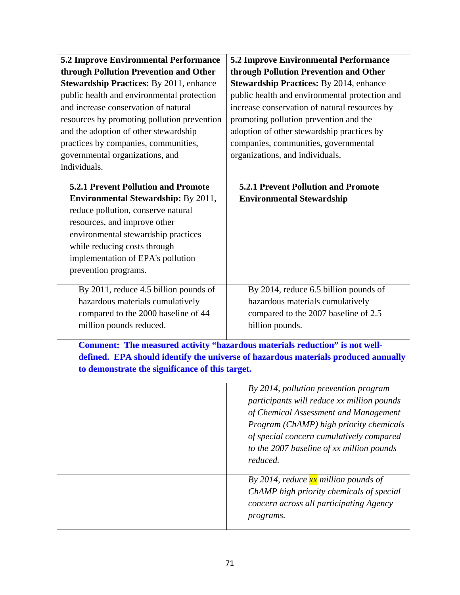| <b>5.2 Improve Environmental Performance</b><br>through Pollution Prevention and Other<br><b>Stewardship Practices:</b> By 2011, enhance<br>public health and environmental protection<br>and increase conservation of natural<br>resources by promoting pollution prevention<br>and the adoption of other stewardship<br>practices by companies, communities,<br>governmental organizations, and<br>individuals. | <b>5.2 Improve Environmental Performance</b><br>through Pollution Prevention and Other<br><b>Stewardship Practices: By 2014, enhance</b><br>public health and environmental protection and<br>increase conservation of natural resources by<br>promoting pollution prevention and the<br>adoption of other stewardship practices by<br>companies, communities, governmental<br>organizations, and individuals. |  |
|-------------------------------------------------------------------------------------------------------------------------------------------------------------------------------------------------------------------------------------------------------------------------------------------------------------------------------------------------------------------------------------------------------------------|----------------------------------------------------------------------------------------------------------------------------------------------------------------------------------------------------------------------------------------------------------------------------------------------------------------------------------------------------------------------------------------------------------------|--|
| <b>5.2.1 Prevent Pollution and Promote</b><br><b>Environmental Stewardship: By 2011,</b><br>reduce pollution, conserve natural<br>resources, and improve other<br>environmental stewardship practices<br>while reducing costs through<br>implementation of EPA's pollution<br>prevention programs.                                                                                                                | <b>5.2.1 Prevent Pollution and Promote</b><br><b>Environmental Stewardship</b>                                                                                                                                                                                                                                                                                                                                 |  |
| By 2011, reduce 4.5 billion pounds of<br>hazardous materials cumulatively<br>compared to the 2000 baseline of 44<br>million pounds reduced.                                                                                                                                                                                                                                                                       | By 2014, reduce 6.5 billion pounds of<br>hazardous materials cumulatively<br>compared to the 2007 baseline of 2.5<br>billion pounds.                                                                                                                                                                                                                                                                           |  |
| Comment: The measured activity "hazardous materials reduction" is not well-<br>defined. EPA should identify the universe of hazardous materials produced annually<br>to demonstrate the significance of this target.                                                                                                                                                                                              |                                                                                                                                                                                                                                                                                                                                                                                                                |  |
|                                                                                                                                                                                                                                                                                                                                                                                                                   | By 2014, pollution prevention program<br>participants will reduce xx million pounds<br>of Chemical Assessment and Management<br>Program (ChAMP) high priority chemicals<br>of special concern cumulatively compared<br>to the 2007 baseline of xx million pounds<br>reduced.                                                                                                                                   |  |
|                                                                                                                                                                                                                                                                                                                                                                                                                   | By 2014, reduce $\frac{xx}{xx}$ million pounds of<br>ChAMP high priority chemicals of special<br>concern across all participating Agency<br>programs.                                                                                                                                                                                                                                                          |  |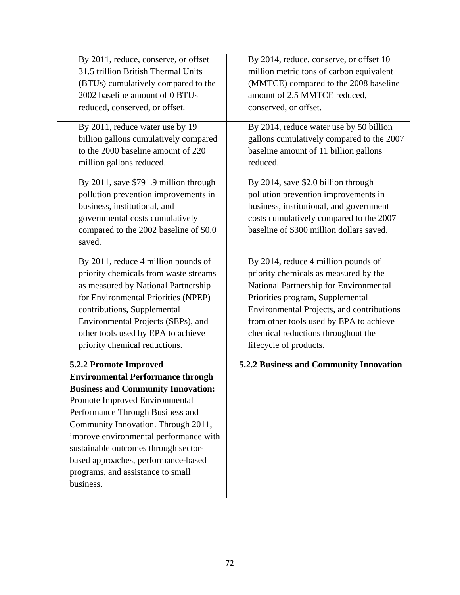| By 2011, reduce, conserve, or offset                                                                                                                                                                                                                                                                                                                                                       | By 2014, reduce, conserve, or offset 10                                                                                                                                                                       |
|--------------------------------------------------------------------------------------------------------------------------------------------------------------------------------------------------------------------------------------------------------------------------------------------------------------------------------------------------------------------------------------------|---------------------------------------------------------------------------------------------------------------------------------------------------------------------------------------------------------------|
| 31.5 trillion British Thermal Units                                                                                                                                                                                                                                                                                                                                                        | million metric tons of carbon equivalent                                                                                                                                                                      |
| (BTUs) cumulatively compared to the                                                                                                                                                                                                                                                                                                                                                        | (MMTCE) compared to the 2008 baseline                                                                                                                                                                         |
| 2002 baseline amount of 0 BTUs                                                                                                                                                                                                                                                                                                                                                             | amount of 2.5 MMTCE reduced,                                                                                                                                                                                  |
| reduced, conserved, or offset.                                                                                                                                                                                                                                                                                                                                                             | conserved, or offset.                                                                                                                                                                                         |
| By 2011, reduce water use by 19                                                                                                                                                                                                                                                                                                                                                            | By 2014, reduce water use by 50 billion                                                                                                                                                                       |
| billion gallons cumulatively compared                                                                                                                                                                                                                                                                                                                                                      | gallons cumulatively compared to the 2007                                                                                                                                                                     |
| to the 2000 baseline amount of 220                                                                                                                                                                                                                                                                                                                                                         | baseline amount of 11 billion gallons                                                                                                                                                                         |
| million gallons reduced.                                                                                                                                                                                                                                                                                                                                                                   | reduced.                                                                                                                                                                                                      |
| By 2011, save \$791.9 million through<br>pollution prevention improvements in<br>business, institutional, and<br>governmental costs cumulatively<br>compared to the 2002 baseline of \$0.0<br>saved.                                                                                                                                                                                       | By 2014, save \$2.0 billion through<br>pollution prevention improvements in<br>business, institutional, and government<br>costs cumulatively compared to the 2007<br>baseline of \$300 million dollars saved. |
| By 2011, reduce 4 million pounds of                                                                                                                                                                                                                                                                                                                                                        | By 2014, reduce 4 million pounds of                                                                                                                                                                           |
| priority chemicals from waste streams                                                                                                                                                                                                                                                                                                                                                      | priority chemicals as measured by the                                                                                                                                                                         |
| as measured by National Partnership                                                                                                                                                                                                                                                                                                                                                        | National Partnership for Environmental                                                                                                                                                                        |
| for Environmental Priorities (NPEP)                                                                                                                                                                                                                                                                                                                                                        | Priorities program, Supplemental                                                                                                                                                                              |
| contributions, Supplemental                                                                                                                                                                                                                                                                                                                                                                | Environmental Projects, and contributions                                                                                                                                                                     |
| Environmental Projects (SEPs), and                                                                                                                                                                                                                                                                                                                                                         | from other tools used by EPA to achieve                                                                                                                                                                       |
| other tools used by EPA to achieve                                                                                                                                                                                                                                                                                                                                                         | chemical reductions throughout the                                                                                                                                                                            |
| priority chemical reductions.                                                                                                                                                                                                                                                                                                                                                              | lifecycle of products.                                                                                                                                                                                        |
| 5.2.2 Promote Improved<br><b>Environmental Performance through</b><br><b>Business and Community Innovation:</b><br>Promote Improved Environmental<br>Performance Through Business and<br>Community Innovation. Through 2011,<br>improve environmental performance with<br>sustainable outcomes through sector-<br>based approaches, performance-based<br>programs, and assistance to small | 5.2.2 Business and Community Innovation                                                                                                                                                                       |
| business.                                                                                                                                                                                                                                                                                                                                                                                  |                                                                                                                                                                                                               |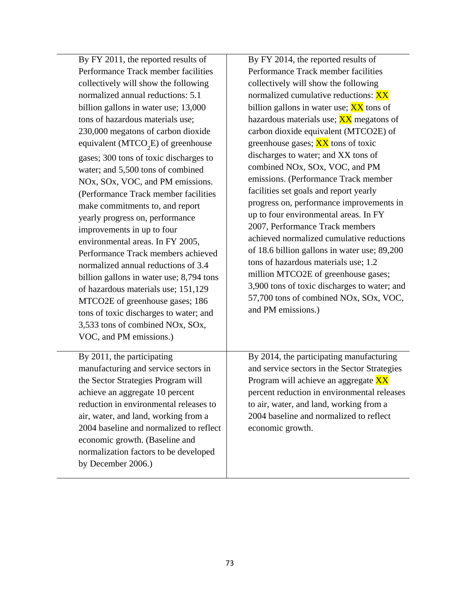| MTCO2E of greenhouse gases; 186 | By FY 2011, the reported results of<br>Performance Track member facilities<br>collectively will show the following<br>normalized annual reductions: 5.1<br>billion gallons in water use; 13,000<br>tons of hazardous materials use;<br>230,000 megatons of carbon dioxide<br>equivalent ( $MTCO2E$ ) of greenhouse<br>gases; 300 tons of toxic discharges to<br>water; and 5,500 tons of combined<br>NOx, SOx, VOC, and PM emissions.<br>(Performance Track member facilities<br>make commitments to, and report<br>yearly progress on, performance<br>improvements in up to four<br>environmental areas. In FY 2005,<br>Performance Track members achieved<br>normalized annual reductions of 3.4<br>billion gallons in water use; 8,794 tons<br>of hazardous materials use; 151,129 | By FY 2014, the reported results of<br>Performance Track member facilities<br>collectively will show the following<br>normalized cumulative reductions: XX<br>billion gallons in water use; XX tons of<br>hazardous materials use; XX megatons of<br>carbon dioxide equivalent (MTCO2E) of<br>greenhouse gases; XX tons of toxic<br>discharges to water; and XX tons of<br>combined NOx, SOx, VOC, and PM<br>emissions. (Performance Track member<br>facilities set goals and report yearly<br>progress on, performance improvements in<br>up to four environmental areas. In FY<br>2007, Performance Track members<br>achieved normalized cumulative reductions<br>of 18.6 billion gallons in water use; 89,200<br>tons of hazardous materials use; 1.2<br>million MTCO2E of greenhouse gases;<br>3,900 tons of toxic discharges to water; and |
|---------------------------------|---------------------------------------------------------------------------------------------------------------------------------------------------------------------------------------------------------------------------------------------------------------------------------------------------------------------------------------------------------------------------------------------------------------------------------------------------------------------------------------------------------------------------------------------------------------------------------------------------------------------------------------------------------------------------------------------------------------------------------------------------------------------------------------|-------------------------------------------------------------------------------------------------------------------------------------------------------------------------------------------------------------------------------------------------------------------------------------------------------------------------------------------------------------------------------------------------------------------------------------------------------------------------------------------------------------------------------------------------------------------------------------------------------------------------------------------------------------------------------------------------------------------------------------------------------------------------------------------------------------------------------------------------|
|                                 | tons of toxic discharges to water; and<br>3,533 tons of combined NOx, SOx,<br>VOC, and PM emissions.)<br>By 2011, the participating                                                                                                                                                                                                                                                                                                                                                                                                                                                                                                                                                                                                                                                   | and PM emissions.)<br>By 2014, the participating manufacturing                                                                                                                                                                                                                                                                                                                                                                                                                                                                                                                                                                                                                                                                                                                                                                                  |
|                                 | manufacturing and service sectors in<br>the Sector Strategies Program will<br>achieve an aggregate 10 percent<br>reduction in environmental releases to<br>air, water, and land, working from a<br>2004 baseline and normalized to reflect<br>economic growth. (Baseline and<br>normalization factors to be developed<br>by December 2006.)                                                                                                                                                                                                                                                                                                                                                                                                                                           | and service sectors in the Sector Strategies<br>Program will achieve an aggregate XX<br>percent reduction in environmental releases<br>to air, water, and land, working from a<br>2004 baseline and normalized to reflect<br>economic growth.                                                                                                                                                                                                                                                                                                                                                                                                                                                                                                                                                                                                   |
|                                 |                                                                                                                                                                                                                                                                                                                                                                                                                                                                                                                                                                                                                                                                                                                                                                                       |                                                                                                                                                                                                                                                                                                                                                                                                                                                                                                                                                                                                                                                                                                                                                                                                                                                 |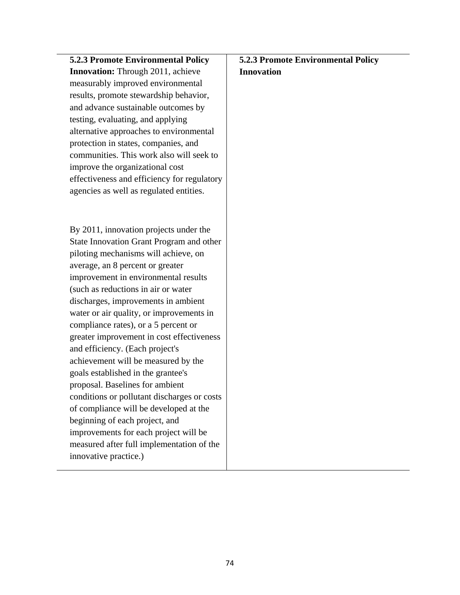| <b>5.2.3 Promote Environmental Policy</b>   | <b>5.2.3 Promote Environmental Policy</b> |
|---------------------------------------------|-------------------------------------------|
| <b>Innovation:</b> Through 2011, achieve    | <b>Innovation</b>                         |
| measurably improved environmental           |                                           |
| results, promote stewardship behavior,      |                                           |
| and advance sustainable outcomes by         |                                           |
| testing, evaluating, and applying           |                                           |
| alternative approaches to environmental     |                                           |
| protection in states, companies, and        |                                           |
| communities. This work also will seek to    |                                           |
| improve the organizational cost             |                                           |
| effectiveness and efficiency for regulatory |                                           |
| agencies as well as regulated entities.     |                                           |
|                                             |                                           |
|                                             |                                           |
| By 2011, innovation projects under the      |                                           |
| State Innovation Grant Program and other    |                                           |
| piloting mechanisms will achieve, on        |                                           |
| average, an 8 percent or greater            |                                           |
| improvement in environmental results        |                                           |
| (such as reductions in air or water)        |                                           |
| discharges, improvements in ambient         |                                           |
| water or air quality, or improvements in    |                                           |
| compliance rates), or a 5 percent or        |                                           |
| greater improvement in cost effectiveness   |                                           |
| and efficiency. (Each project's             |                                           |
| achievement will be measured by the         |                                           |
| goals established in the grantee's          |                                           |
| proposal. Baselines for ambient             |                                           |
| conditions or pollutant discharges or costs |                                           |
| of compliance will be developed at the      |                                           |
| beginning of each project, and              |                                           |
| improvements for each project will be       |                                           |
| measured after full implementation of the   |                                           |
| innovative practice.)                       |                                           |
|                                             |                                           |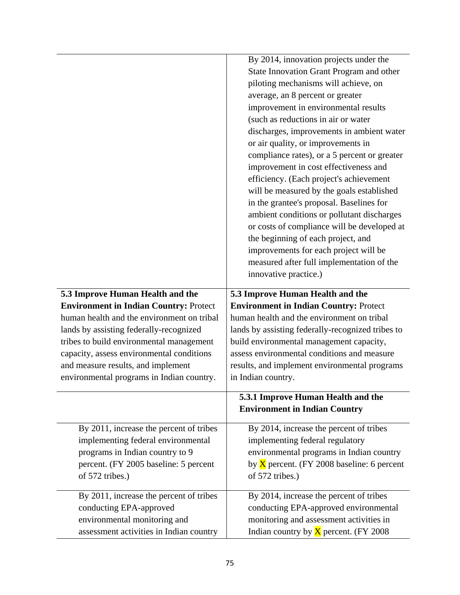|                                               | By 2014, innovation projects under the<br>State Innovation Grant Program and other<br>piloting mechanisms will achieve, on<br>average, an 8 percent or greater<br>improvement in environmental results<br>(such as reductions in air or water<br>discharges, improvements in ambient water<br>or air quality, or improvements in<br>compliance rates), or a 5 percent or greater<br>improvement in cost effectiveness and<br>efficiency. (Each project's achievement<br>will be measured by the goals established<br>in the grantee's proposal. Baselines for<br>ambient conditions or pollutant discharges<br>or costs of compliance will be developed at<br>the beginning of each project, and<br>improvements for each project will be<br>measured after full implementation of the<br>innovative practice.) |
|-----------------------------------------------|-----------------------------------------------------------------------------------------------------------------------------------------------------------------------------------------------------------------------------------------------------------------------------------------------------------------------------------------------------------------------------------------------------------------------------------------------------------------------------------------------------------------------------------------------------------------------------------------------------------------------------------------------------------------------------------------------------------------------------------------------------------------------------------------------------------------|
| 5.3 Improve Human Health and the              | 5.3 Improve Human Health and the                                                                                                                                                                                                                                                                                                                                                                                                                                                                                                                                                                                                                                                                                                                                                                                |
| <b>Environment in Indian Country: Protect</b> | <b>Environment in Indian Country: Protect</b>                                                                                                                                                                                                                                                                                                                                                                                                                                                                                                                                                                                                                                                                                                                                                                   |
| human health and the environment on tribal    | human health and the environment on tribal                                                                                                                                                                                                                                                                                                                                                                                                                                                                                                                                                                                                                                                                                                                                                                      |
| lands by assisting federally-recognized       | lands by assisting federally-recognized tribes to                                                                                                                                                                                                                                                                                                                                                                                                                                                                                                                                                                                                                                                                                                                                                               |
| tribes to build environmental management      | build environmental management capacity,                                                                                                                                                                                                                                                                                                                                                                                                                                                                                                                                                                                                                                                                                                                                                                        |
| capacity, assess environmental conditions     | assess environmental conditions and measure                                                                                                                                                                                                                                                                                                                                                                                                                                                                                                                                                                                                                                                                                                                                                                     |
| and measure results, and implement            | results, and implement environmental programs                                                                                                                                                                                                                                                                                                                                                                                                                                                                                                                                                                                                                                                                                                                                                                   |
| environmental programs in Indian country.     | in Indian country.                                                                                                                                                                                                                                                                                                                                                                                                                                                                                                                                                                                                                                                                                                                                                                                              |
|                                               | 5.3.1 Improve Human Health and the<br><b>Environment in Indian Country</b>                                                                                                                                                                                                                                                                                                                                                                                                                                                                                                                                                                                                                                                                                                                                      |
| By 2011, increase the percent of tribes       | By 2014, increase the percent of tribes                                                                                                                                                                                                                                                                                                                                                                                                                                                                                                                                                                                                                                                                                                                                                                         |
| implementing federal environmental            | implementing federal regulatory                                                                                                                                                                                                                                                                                                                                                                                                                                                                                                                                                                                                                                                                                                                                                                                 |
| programs in Indian country to 9               | environmental programs in Indian country                                                                                                                                                                                                                                                                                                                                                                                                                                                                                                                                                                                                                                                                                                                                                                        |
| percent. (FY 2005 baseline: 5 percent         | by $\overline{X}$ percent. (FY 2008 baseline: 6 percent                                                                                                                                                                                                                                                                                                                                                                                                                                                                                                                                                                                                                                                                                                                                                         |
| of 572 tribes.)                               | of 572 tribes.)                                                                                                                                                                                                                                                                                                                                                                                                                                                                                                                                                                                                                                                                                                                                                                                                 |
| By 2011, increase the percent of tribes       | By 2014, increase the percent of tribes                                                                                                                                                                                                                                                                                                                                                                                                                                                                                                                                                                                                                                                                                                                                                                         |
| conducting EPA-approved                       | conducting EPA-approved environmental                                                                                                                                                                                                                                                                                                                                                                                                                                                                                                                                                                                                                                                                                                                                                                           |
| environmental monitoring and                  | monitoring and assessment activities in                                                                                                                                                                                                                                                                                                                                                                                                                                                                                                                                                                                                                                                                                                                                                                         |
| assessment activities in Indian country       | Indian country by $X$ percent. (FY 2008)                                                                                                                                                                                                                                                                                                                                                                                                                                                                                                                                                                                                                                                                                                                                                                        |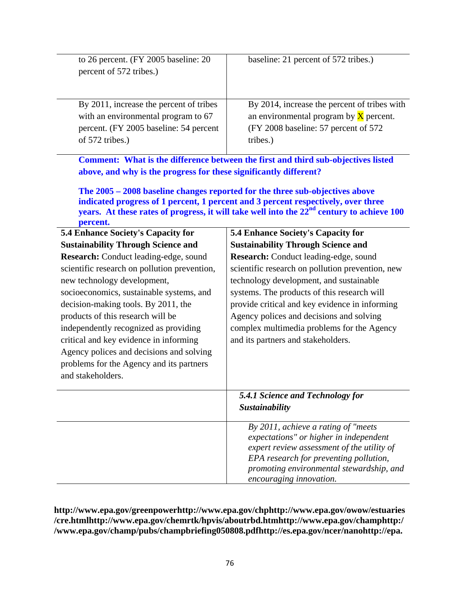| to 26 percent. (FY 2005 baseline: 20<br>percent of 572 tribes.)                                                                                                                                                                                                                                                                                                                                                                                                                                                                        | baseline: 21 percent of 572 tribes.)                                                                                                                                                                                                                                                                                                                                                                                                                            |
|----------------------------------------------------------------------------------------------------------------------------------------------------------------------------------------------------------------------------------------------------------------------------------------------------------------------------------------------------------------------------------------------------------------------------------------------------------------------------------------------------------------------------------------|-----------------------------------------------------------------------------------------------------------------------------------------------------------------------------------------------------------------------------------------------------------------------------------------------------------------------------------------------------------------------------------------------------------------------------------------------------------------|
| By 2011, increase the percent of tribes<br>with an environmental program to 67<br>percent. (FY 2005 baseline: 54 percent<br>of 572 tribes.)                                                                                                                                                                                                                                                                                                                                                                                            | By 2014, increase the percent of tribes with<br>an environmental program by $X$ percent.<br>(FY 2008 baseline: 57 percent of 572<br>tribes.)                                                                                                                                                                                                                                                                                                                    |
| above, and why is the progress for these significantly different?<br>percent.                                                                                                                                                                                                                                                                                                                                                                                                                                                          | Comment: What is the difference between the first and third sub-objectives listed<br>The 2005 – 2008 baseline changes reported for the three sub-objectives above<br>indicated progress of 1 percent, 1 percent and 3 percent respectively, over three<br>years. At these rates of progress, it will take well into the 22 <sup>nd</sup> century to achieve 100                                                                                                 |
| <b>5.4 Enhance Society's Capacity for</b><br><b>Sustainability Through Science and</b><br>Research: Conduct leading-edge, sound<br>scientific research on pollution prevention,<br>new technology development,<br>socioeconomics, sustainable systems, and<br>decision-making tools. By 2011, the<br>products of this research will be<br>independently recognized as providing<br>critical and key evidence in informing<br>Agency polices and decisions and solving<br>problems for the Agency and its partners<br>and stakeholders. | <b>5.4 Enhance Society's Capacity for</b><br><b>Sustainability Through Science and</b><br>Research: Conduct leading-edge, sound<br>scientific research on pollution prevention, new<br>technology development, and sustainable<br>systems. The products of this research will<br>provide critical and key evidence in informing<br>Agency polices and decisions and solving<br>complex multimedia problems for the Agency<br>and its partners and stakeholders. |
|                                                                                                                                                                                                                                                                                                                                                                                                                                                                                                                                        | 5.4.1 Science and Technology for<br>Sustainability                                                                                                                                                                                                                                                                                                                                                                                                              |
|                                                                                                                                                                                                                                                                                                                                                                                                                                                                                                                                        | By 2011, achieve a rating of "meets<br>expectations" or higher in independent<br>expert review assessment of the utility of<br>EPA research for preventing pollution,<br>promoting environmental stewardship, and<br>encouraging innovation.                                                                                                                                                                                                                    |

# **<http://www.epa.gov/greenpower><http://www.epa.gov/chp>[http://www.epa.gov/owow/estuaries](http://www.epa.gov/owow/estuaries/cre.html) [/cre.html](http://www.epa.gov/owow/estuaries/cre.html)<http://www.epa.gov/chemrtk/hpvis/aboutrbd.htm><http://www.epa.gov/champ>[http:/](http://www.epa.gov/champ/pubs/champbriefing050808.pdf) [/www.epa.gov/champ/pubs/champbriefing050808.pdf](http://www.epa.gov/champ/pubs/champbriefing050808.pdf)<http://es.epa.gov/ncer/nano>[http://epa.](http://epa.gov/oppt/nano/stewardship.htm)**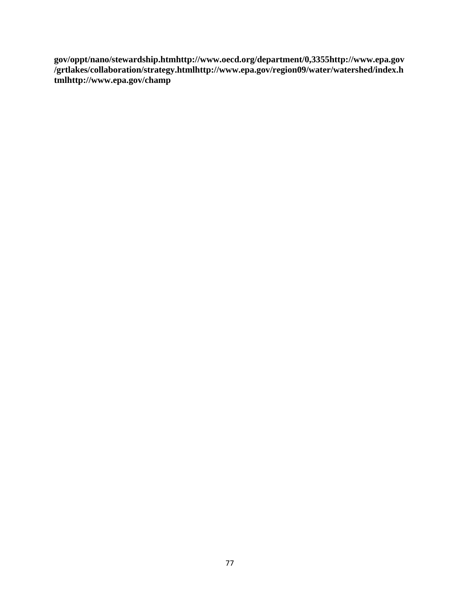**[gov/oppt/nano/stewardship.htm](http://epa.gov/oppt/nano/stewardship.htm)<http://www.oecd.org/department/0,3355>[http://www.epa.gov](http://www.epa.gov/grtlakes/collaboration/strategy.html) [/grtlakes/collaboration/strategy.html](http://www.epa.gov/grtlakes/collaboration/strategy.html)[http://www.epa.gov/region09/water/watershed/index.h](http://www.epa.gov/region09/water/watershed/index.html) [tml](http://www.epa.gov/region09/water/watershed/index.html)<http://www.epa.gov/champ>**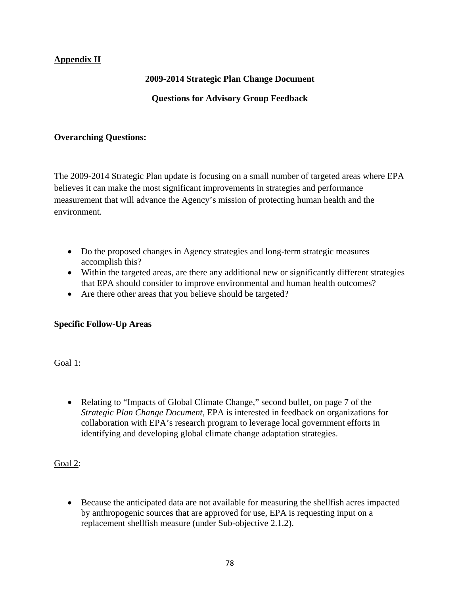# **Appendix II**

## **2009-2014 Strategic Plan Change Document**

## **Questions for Advisory Group Feedback**

#### **Overarching Questions:**

The 2009-2014 Strategic Plan update is focusing on a small number of targeted areas where EPA believes it can make the most significant improvements in strategies and performance measurement that will advance the Agency's mission of protecting human health and the environment.

- Do the proposed changes in Agency strategies and long-term strategic measures accomplish this?
- Within the targeted areas, are there any additional new or significantly different strategies that EPA should consider to improve environmental and human health outcomes?
- Are there other areas that you believe should be targeted?

## **Specific Follow-Up Areas**

Goal 1:

• Relating to "Impacts of Global Climate Change," second bullet, on page 7 of the *Strategic Plan Change Document,* EPA is interested in feedback on organizations for collaboration with EPA's research program to leverage local government efforts in identifying and developing global climate change adaptation strategies.

Goal 2:

• Because the anticipated data are not available for measuring the shellfish acres impacted by anthropogenic sources that are approved for use, EPA is requesting input on a replacement shellfish measure (under Sub-objective 2.1.2).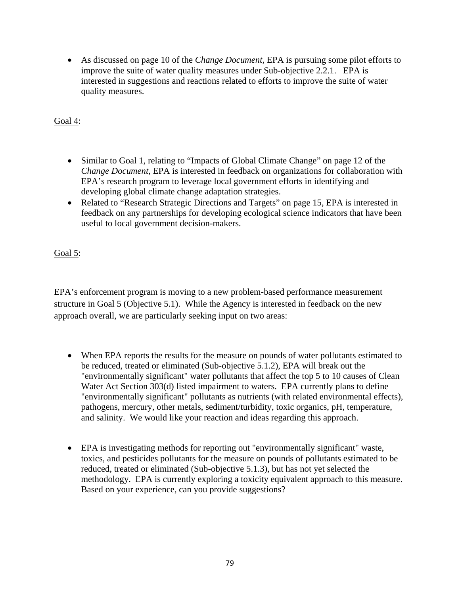• As discussed on page 10 of the *Change Document*, EPA is pursuing some pilot efforts to improve the suite of water quality measures under Sub-objective 2.2.1. EPA is interested in suggestions and reactions related to efforts to improve the suite of water quality measures.

Goal 4:

- Similar to Goal 1, relating to "Impacts of Global Climate Change" on page 12 of the *Change Document,* EPA is interested in feedback on organizations for collaboration with EPA's research program to leverage local government efforts in identifying and developing global climate change adaptation strategies.
- Related to "Research Strategic Directions and Targets" on page 15, EPA is interested in feedback on any partnerships for developing ecological science indicators that have been useful to local government decision-makers.

Goal 5:

EPA's enforcement program is moving to a new problem-based performance measurement structure in Goal 5 (Objective 5.1). While the Agency is interested in feedback on the new approach overall, we are particularly seeking input on two areas:

- When EPA reports the results for the measure on pounds of water pollutants estimated to be reduced, treated or eliminated (Sub-objective 5.1.2), EPA will break out the "environmentally significant" water pollutants that affect the top 5 to 10 causes of Clean Water Act Section 303(d) listed impairment to waters. EPA currently plans to define "environmentally significant" pollutants as nutrients (with related environmental effects), pathogens, mercury, other metals, sediment/turbidity, toxic organics, pH, temperature, and salinity. We would like your reaction and ideas regarding this approach.
- EPA is investigating methods for reporting out "environmentally significant" waste, toxics, and pesticides pollutants for the measure on pounds of pollutants estimated to be reduced, treated or eliminated (Sub-objective 5.1.3), but has not yet selected the methodology. EPA is currently exploring a toxicity equivalent approach to this measure. Based on your experience, can you provide suggestions?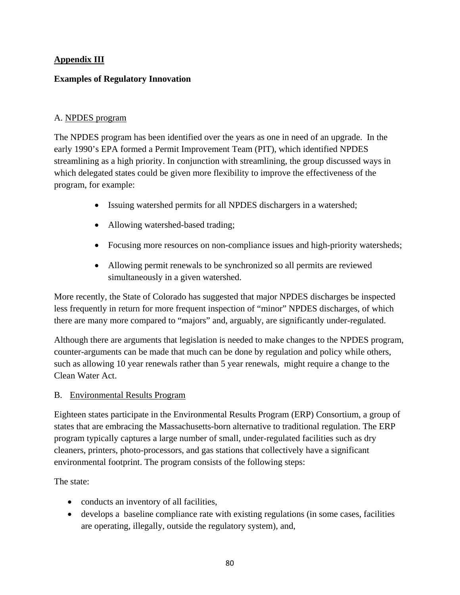# **Appendix III**

## **Examples of Regulatory Innovation**

## A. NPDES program

The NPDES program has been identified over the years as one in need of an upgrade. In the early 1990's EPA formed a Permit Improvement Team (PIT), which identified NPDES streamlining as a high priority. In conjunction with streamlining, the group discussed ways in which delegated states could be given more flexibility to improve the effectiveness of the program, for example:

- Issuing watershed permits for all NPDES dischargers in a watershed;
- Allowing watershed-based trading;
- Focusing more resources on non-compliance issues and high-priority watersheds;
- Allowing permit renewals to be synchronized so all permits are reviewed simultaneously in a given watershed.

More recently, the State of Colorado has suggested that major NPDES discharges be inspected less frequently in return for more frequent inspection of "minor" NPDES discharges, of which there are many more compared to "majors" and, arguably, are significantly under-regulated.

Although there are arguments that legislation is needed to make changes to the NPDES program, counter-arguments can be made that much can be done by regulation and policy while others, such as allowing 10 year renewals rather than 5 year renewals, might require a change to the Clean Water Act.

## B. Environmental Results Program

Eighteen states participate in the Environmental Results Program (ERP) Consortium, a group of states that are embracing the Massachusetts-born alternative to traditional regulation. The ERP program typically captures a large number of small, under-regulated facilities such as dry cleaners, printers, photo-processors, and gas stations that collectively have a significant environmental footprint. The program consists of the following steps:

The state:

- conducts an inventory of all facilities,
- develops a baseline compliance rate with existing regulations (in some cases, facilities are operating, illegally, outside the regulatory system), and,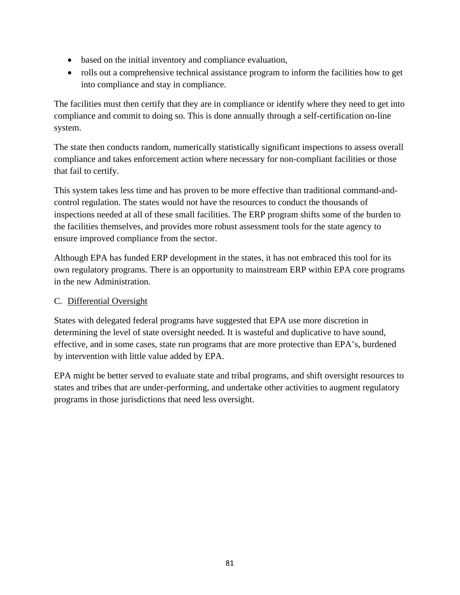- based on the initial inventory and compliance evaluation,
- rolls out a comprehensive technical assistance program to inform the facilities how to get into compliance and stay in compliance.

The facilities must then certify that they are in compliance or identify where they need to get into compliance and commit to doing so. This is done annually through a self-certification on-line system.

The state then conducts random, numerically statistically significant inspections to assess overall compliance and takes enforcement action where necessary for non-compliant facilities or those that fail to certify.

This system takes less time and has proven to be more effective than traditional command-andcontrol regulation. The states would not have the resources to conduct the thousands of inspections needed at all of these small facilities. The ERP program shifts some of the burden to the facilities themselves, and provides more robust assessment tools for the state agency to ensure improved compliance from the sector.

Although EPA has funded ERP development in the states, it has not embraced this tool for its own regulatory programs. There is an opportunity to mainstream ERP within EPA core programs in the new Administration.

## C. Differential Oversight

States with delegated federal programs have suggested that EPA use more discretion in determining the level of state oversight needed. It is wasteful and duplicative to have sound, effective, and in some cases, state run programs that are more protective than EPA's, burdened by intervention with little value added by EPA.

EPA might be better served to evaluate state and tribal programs, and shift oversight resources to states and tribes that are under-performing, and undertake other activities to augment regulatory programs in those jurisdictions that need less oversight.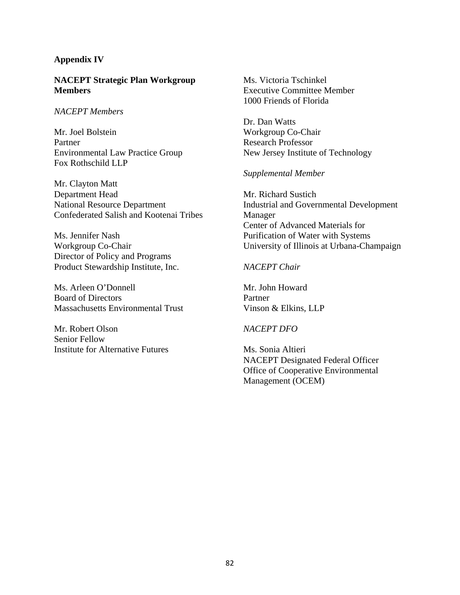#### **Appendix IV**

#### **NACEPT Strategic Plan Workgroup Members**

#### *NACEPT Members*

Mr. Joel Bolstein Partner Environmental Law Practice Group Fox Rothschild LLP

Mr. Clayton Matt Department Head National Resource Department Confederated Salish and Kootenai Tribes

Ms. Jennifer Nash Workgroup Co-Chair Director of Policy and Programs Product Stewardship Institute, Inc.

Ms. Arleen O'Donnell Board of Directors Massachusetts Environmental Trust

Mr. Robert Olson Senior Fellow Institute for Alternative Futures

Ms. Victoria Tschinkel Executive Committee Member 1000 Friends of Florida

Dr. Dan Watts Workgroup Co-Chair Research Professor New Jersey Institute of Technology

#### *Supplemental Member*

Mr. Richard Sustich Industrial and Governmental Development Manager Center of Advanced Materials for Purification of Water with Systems University of Illinois at Urbana-Champaign

*NACEPT Chair* 

Mr. John Howard Partner Vinson & Elkins, LLP

#### *NACEPT DFO*

Ms. Sonia Altieri NACEPT Designated Federal Officer Office of Cooperative Environmental Management (OCEM)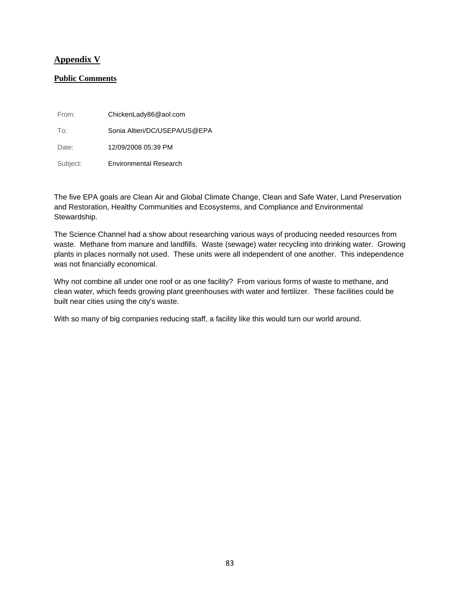#### **Appendix V**

#### **Public Comments**

| From:    | ChickenLady86@aol.com         |
|----------|-------------------------------|
| To:      | Sonia Altieri/DC/USEPA/US@EPA |
| Date:    | 12/09/2008 05:39 PM           |
| Subject: | <b>Environmental Research</b> |

The five EPA goals are Clean Air and Global Climate Change, Clean and Safe Water, Land Preservation and Restoration, Healthy Communities and Ecosystems, and Compliance and Environmental Stewardship.

The Science Channel had a show about researching various ways of producing needed resources from waste. Methane from manure and landfills. Waste (sewage) water recycling into drinking water. Growing plants in places normally not used. These units were all independent of one another. This independence was not financially economical.

Why not combine all under one roof or as one facility? From various forms of waste to methane, and clean water, which feeds growing plant greenhouses with water and fertilizer. These facilities could be built near cities using the city's waste.

With so many of big companies reducing staff, a facility like this would turn our world around.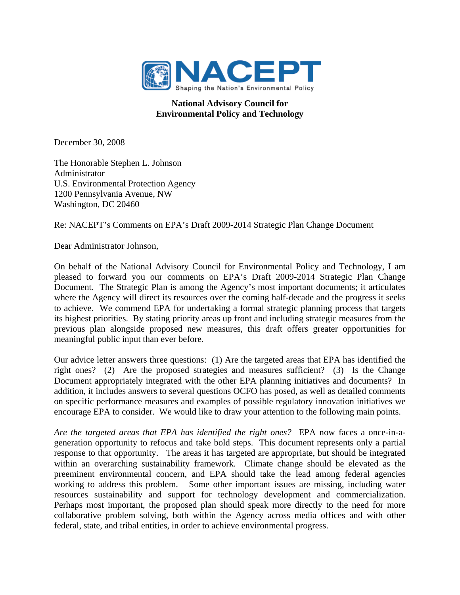

## **National Advisory Council for Environmental Policy and Technology**

December 30, 2008

The Honorable Stephen L. Johnson Administrator U.S. Environmental Protection Agency 1200 Pennsylvania Avenue, NW Washington, DC 20460

Re: NACEPT's Comments on EPA's Draft 2009-2014 Strategic Plan Change Document

Dear Administrator Johnson,

On behalf of the National Advisory Council for Environmental Policy and Technology, I am pleased to forward you our comments on EPA's Draft 2009-2014 Strategic Plan Change Document. The Strategic Plan is among the Agency's most important documents; it articulates where the Agency will direct its resources over the coming half-decade and the progress it seeks to achieve. We commend EPA for undertaking a formal strategic planning process that targets its highest priorities. By stating priority areas up front and including strategic measures from the previous plan alongside proposed new measures, this draft offers greater opportunities for meaningful public input than ever before.

Our advice letter answers three questions: (1) Are the targeted areas that EPA has identified the right ones? (2) Are the proposed strategies and measures sufficient? (3) Is the Change Document appropriately integrated with the other EPA planning initiatives and documents? In addition, it includes answers to several questions OCFO has posed, as well as detailed comments on specific performance measures and examples of possible regulatory innovation initiatives we encourage EPA to consider. We would like to draw your attention to the following main points.

*Are the targeted areas that EPA has identified the right ones?* EPA now faces a once-in-ageneration opportunity to refocus and take bold steps. This document represents only a partial response to that opportunity. The areas it has targeted are appropriate, but should be integrated within an overarching sustainability framework. Climate change should be elevated as the preeminent environmental concern, and EPA should take the lead among federal agencies working to address this problem. Some other important issues are missing, including water resources sustainability and support for technology development and commercialization. Perhaps most important, the proposed plan should speak more directly to the need for more collaborative problem solving, both within the Agency across media offices and with other federal, state, and tribal entities, in order to achieve environmental progress.